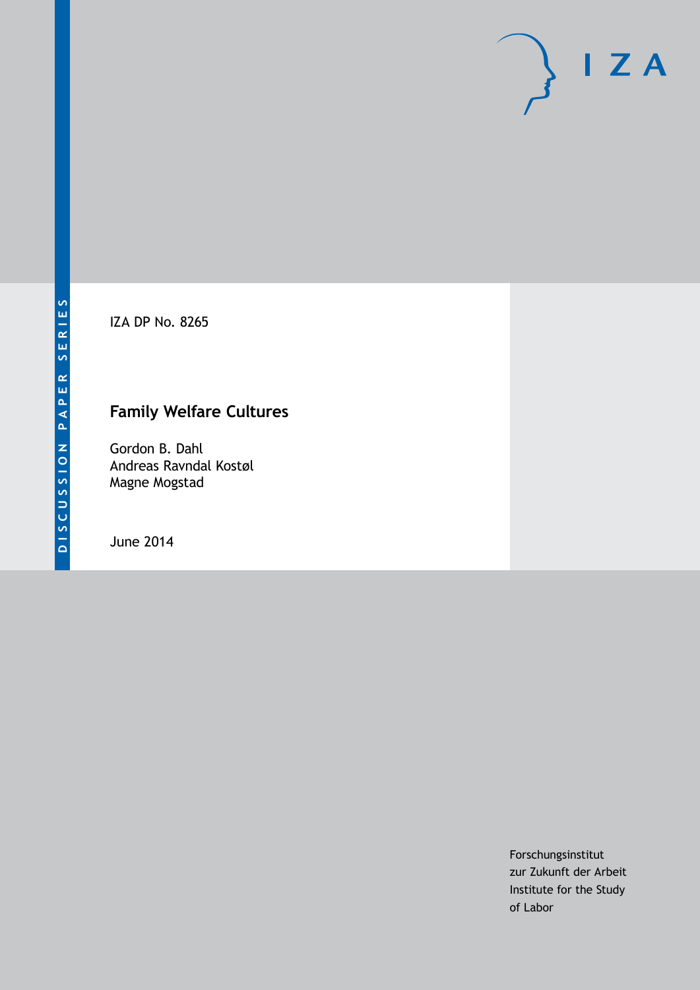IZA DP No. 8265

# **Family Welfare Cultures**

Gordon B. Dahl Andreas Ravndal Kostøl Magne Mogstad

June 2014

Forschungsinstitut zur Zukunft der Arbeit Institute for the Study of Labor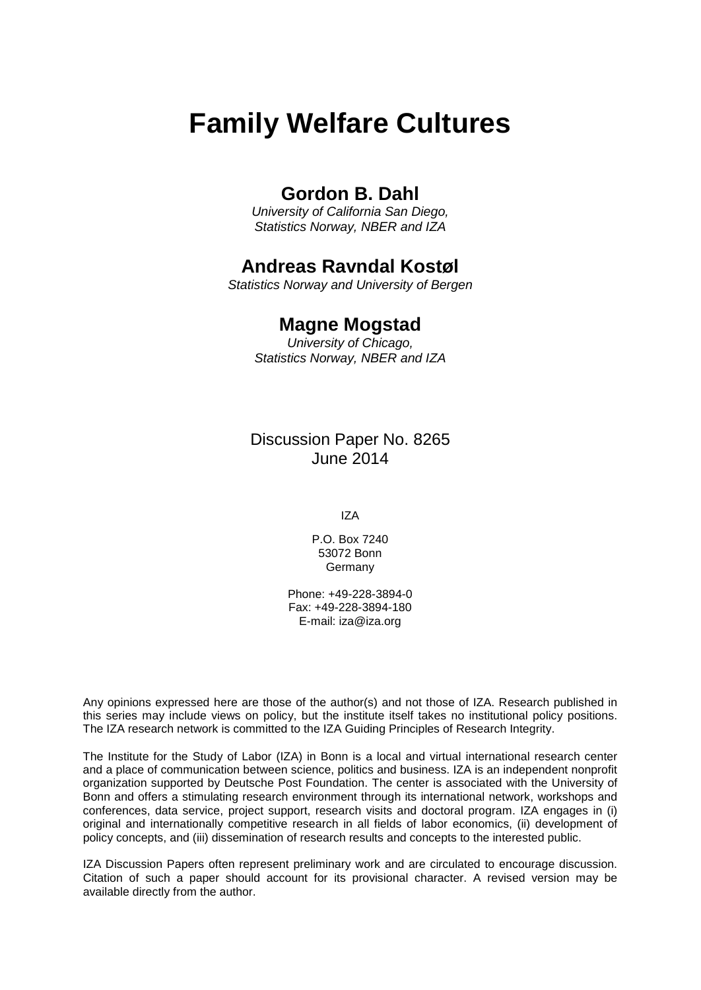# **Family Welfare Cultures**

# **Gordon B. Dahl**

*University of California San Diego, Statistics Norway, NBER and IZA*

# **Andreas Ravndal Kostøl**

*Statistics Norway and University of Bergen*

# **Magne Mogstad**

*University of Chicago, Statistics Norway, NBER and IZA*

Discussion Paper No. 8265 June 2014

IZA

P.O. Box 7240 53072 Bonn Germany

Phone: +49-228-3894-0 Fax: +49-228-3894-180 E-mail: [iza@iza.org](mailto:iza@iza.org)

Any opinions expressed here are those of the author(s) and not those of IZA. Research published in this series may include views on policy, but the institute itself takes no institutional policy positions. The IZA research network is committed to the IZA Guiding Principles of Research Integrity.

The Institute for the Study of Labor (IZA) in Bonn is a local and virtual international research center and a place of communication between science, politics and business. IZA is an independent nonprofit organization supported by Deutsche Post Foundation. The center is associated with the University of Bonn and offers a stimulating research environment through its international network, workshops and conferences, data service, project support, research visits and doctoral program. IZA engages in (i) original and internationally competitive research in all fields of labor economics, (ii) development of policy concepts, and (iii) dissemination of research results and concepts to the interested public.

<span id="page-1-0"></span>IZA Discussion Papers often represent preliminary work and are circulated to encourage discussion. Citation of such a paper should account for its provisional character. A revised version may be available directly from the author.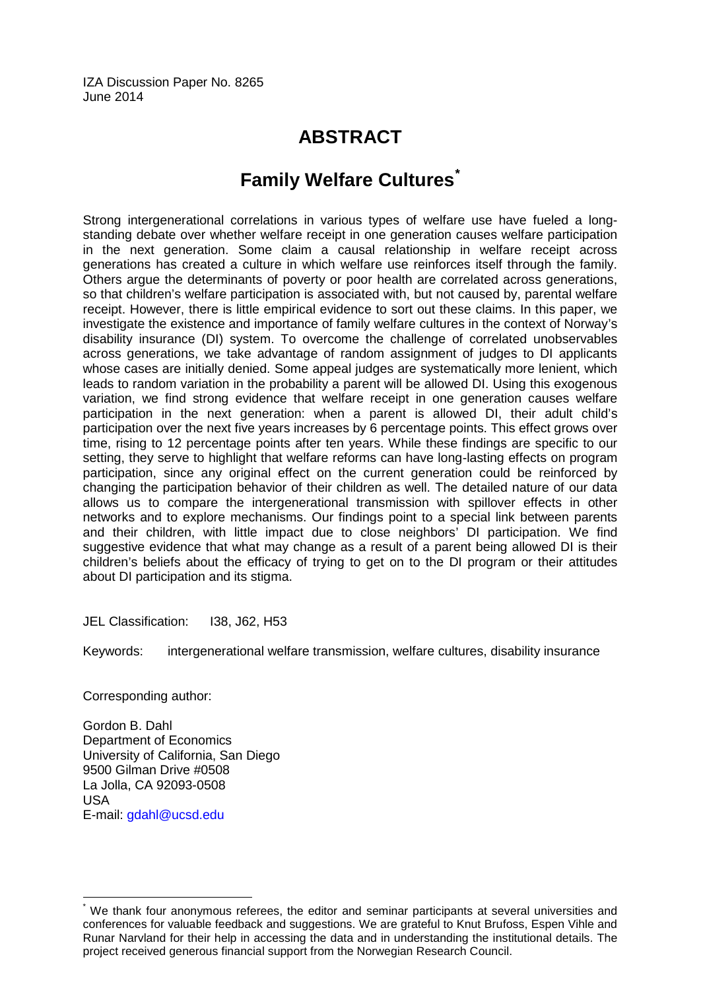IZA Discussion Paper No. 8265 June 2014

# **ABSTRACT**

# **Family Welfare Cultures[\\*](#page-1-0)**

Strong intergenerational correlations in various types of welfare use have fueled a longstanding debate over whether welfare receipt in one generation causes welfare participation in the next generation. Some claim a causal relationship in welfare receipt across generations has created a culture in which welfare use reinforces itself through the family. Others argue the determinants of poverty or poor health are correlated across generations, so that children's welfare participation is associated with, but not caused by, parental welfare receipt. However, there is little empirical evidence to sort out these claims. In this paper, we investigate the existence and importance of family welfare cultures in the context of Norway's disability insurance (DI) system. To overcome the challenge of correlated unobservables across generations, we take advantage of random assignment of judges to DI applicants whose cases are initially denied. Some appeal judges are systematically more lenient, which leads to random variation in the probability a parent will be allowed DI. Using this exogenous variation, we find strong evidence that welfare receipt in one generation causes welfare participation in the next generation: when a parent is allowed DI, their adult child's participation over the next five years increases by 6 percentage points. This effect grows over time, rising to 12 percentage points after ten years. While these findings are specific to our setting, they serve to highlight that welfare reforms can have long-lasting effects on program participation, since any original effect on the current generation could be reinforced by changing the participation behavior of their children as well. The detailed nature of our data allows us to compare the intergenerational transmission with spillover effects in other networks and to explore mechanisms. Our findings point to a special link between parents and their children, with little impact due to close neighbors' DI participation. We find suggestive evidence that what may change as a result of a parent being allowed DI is their children's beliefs about the efficacy of trying to get on to the DI program or their attitudes about DI participation and its stigma.

JEL Classification: I38, J62, H53

Keywords: intergenerational welfare transmission, welfare cultures, disability insurance

Corresponding author:

Gordon B. Dahl Department of Economics University of California, San Diego 9500 Gilman Drive #0508 La Jolla, CA 92093-0508 USA E-mail: [gdahl@ucsd.edu](mailto:gdahl@ucsd.edu)

We thank four anonymous referees, the editor and seminar participants at several universities and conferences for valuable feedback and suggestions. We are grateful to Knut Brufoss, Espen Vihle and Runar Narvland for their help in accessing the data and in understanding the institutional details. The project received generous financial support from the Norwegian Research Council.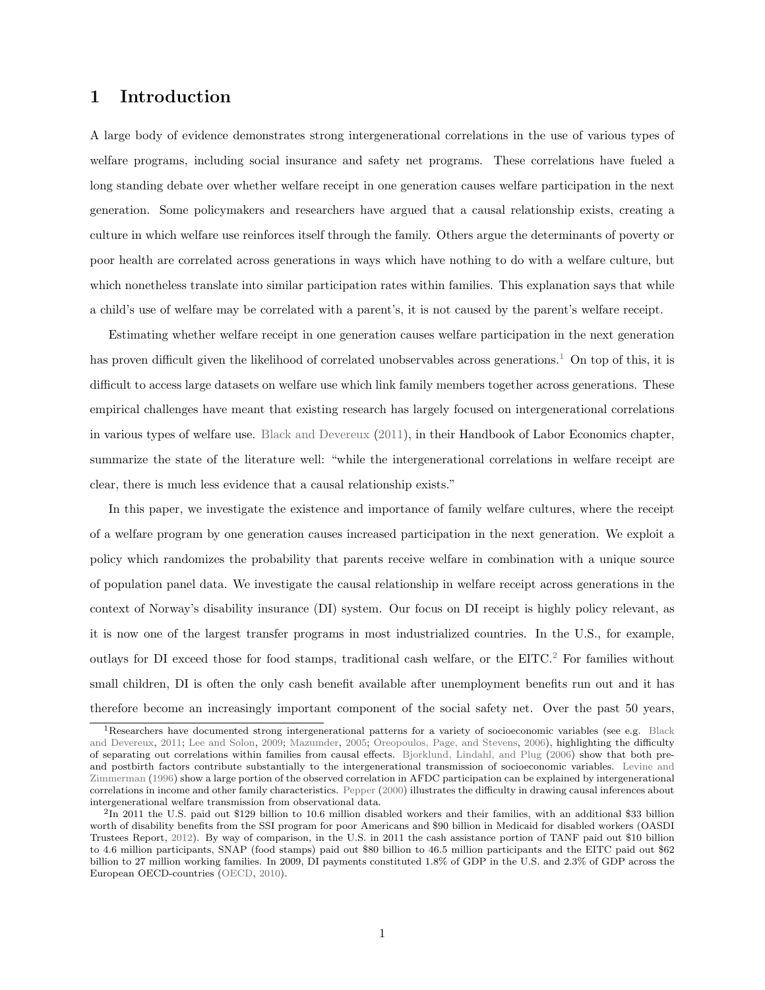# 1 Introduction

A large body of evidence demonstrates strong intergenerational correlations in the use of various types of welfare programs, including social insurance and safety net programs. These correlations have fueled a long standing debate over whether welfare receipt in one generation causes welfare participation in the next generation. Some policymakers and researchers have argued that a causal relationship exists, creating a culture in which welfare use reinforces itself through the family. Others argue the determinants of poverty or poor health are correlated across generations in ways which have nothing to do with a welfare culture, but which nonetheless translate into similar participation rates within families. This explanation says that while a child's use of welfare may be correlated with a parent's, it is not caused by the parent's welfare receipt.

Estimating whether welfare receipt in one generation causes welfare participation in the next generation has proven difficult given the likelihood of correlated unobservables across generations.<sup>[1](#page-3-0)</sup> On top of this, it is difficult to access large datasets on welfare use which link family members together across generations. These empirical challenges have meant that existing research has largely focused on intergenerational correlations in various types of welfare use. [Black and Devereux](#page-34-0) [\(2011\)](#page-34-0), in their Handbook of Labor Economics chapter, summarize the state of the literature well: "while the intergenerational correlations in welfare receipt are clear, there is much less evidence that a causal relationship exists."

In this paper, we investigate the existence and importance of family welfare cultures, where the receipt of a welfare program by one generation causes increased participation in the next generation. We exploit a policy which randomizes the probability that parents receive welfare in combination with a unique source of population panel data. We investigate the causal relationship in welfare receipt across generations in the context of Norway's disability insurance (DI) system. Our focus on DI receipt is highly policy relevant, as it is now one of the largest transfer programs in most industrialized countries. In the U.S., for example, outlays for DI exceed those for food stamps, traditional cash welfare, or the EITC.<sup>[2](#page-3-1)</sup> For families without small children, DI is often the only cash benefit available after unemployment benefits run out and it has therefore become an increasingly important component of the social safety net. Over the past 50 years,

<span id="page-3-0"></span><sup>1</sup>Researchers have documented strong intergenerational patterns for a variety of socioeconomic variables (see e.g. [Black](#page-34-0) [and Devereux,](#page-34-0) [2011;](#page-34-0) [Lee and Solon,](#page-36-0) [2009;](#page-36-0) [Mazumder,](#page-36-1) [2005;](#page-36-1) [Oreopoulos, Page, and Stevens,](#page-36-2) [2006\)](#page-36-2), highlighting the difficulty of separating out correlations within families from causal effects. [Bjorklund, Lindahl, and Plug](#page-34-1) [\(2006\)](#page-34-1) show that both preand postbirth factors contribute substantially to the intergenerational transmission of socioeconomic variables. [Levine and](#page-36-3) [Zimmerman](#page-36-3) [\(1996\)](#page-36-3) show a large portion of the observed correlation in AFDC participation can be explained by intergenerational correlations in income and other family characteristics. [Pepper](#page-37-0) [\(2000\)](#page-37-0) illustrates the difficulty in drawing causal inferences about intergenerational welfare transmission from observational data.

<span id="page-3-1"></span> ${}^{2}$ In 2011 the U.S. paid out \$129 billion to 10.6 million disabled workers and their families, with an additional \$33 billion worth of disability benefits from the SSI program for poor Americans and \$90 billion in Medicaid for disabled workers (OASDI Trustees Report, [2012\)](#page-36-4). By way of comparison, in the U.S. in 2011 the cash assistance portion of TANF paid out \$10 billion to 4.6 million participants, SNAP (food stamps) paid out \$80 billion to 46.5 million participants and the EITC paid out \$62 billion to 27 million working families. In 2009, DI payments constituted 1.8% of GDP in the U.S. and 2.3% of GDP across the European OECD-countries [\(OECD,](#page-36-5) [2010\)](#page-36-5).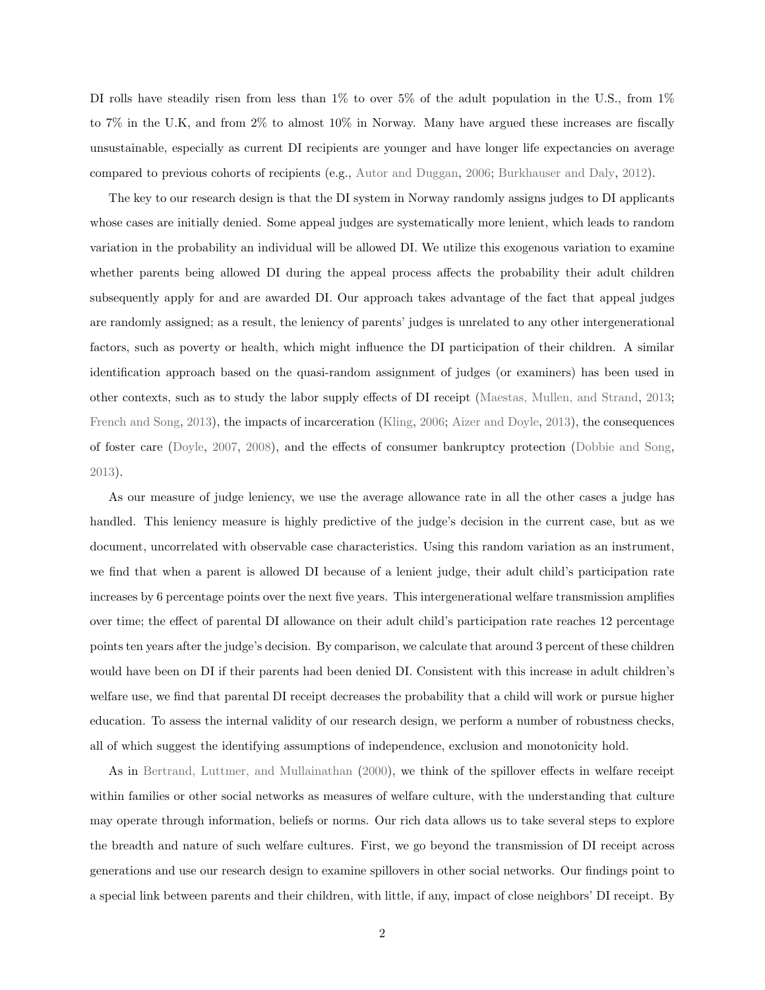DI rolls have steadily risen from less than 1% to over 5% of the adult population in the U.S., from 1% to 7% in the U.K, and from 2% to almost 10% in Norway. Many have argued these increases are fiscally unsustainable, especially as current DI recipients are younger and have longer life expectancies on average compared to previous cohorts of recipients (e.g., [Autor and Duggan,](#page-34-2) [2006;](#page-34-2) [Burkhauser and Daly,](#page-35-0) [2012\)](#page-35-0).

The key to our research design is that the DI system in Norway randomly assigns judges to DI applicants whose cases are initially denied. Some appeal judges are systematically more lenient, which leads to random variation in the probability an individual will be allowed DI. We utilize this exogenous variation to examine whether parents being allowed DI during the appeal process affects the probability their adult children subsequently apply for and are awarded DI. Our approach takes advantage of the fact that appeal judges are randomly assigned; as a result, the leniency of parents' judges is unrelated to any other intergenerational factors, such as poverty or health, which might influence the DI participation of their children. A similar identification approach based on the quasi-random assignment of judges (or examiners) has been used in other contexts, such as to study the labor supply effects of DI receipt [\(Maestas, Mullen, and Strand,](#page-36-6) [2013;](#page-36-6) [French and Song,](#page-35-1) [2013\)](#page-35-1), the impacts of incarceration [\(Kling,](#page-36-7) [2006;](#page-36-7) [Aizer and Doyle,](#page-34-3) [2013\)](#page-34-3), the consequences of foster care [\(Doyle,](#page-35-2) [2007,](#page-35-2) [2008\)](#page-35-3), and the effects of consumer bankruptcy protection [\(Dobbie and Song,](#page-35-4) [2013\)](#page-35-4).

As our measure of judge leniency, we use the average allowance rate in all the other cases a judge has handled. This leniency measure is highly predictive of the judge's decision in the current case, but as we document, uncorrelated with observable case characteristics. Using this random variation as an instrument, we find that when a parent is allowed DI because of a lenient judge, their adult child's participation rate increases by 6 percentage points over the next five years. This intergenerational welfare transmission amplifies over time; the effect of parental DI allowance on their adult child's participation rate reaches 12 percentage points ten years after the judge's decision. By comparison, we calculate that around 3 percent of these children would have been on DI if their parents had been denied DI. Consistent with this increase in adult children's welfare use, we find that parental DI receipt decreases the probability that a child will work or pursue higher education. To assess the internal validity of our research design, we perform a number of robustness checks, all of which suggest the identifying assumptions of independence, exclusion and monotonicity hold.

As in [Bertrand, Luttmer, and Mullainathan](#page-34-4) [\(2000\)](#page-34-4), we think of the spillover effects in welfare receipt within families or other social networks as measures of welfare culture, with the understanding that culture may operate through information, beliefs or norms. Our rich data allows us to take several steps to explore the breadth and nature of such welfare cultures. First, we go beyond the transmission of DI receipt across generations and use our research design to examine spillovers in other social networks. Our findings point to a special link between parents and their children, with little, if any, impact of close neighbors' DI receipt. By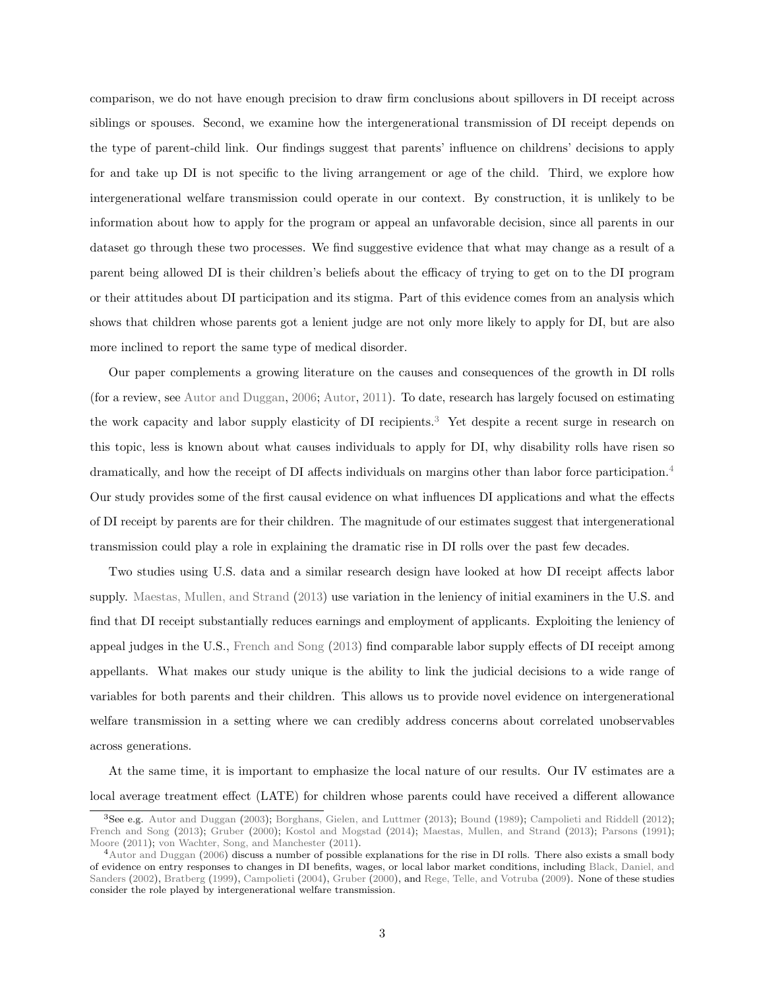comparison, we do not have enough precision to draw firm conclusions about spillovers in DI receipt across siblings or spouses. Second, we examine how the intergenerational transmission of DI receipt depends on the type of parent-child link. Our findings suggest that parents' influence on childrens' decisions to apply for and take up DI is not specific to the living arrangement or age of the child. Third, we explore how intergenerational welfare transmission could operate in our context. By construction, it is unlikely to be information about how to apply for the program or appeal an unfavorable decision, since all parents in our dataset go through these two processes. We find suggestive evidence that what may change as a result of a parent being allowed DI is their children's beliefs about the efficacy of trying to get on to the DI program or their attitudes about DI participation and its stigma. Part of this evidence comes from an analysis which shows that children whose parents got a lenient judge are not only more likely to apply for DI, but are also more inclined to report the same type of medical disorder.

Our paper complements a growing literature on the causes and consequences of the growth in DI rolls (for a review, see [Autor and Duggan,](#page-34-2) [2006;](#page-34-2) [Autor,](#page-34-5) [2011\)](#page-34-5). To date, research has largely focused on estimating the work capacity and labor supply elasticity of DI recipients.[3](#page-5-0) Yet despite a recent surge in research on this topic, less is known about what causes individuals to apply for DI, why disability rolls have risen so dramatically, and how the receipt of DI affects individuals on margins other than labor force participation.<sup>[4](#page-5-1)</sup> Our study provides some of the first causal evidence on what influences DI applications and what the effects of DI receipt by parents are for their children. The magnitude of our estimates suggest that intergenerational transmission could play a role in explaining the dramatic rise in DI rolls over the past few decades.

Two studies using U.S. data and a similar research design have looked at how DI receipt affects labor supply. [Maestas, Mullen, and Strand](#page-36-6) [\(2013\)](#page-36-6) use variation in the leniency of initial examiners in the U.S. and find that DI receipt substantially reduces earnings and employment of applicants. Exploiting the leniency of appeal judges in the U.S., [French and Song](#page-35-1) [\(2013\)](#page-35-1) find comparable labor supply effects of DI receipt among appellants. What makes our study unique is the ability to link the judicial decisions to a wide range of variables for both parents and their children. This allows us to provide novel evidence on intergenerational welfare transmission in a setting where we can credibly address concerns about correlated unobservables across generations.

At the same time, it is important to emphasize the local nature of our results. Our IV estimates are a local average treatment effect (LATE) for children whose parents could have received a different allowance

<span id="page-5-0"></span><sup>&</sup>lt;sup>3</sup>See e.g. [Autor and Duggan](#page-34-6) [\(2003\)](#page-34-6); [Borghans, Gielen, and Luttmer](#page-34-7) [\(2013\)](#page-34-7); [Bound](#page-35-5) [\(1989\)](#page-35-5); [Campolieti and Riddell](#page-35-6) [\(2012\)](#page-35-6); [French and Song](#page-35-1) [\(2013\)](#page-35-1); [Gruber](#page-35-7) [\(2000\)](#page-35-7); [Kostol and Mogstad](#page-36-8) [\(2014\)](#page-36-8); [Maestas, Mullen, and Strand](#page-36-6) [\(2013\)](#page-36-6); [Parsons](#page-36-9) [\(1991\)](#page-36-9); [Moore](#page-36-10) [\(2011\)](#page-36-10); [von Wachter, Song, and Manchester](#page-37-1) [\(2011\)](#page-37-1).

<span id="page-5-1"></span> $4$ [Autor and Duggan](#page-34-2) [\(2006\)](#page-34-2) discuss a number of possible explanations for the rise in DI rolls. There also exists a small body of evidence on entry responses to changes in DI benefits, wages, or local labor market conditions, including [Black, Daniel, and](#page-34-8) [Sanders](#page-34-8) [\(2002\)](#page-34-8), [Bratberg](#page-35-8) [\(1999\)](#page-35-8), [Campolieti](#page-35-9) [\(2004\)](#page-35-9), [Gruber](#page-35-7) [\(2000\)](#page-35-7), and [Rege, Telle, and Votruba](#page-37-2) [\(2009\)](#page-37-2). None of these studies consider the role played by intergenerational welfare transmission.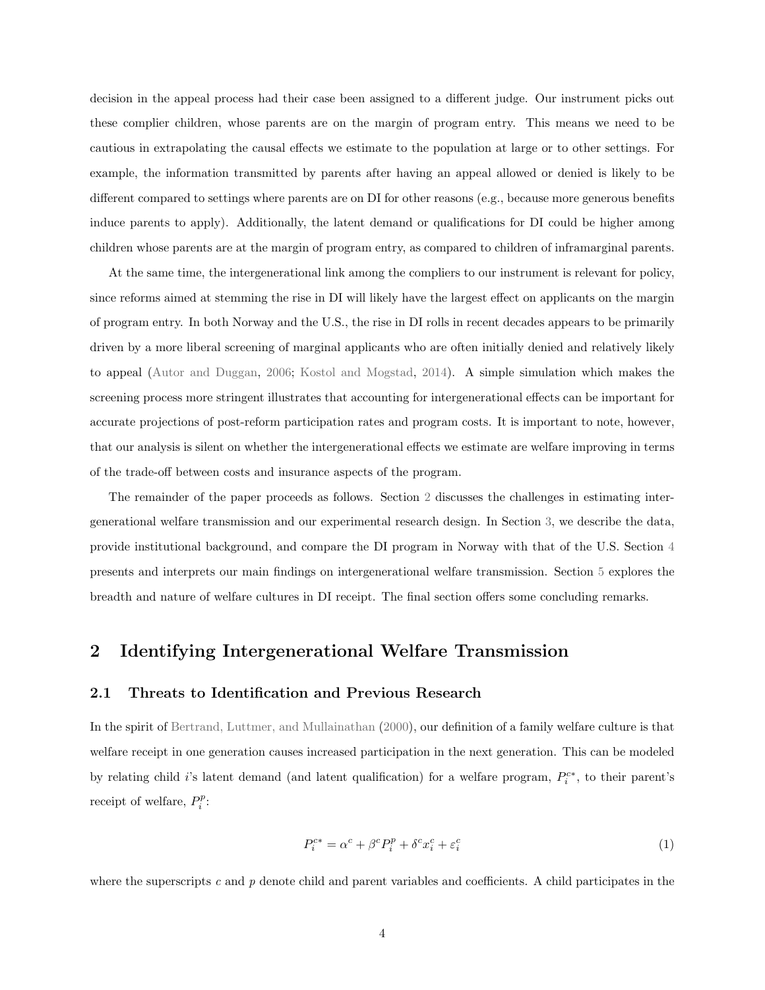decision in the appeal process had their case been assigned to a different judge. Our instrument picks out these complier children, whose parents are on the margin of program entry. This means we need to be cautious in extrapolating the causal effects we estimate to the population at large or to other settings. For example, the information transmitted by parents after having an appeal allowed or denied is likely to be different compared to settings where parents are on DI for other reasons (e.g., because more generous benefits induce parents to apply). Additionally, the latent demand or qualifications for DI could be higher among children whose parents are at the margin of program entry, as compared to children of inframarginal parents.

At the same time, the intergenerational link among the compliers to our instrument is relevant for policy, since reforms aimed at stemming the rise in DI will likely have the largest effect on applicants on the margin of program entry. In both Norway and the U.S., the rise in DI rolls in recent decades appears to be primarily driven by a more liberal screening of marginal applicants who are often initially denied and relatively likely to appeal [\(Autor and Duggan,](#page-34-2) [2006;](#page-34-2) [Kostol and Mogstad,](#page-36-8) [2014\)](#page-36-8). A simple simulation which makes the screening process more stringent illustrates that accounting for intergenerational effects can be important for accurate projections of post-reform participation rates and program costs. It is important to note, however, that our analysis is silent on whether the intergenerational effects we estimate are welfare improving in terms of the trade-off between costs and insurance aspects of the program.

The remainder of the paper proceeds as follows. Section [2](#page-6-0) discusses the challenges in estimating intergenerational welfare transmission and our experimental research design. In Section [3,](#page-13-0) we describe the data, provide institutional background, and compare the DI program in Norway with that of the U.S. Section [4](#page-17-0) presents and interprets our main findings on intergenerational welfare transmission. Section [5](#page-27-0) explores the breadth and nature of welfare cultures in DI receipt. The final section offers some concluding remarks.

### <span id="page-6-0"></span>2 Identifying Intergenerational Welfare Transmission

#### 2.1 Threats to Identification and Previous Research

In the spirit of [Bertrand, Luttmer, and Mullainathan](#page-34-4) [\(2000\)](#page-34-4), our definition of a family welfare culture is that welfare receipt in one generation causes increased participation in the next generation. This can be modeled by relating child i's latent demand (and latent qualification) for a welfare program,  $P_i^{c*}$ , to their parent's receipt of welfare,  $P_i^p$ :

<span id="page-6-1"></span>
$$
P_i^{c*} = \alpha^c + \beta^c P_i^p + \delta^c x_i^c + \varepsilon_i^c \tag{1}
$$

where the superscripts  $c$  and  $p$  denote child and parent variables and coefficients. A child participates in the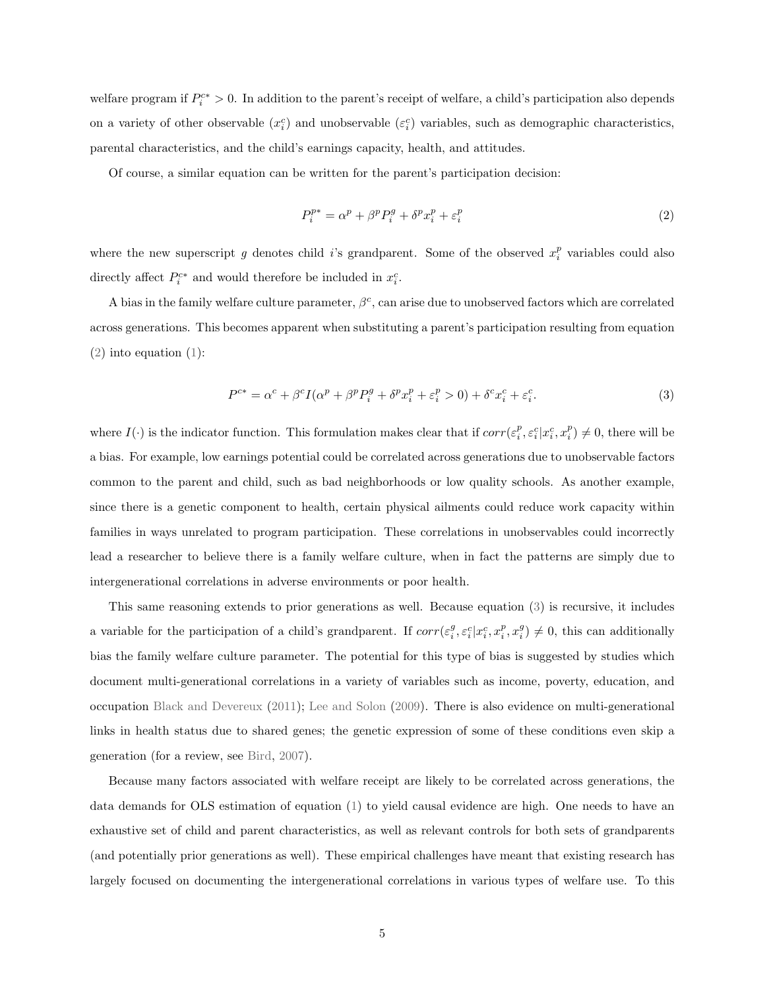welfare program if  $P_i^{c*} > 0$ . In addition to the parent's receipt of welfare, a child's participation also depends on a variety of other observable  $(x_i^c)$  and unobservable  $(\varepsilon_i^c)$  variables, such as demographic characteristics, parental characteristics, and the child's earnings capacity, health, and attitudes.

Of course, a similar equation can be written for the parent's participation decision:

<span id="page-7-0"></span>
$$
P_i^{p*} = \alpha^p + \beta^p P_i^g + \delta^p x_i^p + \varepsilon_i^p \tag{2}
$$

where the new superscript g denotes child i's grandparent. Some of the observed  $x_i^p$  variables could also directly affect  $P_i^{c*}$  and would therefore be included in  $x_i^c$ .

A bias in the family welfare culture parameter,  $\beta^c$ , can arise due to unobserved factors which are correlated across generations. This becomes apparent when substituting a parent's participation resulting from equation  $(2)$  into equation  $(1)$ :

<span id="page-7-1"></span>
$$
P^{c*} = \alpha^c + \beta^c I(\alpha^p + \beta^p P_i^g + \delta^p x_i^p + \varepsilon_i^p > 0) + \delta^c x_i^c + \varepsilon_i^c.
$$
\n(3)

where  $I(\cdot)$  is the indicator function. This formulation makes clear that if  $corr(\varepsilon_i^p, \varepsilon_i^c | x_i^c, x_i^p) \neq 0$ , there will be a bias. For example, low earnings potential could be correlated across generations due to unobservable factors common to the parent and child, such as bad neighborhoods or low quality schools. As another example, since there is a genetic component to health, certain physical ailments could reduce work capacity within families in ways unrelated to program participation. These correlations in unobservables could incorrectly lead a researcher to believe there is a family welfare culture, when in fact the patterns are simply due to intergenerational correlations in adverse environments or poor health.

This same reasoning extends to prior generations as well. Because equation [\(3\)](#page-7-1) is recursive, it includes a variable for the participation of a child's grandparent. If  $corr(\varepsilon_i^g, \varepsilon_i^c | x_i^c, x_i^p, x_i^g) \neq 0$ , this can additionally bias the family welfare culture parameter. The potential for this type of bias is suggested by studies which document multi-generational correlations in a variety of variables such as income, poverty, education, and occupation [Black and Devereux](#page-34-0) [\(2011\)](#page-34-0); [Lee and Solon](#page-36-0) [\(2009\)](#page-36-0). There is also evidence on multi-generational links in health status due to shared genes; the genetic expression of some of these conditions even skip a generation (for a review, see [Bird,](#page-34-9) [2007\)](#page-34-9).

Because many factors associated with welfare receipt are likely to be correlated across generations, the data demands for OLS estimation of equation [\(1\)](#page-6-1) to yield causal evidence are high. One needs to have an exhaustive set of child and parent characteristics, as well as relevant controls for both sets of grandparents (and potentially prior generations as well). These empirical challenges have meant that existing research has largely focused on documenting the intergenerational correlations in various types of welfare use. To this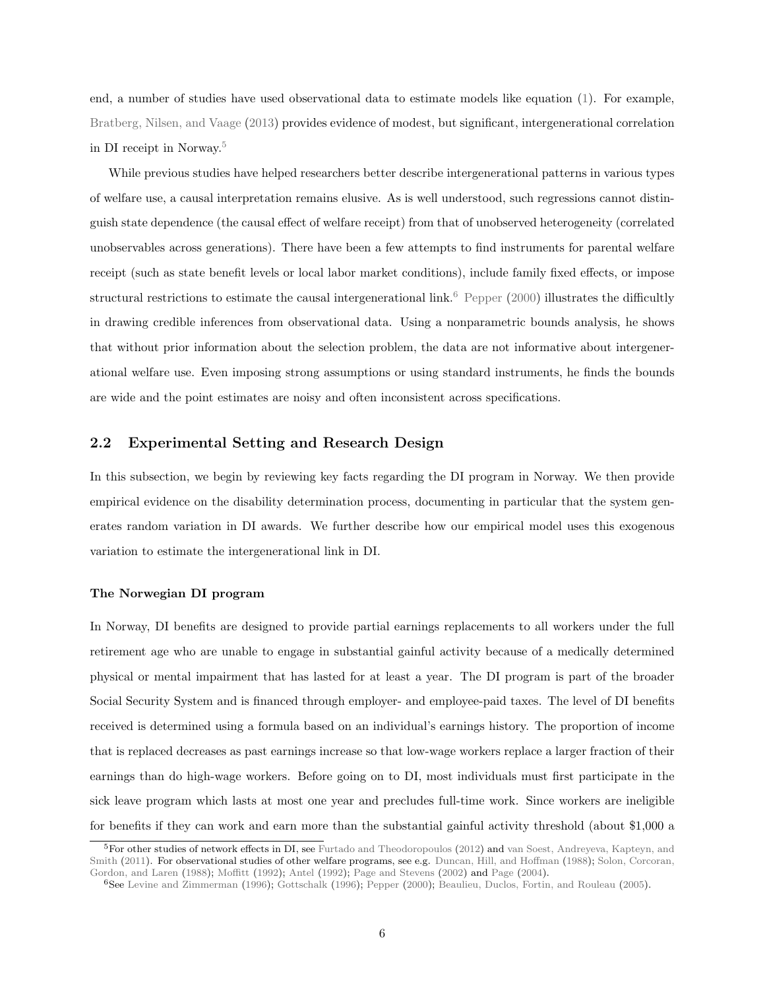end, a number of studies have used observational data to estimate models like equation [\(1\)](#page-6-1). For example, [Bratberg, Nilsen, and Vaage](#page-35-10) [\(2013\)](#page-35-10) provides evidence of modest, but significant, intergenerational correlation in DI receipt in Norway.[5](#page-8-0)

While previous studies have helped researchers better describe intergenerational patterns in various types of welfare use, a causal interpretation remains elusive. As is well understood, such regressions cannot distinguish state dependence (the causal effect of welfare receipt) from that of unobserved heterogeneity (correlated unobservables across generations). There have been a few attempts to find instruments for parental welfare receipt (such as state benefit levels or local labor market conditions), include family fixed effects, or impose structural restrictions to estimate the causal intergenerational link.<sup>[6](#page-8-1)</sup> [Pepper](#page-37-0) [\(2000\)](#page-37-0) illustrates the difficultly in drawing credible inferences from observational data. Using a nonparametric bounds analysis, he shows that without prior information about the selection problem, the data are not informative about intergenerational welfare use. Even imposing strong assumptions or using standard instruments, he finds the bounds are wide and the point estimates are noisy and often inconsistent across specifications.

#### 2.2 Experimental Setting and Research Design

In this subsection, we begin by reviewing key facts regarding the DI program in Norway. We then provide empirical evidence on the disability determination process, documenting in particular that the system generates random variation in DI awards. We further describe how our empirical model uses this exogenous variation to estimate the intergenerational link in DI.

#### The Norwegian DI program

In Norway, DI benefits are designed to provide partial earnings replacements to all workers under the full retirement age who are unable to engage in substantial gainful activity because of a medically determined physical or mental impairment that has lasted for at least a year. The DI program is part of the broader Social Security System and is financed through employer- and employee-paid taxes. The level of DI benefits received is determined using a formula based on an individual's earnings history. The proportion of income that is replaced decreases as past earnings increase so that low-wage workers replace a larger fraction of their earnings than do high-wage workers. Before going on to DI, most individuals must first participate in the sick leave program which lasts at most one year and precludes full-time work. Since workers are ineligible for benefits if they can work and earn more than the substantial gainful activity threshold (about \$1,000 a

<span id="page-8-0"></span><sup>5</sup>For other studies of network effects in DI, see [Furtado and Theodoropoulos](#page-35-11) [\(2012\)](#page-35-11) and [van Soest, Andreyeva, Kapteyn, and](#page-37-3) [Smith](#page-37-3) [\(2011\)](#page-37-3). For observational studies of other welfare programs, see e.g. [Duncan, Hill, and Hoffman](#page-35-12) [\(1988\)](#page-35-12); [Solon, Corcoran,](#page-37-4) [Gordon, and Laren](#page-37-4) [\(1988\)](#page-37-4); [Moffitt](#page-36-11) [\(1992\)](#page-36-11); [Antel](#page-34-10) [\(1992\)](#page-34-10); [Page and Stevens](#page-36-12) [\(2002\)](#page-36-12) and [Page](#page-36-13) [\(2004\)](#page-36-13).

<span id="page-8-1"></span><sup>6</sup>See [Levine and Zimmerman](#page-36-3) [\(1996\)](#page-36-3); [Gottschalk](#page-35-13) [\(1996\)](#page-35-13); [Pepper](#page-37-0) [\(2000\)](#page-37-0); [Beaulieu, Duclos, Fortin, and Rouleau](#page-34-11) [\(2005\)](#page-34-11).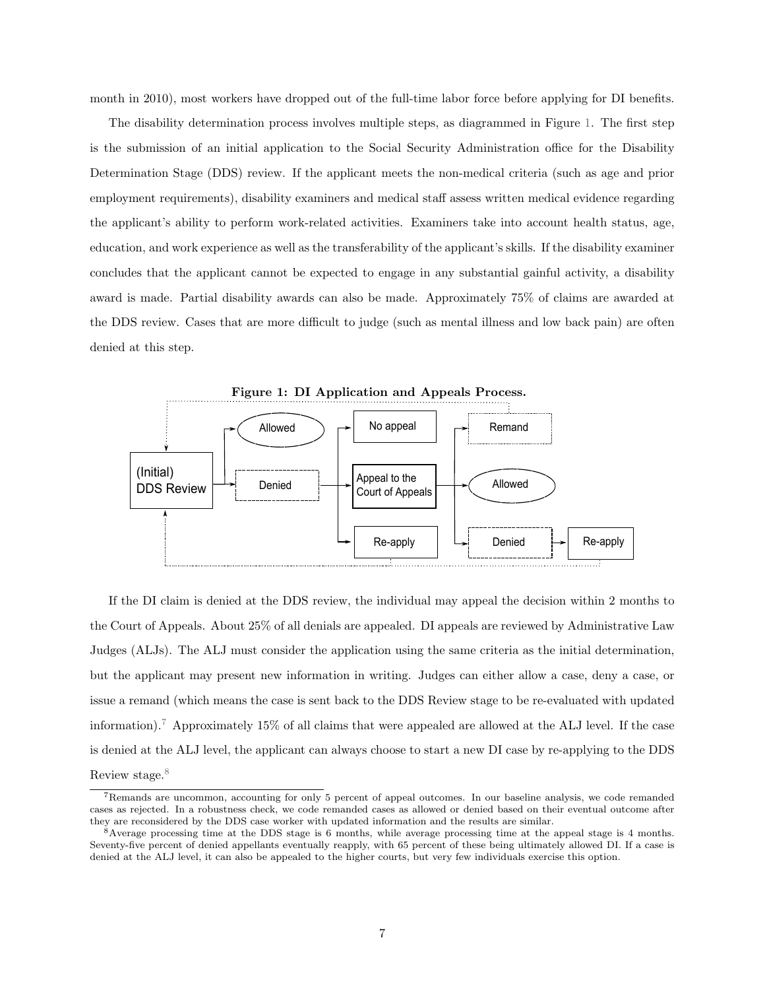month in 2010), most workers have dropped out of the full-time labor force before applying for DI benefits.

The disability determination process involves multiple steps, as diagrammed in Figure [1.](#page-9-0) The first step is the submission of an initial application to the Social Security Administration office for the Disability Determination Stage (DDS) review. If the applicant meets the non-medical criteria (such as age and prior employment requirements), disability examiners and medical staff assess written medical evidence regarding the applicant's ability to perform work-related activities. Examiners take into account health status, age, education, and work experience as well as the transferability of the applicant's skills. If the disability examiner concludes that the applicant cannot be expected to engage in any substantial gainful activity, a disability award is made. Partial disability awards can also be made. Approximately 75% of claims are awarded at the DDS review. Cases that are more difficult to judge (such as mental illness and low back pain) are often denied at this step.

<span id="page-9-0"></span>

If the DI claim is denied at the DDS review, the individual may appeal the decision within 2 months to the Court of Appeals. About 25% of all denials are appealed. DI appeals are reviewed by Administrative Law Judges (ALJs). The ALJ must consider the application using the same criteria as the initial determination, but the applicant may present new information in writing. Judges can either allow a case, deny a case, or issue a remand (which means the case is sent back to the DDS Review stage to be re-evaluated with updated information).[7](#page-9-1) Approximately 15% of all claims that were appealed are allowed at the ALJ level. If the case is denied at the ALJ level, the applicant can always choose to start a new DI case by re-applying to the DDS Review stage.<sup>[8](#page-9-2)</sup>

<span id="page-9-1"></span><sup>7</sup>Remands are uncommon, accounting for only 5 percent of appeal outcomes. In our baseline analysis, we code remanded cases as rejected. In a robustness check, we code remanded cases as allowed or denied based on their eventual outcome after they are reconsidered by the DDS case worker with updated information and the results are similar.

<span id="page-9-2"></span><sup>8</sup>Average processing time at the DDS stage is 6 months, while average processing time at the appeal stage is 4 months. Seventy-five percent of denied appellants eventually reapply, with 65 percent of these being ultimately allowed DI. If a case is denied at the ALJ level, it can also be appealed to the higher courts, but very few individuals exercise this option.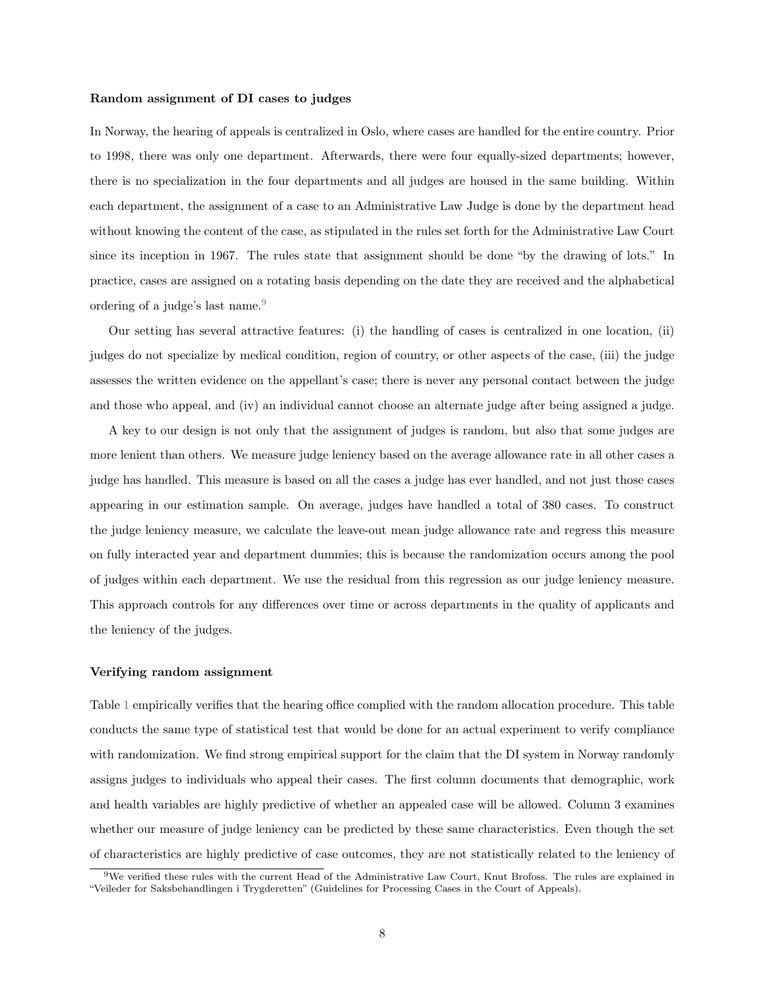#### Random assignment of DI cases to judges

In Norway, the hearing of appeals is centralized in Oslo, where cases are handled for the entire country. Prior to 1998, there was only one department. Afterwards, there were four equally-sized departments; however, there is no specialization in the four departments and all judges are housed in the same building. Within each department, the assignment of a case to an Administrative Law Judge is done by the department head without knowing the content of the case, as stipulated in the rules set forth for the Administrative Law Court since its inception in 1967. The rules state that assignment should be done "by the drawing of lots." In practice, cases are assigned on a rotating basis depending on the date they are received and the alphabetical ordering of a judge's last name.[9](#page-10-0)

Our setting has several attractive features: (i) the handling of cases is centralized in one location, (ii) judges do not specialize by medical condition, region of country, or other aspects of the case, (iii) the judge assesses the written evidence on the appellant's case; there is never any personal contact between the judge and those who appeal, and (iv) an individual cannot choose an alternate judge after being assigned a judge.

A key to our design is not only that the assignment of judges is random, but also that some judges are more lenient than others. We measure judge leniency based on the average allowance rate in all other cases a judge has handled. This measure is based on all the cases a judge has ever handled, and not just those cases appearing in our estimation sample. On average, judges have handled a total of 380 cases. To construct the judge leniency measure, we calculate the leave-out mean judge allowance rate and regress this measure on fully interacted year and department dummies; this is because the randomization occurs among the pool of judges within each department. We use the residual from this regression as our judge leniency measure. This approach controls for any differences over time or across departments in the quality of applicants and the leniency of the judges.

#### Verifying random assignment

Table [1](#page-11-0) empirically verifies that the hearing office complied with the random allocation procedure. This table conducts the same type of statistical test that would be done for an actual experiment to verify compliance with randomization. We find strong empirical support for the claim that the DI system in Norway randomly assigns judges to individuals who appeal their cases. The first column documents that demographic, work and health variables are highly predictive of whether an appealed case will be allowed. Column 3 examines whether our measure of judge leniency can be predicted by these same characteristics. Even though the set of characteristics are highly predictive of case outcomes, they are not statistically related to the leniency of

<span id="page-10-0"></span><sup>9</sup>We verified these rules with the current Head of the Administrative Law Court, Knut Brofoss. The rules are explained in "Veileder for Saksbehandlingen i Trygderetten" (Guidelines for Processing Cases in the Court of Appeals).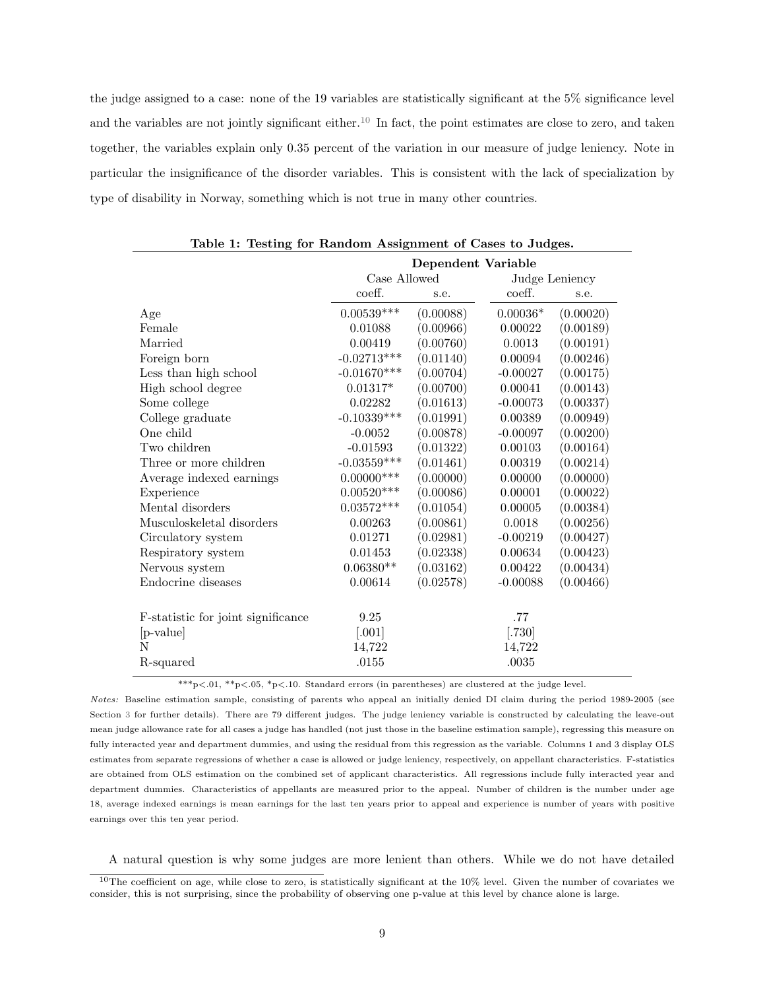the judge assigned to a case: none of the 19 variables are statistically significant at the 5% significance level and the variables are not jointly significant either.<sup>[10](#page-11-1)</sup> In fact, the point estimates are close to zero, and taken together, the variables explain only 0.35 percent of the variation in our measure of judge leniency. Note in particular the insignificance of the disorder variables. This is consistent with the lack of specialization by type of disability in Norway, something which is not true in many other countries.

|                                    | Dependent Variable |           |                |           |
|------------------------------------|--------------------|-----------|----------------|-----------|
|                                    | Case Allowed       |           | Judge Leniency |           |
|                                    | coeff.<br>s.e.     |           | coeff.         | s.e.      |
| Age                                | $0.00539***$       | (0.00088) | $0.00036*$     | (0.00020) |
| Female                             | 0.01088            | (0.00966) | 0.00022        | (0.00189) |
| Married                            | 0.00419            | (0.00760) | 0.0013         | (0.00191) |
| Foreign born                       | $-0.02713***$      | (0.01140) | 0.00094        | (0.00246) |
| Less than high school              | $-0.01670***$      | (0.00704) | $-0.00027$     | (0.00175) |
| High school degree                 | $0.01317*$         | (0.00700) | 0.00041        | (0.00143) |
| Some college                       | 0.02282            | (0.01613) | $-0.00073$     | (0.00337) |
| College graduate                   | $-0.10339***$      | (0.01991) | 0.00389        | (0.00949) |
| One child                          | $-0.0052$          | (0.00878) | $-0.00097$     | (0.00200) |
| Two children                       | $-0.01593$         | (0.01322) | 0.00103        | (0.00164) |
| Three or more children             | $-0.03559***$      | (0.01461) | 0.00319        | (0.00214) |
| Average indexed earnings           | $0.00000$ ***      | (0.00000) | 0.00000        | (0.00000) |
| Experience                         | $0.00520***$       | (0.00086) | 0.00001        | (0.00022) |
| Mental disorders                   | $0.03572***$       | (0.01054) | 0.00005        | (0.00384) |
| Musculoskeletal disorders          | 0.00263            | (0.00861) | 0.0018         | (0.00256) |
| Circulatory system                 | 0.01271            | (0.02981) | $-0.00219$     | (0.00427) |
| Respiratory system                 | 0.01453            | (0.02338) | 0.00634        | (0.00423) |
| Nervous system                     | $0.06380**$        | (0.03162) | 0.00422        | (0.00434) |
| Endocrine diseases                 | 0.00614            | (0.02578) | $-0.00088$     | (0.00466) |
|                                    |                    |           |                |           |
| F-statistic for joint significance | 9.25               |           | .77            |           |
| [p-value]                          | $[.001]$           |           | $[.730]$       |           |
| N                                  | 14,722             |           | 14,722         |           |
| R-squared                          | .0155              |           | .0035          |           |

<span id="page-11-0"></span>Table 1: Testing for Random Assignment of Cases to Judges.

\*\*\*p $\lt 0.01$ , \*\*p $\lt 0.05$ , \*p $\lt 0.10$ . Standard errors (in parentheses) are clustered at the judge level.

Notes: Baseline estimation sample, consisting of parents who appeal an initially denied DI claim during the period 1989-2005 (see Section [3](#page-13-0) for further details). There are 79 different judges. The judge leniency variable is constructed by calculating the leave-out mean judge allowance rate for all cases a judge has handled (not just those in the baseline estimation sample), regressing this measure on fully interacted year and department dummies, and using the residual from this regression as the variable. Columns 1 and 3 display OLS estimates from separate regressions of whether a case is allowed or judge leniency, respectively, on appellant characteristics. F-statistics are obtained from OLS estimation on the combined set of applicant characteristics. All regressions include fully interacted year and department dummies. Characteristics of appellants are measured prior to the appeal. Number of children is the number under age 18, average indexed earnings is mean earnings for the last ten years prior to appeal and experience is number of years with positive earnings over this ten year period.

<span id="page-11-1"></span>A natural question is why some judges are more lenient than others. While we do not have detailed

<sup>&</sup>lt;sup>10</sup>The coefficient on age, while close to zero, is statistically significant at the 10% level. Given the number of covariates we consider, this is not surprising, since the probability of observing one p-value at this level by chance alone is large.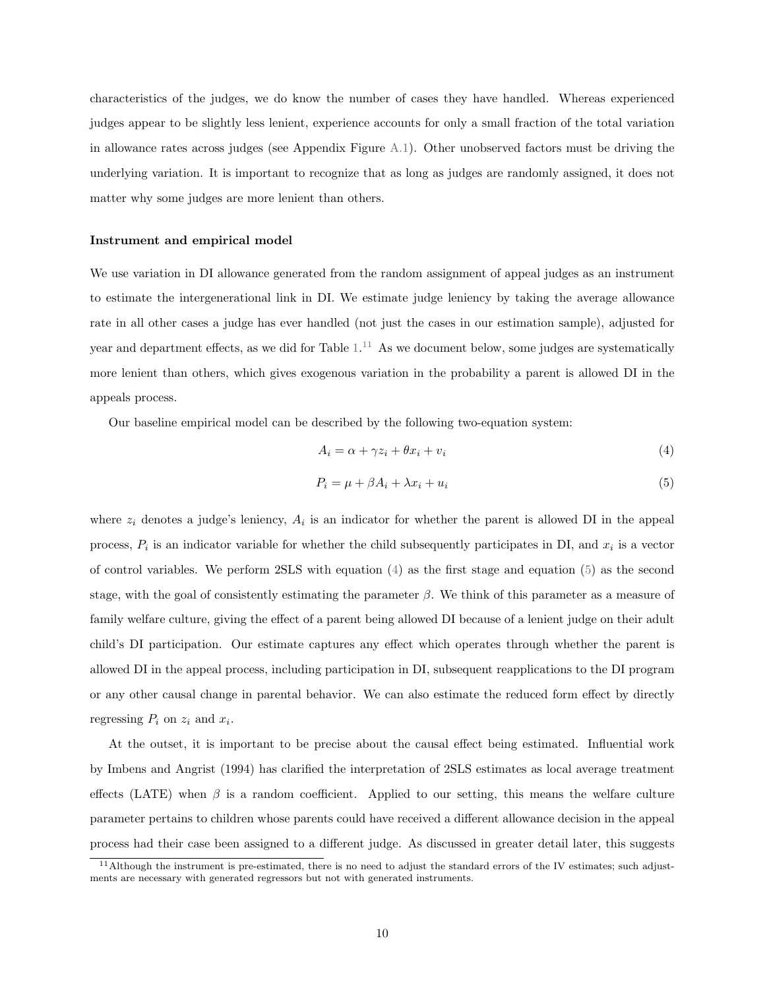characteristics of the judges, we do know the number of cases they have handled. Whereas experienced judges appear to be slightly less lenient, experience accounts for only a small fraction of the total variation in allowance rates across judges (see Appendix Figure [A.1\)](#page-9-0). Other unobserved factors must be driving the underlying variation. It is important to recognize that as long as judges are randomly assigned, it does not matter why some judges are more lenient than others.

#### Instrument and empirical model

We use variation in DI allowance generated from the random assignment of appeal judges as an instrument to estimate the intergenerational link in DI. We estimate judge leniency by taking the average allowance rate in all other cases a judge has ever handled (not just the cases in our estimation sample), adjusted for year and department effects, as we did for Table [1.](#page-11-0) [11](#page-12-0) As we document below, some judges are systematically more lenient than others, which gives exogenous variation in the probability a parent is allowed DI in the appeals process.

Our baseline empirical model can be described by the following two-equation system:

<span id="page-12-2"></span><span id="page-12-1"></span>
$$
A_i = \alpha + \gamma z_i + \theta x_i + v_i \tag{4}
$$

$$
P_i = \mu + \beta A_i + \lambda x_i + u_i \tag{5}
$$

where  $z_i$  denotes a judge's leniency,  $A_i$  is an indicator for whether the parent is allowed DI in the appeal process,  $P_i$  is an indicator variable for whether the child subsequently participates in DI, and  $x_i$  is a vector of control variables. We perform 2SLS with equation [\(4\)](#page-12-1) as the first stage and equation [\(5\)](#page-12-2) as the second stage, with the goal of consistently estimating the parameter  $\beta$ . We think of this parameter as a measure of family welfare culture, giving the effect of a parent being allowed DI because of a lenient judge on their adult child's DI participation. Our estimate captures any effect which operates through whether the parent is allowed DI in the appeal process, including participation in DI, subsequent reapplications to the DI program or any other causal change in parental behavior. We can also estimate the reduced form effect by directly regressing  $P_i$  on  $z_i$  and  $x_i$ .

At the outset, it is important to be precise about the causal effect being estimated. Influential work by Imbens and Angrist (1994) has clarified the interpretation of 2SLS estimates as local average treatment effects (LATE) when  $\beta$  is a random coefficient. Applied to our setting, this means the welfare culture parameter pertains to children whose parents could have received a different allowance decision in the appeal process had their case been assigned to a different judge. As discussed in greater detail later, this suggests

<span id="page-12-0"></span> $11$ Although the instrument is pre-estimated, there is no need to adjust the standard errors of the IV estimates; such adjustments are necessary with generated regressors but not with generated instruments.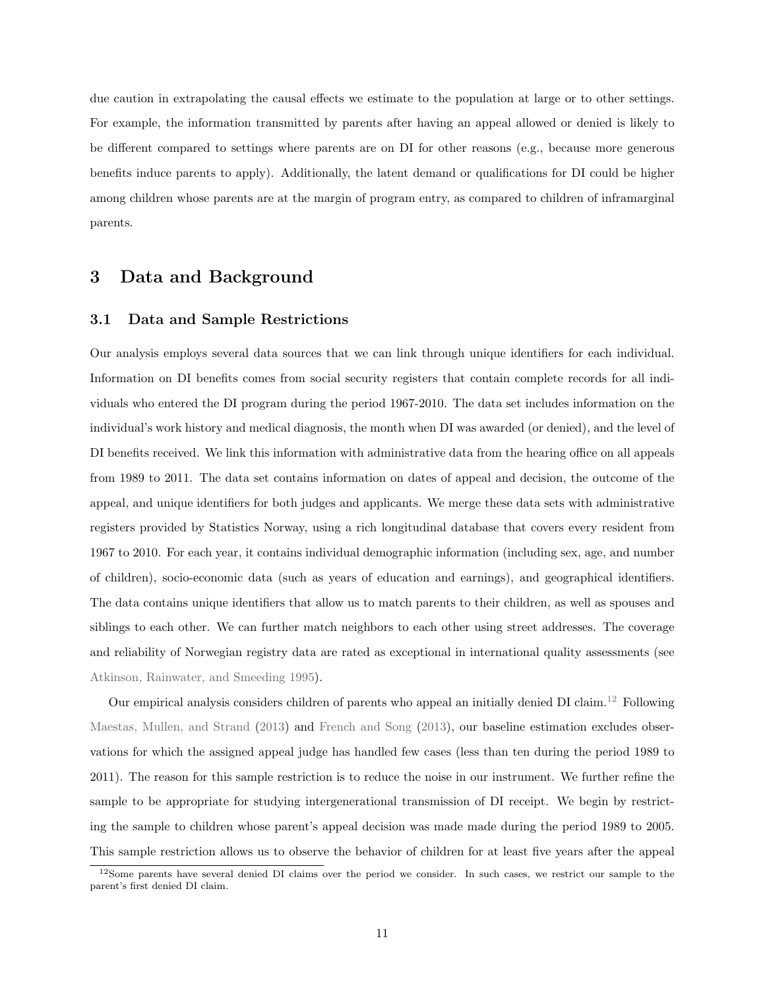due caution in extrapolating the causal effects we estimate to the population at large or to other settings. For example, the information transmitted by parents after having an appeal allowed or denied is likely to be different compared to settings where parents are on DI for other reasons (e.g., because more generous benefits induce parents to apply). Additionally, the latent demand or qualifications for DI could be higher among children whose parents are at the margin of program entry, as compared to children of inframarginal parents.

### <span id="page-13-0"></span>3 Data and Background

#### 3.1 Data and Sample Restrictions

Our analysis employs several data sources that we can link through unique identifiers for each individual. Information on DI benefits comes from social security registers that contain complete records for all individuals who entered the DI program during the period 1967-2010. The data set includes information on the individual's work history and medical diagnosis, the month when DI was awarded (or denied), and the level of DI benefits received. We link this information with administrative data from the hearing office on all appeals from 1989 to 2011. The data set contains information on dates of appeal and decision, the outcome of the appeal, and unique identifiers for both judges and applicants. We merge these data sets with administrative registers provided by Statistics Norway, using a rich longitudinal database that covers every resident from 1967 to 2010. For each year, it contains individual demographic information (including sex, age, and number of children), socio-economic data (such as years of education and earnings), and geographical identifiers. The data contains unique identifiers that allow us to match parents to their children, as well as spouses and siblings to each other. We can further match neighbors to each other using street addresses. The coverage and reliability of Norwegian registry data are rated as exceptional in international quality assessments (see [Atkinson, Rainwater, and Smeeding](#page-34-12) [1995\)](#page-34-12).

Our empirical analysis considers children of parents who appeal an initially denied DI claim.[12](#page-13-1) Following [Maestas, Mullen, and Strand](#page-36-6) [\(2013\)](#page-36-6) and [French and Song](#page-35-1) [\(2013\)](#page-35-1), our baseline estimation excludes observations for which the assigned appeal judge has handled few cases (less than ten during the period 1989 to 2011). The reason for this sample restriction is to reduce the noise in our instrument. We further refine the sample to be appropriate for studying intergenerational transmission of DI receipt. We begin by restricting the sample to children whose parent's appeal decision was made made during the period 1989 to 2005. This sample restriction allows us to observe the behavior of children for at least five years after the appeal

<span id="page-13-1"></span><sup>&</sup>lt;sup>12</sup>Some parents have several denied DI claims over the period we consider. In such cases, we restrict our sample to the parent's first denied DI claim.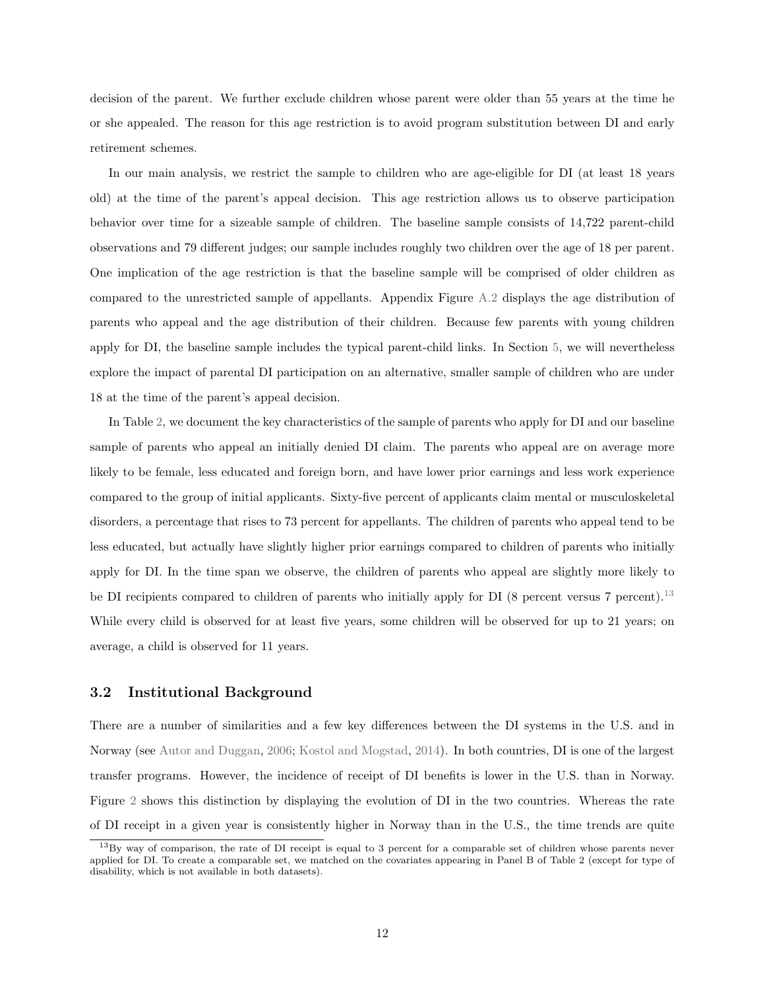decision of the parent. We further exclude children whose parent were older than 55 years at the time he or she appealed. The reason for this age restriction is to avoid program substitution between DI and early retirement schemes.

In our main analysis, we restrict the sample to children who are age-eligible for DI (at least 18 years old) at the time of the parent's appeal decision. This age restriction allows us to observe participation behavior over time for a sizeable sample of children. The baseline sample consists of 14,722 parent-child observations and 79 different judges; our sample includes roughly two children over the age of 18 per parent. One implication of the age restriction is that the baseline sample will be comprised of older children as compared to the unrestricted sample of appellants. Appendix Figure [A.2](#page-16-0) displays the age distribution of parents who appeal and the age distribution of their children. Because few parents with young children apply for DI, the baseline sample includes the typical parent-child links. In Section [5,](#page-27-0) we will nevertheless explore the impact of parental DI participation on an alternative, smaller sample of children who are under 18 at the time of the parent's appeal decision.

In Table [2,](#page-15-0) we document the key characteristics of the sample of parents who apply for DI and our baseline sample of parents who appeal an initially denied DI claim. The parents who appeal are on average more likely to be female, less educated and foreign born, and have lower prior earnings and less work experience compared to the group of initial applicants. Sixty-five percent of applicants claim mental or musculoskeletal disorders, a percentage that rises to 73 percent for appellants. The children of parents who appeal tend to be less educated, but actually have slightly higher prior earnings compared to children of parents who initially apply for DI. In the time span we observe, the children of parents who appeal are slightly more likely to be DI recipients compared to children of parents who initially apply for DI (8 percent versus 7 percent).<sup>[13](#page-14-0)</sup> While every child is observed for at least five years, some children will be observed for up to 21 years; on average, a child is observed for 11 years.

#### 3.2 Institutional Background

There are a number of similarities and a few key differences between the DI systems in the U.S. and in Norway (see [Autor and Duggan,](#page-34-2) [2006;](#page-34-2) [Kostol and Mogstad,](#page-36-8) [2014\)](#page-36-8). In both countries, DI is one of the largest transfer programs. However, the incidence of receipt of DI benefits is lower in the U.S. than in Norway. Figure [2](#page-16-0) shows this distinction by displaying the evolution of DI in the two countries. Whereas the rate of DI receipt in a given year is consistently higher in Norway than in the U.S., the time trends are quite

<span id="page-14-0"></span> $13\,\text{By}$  way of comparison, the rate of DI receipt is equal to 3 percent for a comparable set of children whose parents never applied for DI. To create a comparable set, we matched on the covariates appearing in Panel B of Table 2 (except for type of disability, which is not available in both datasets).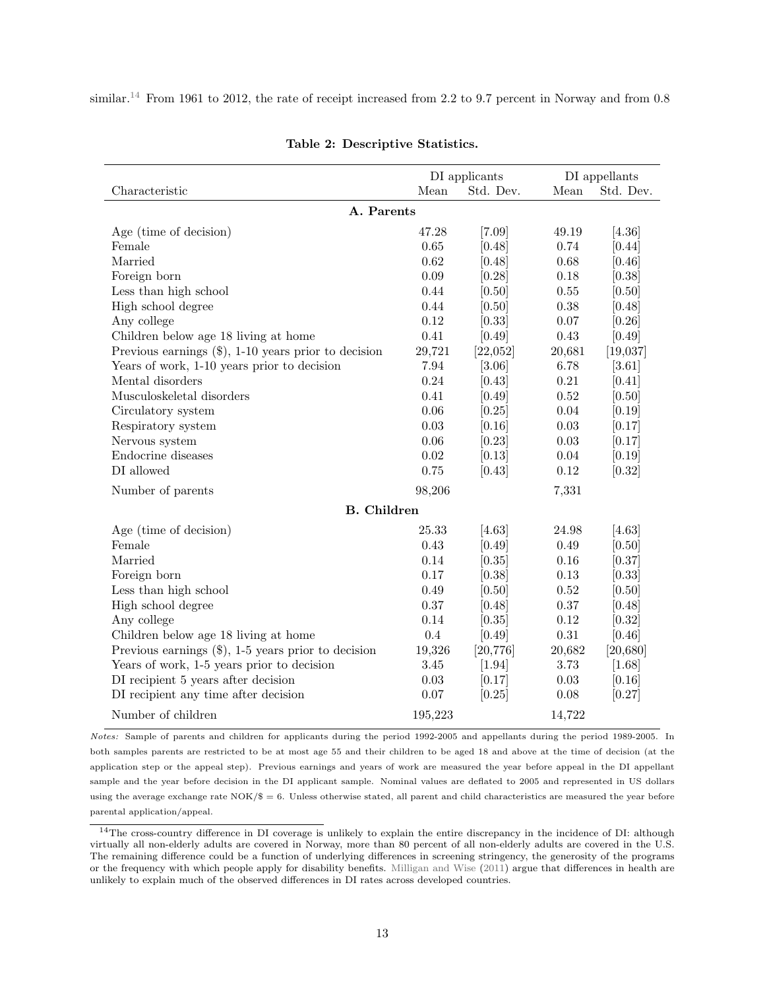similar.<sup>[14](#page-15-1)</sup> From 1961 to 2012, the rate of receipt increased from 2.2 to 9.7 percent in Norway and from 0.8

|                                                                | DI applicants |                     | DI appellants |                     |
|----------------------------------------------------------------|---------------|---------------------|---------------|---------------------|
| Characteristic                                                 | Mean          | Std. Dev.           | Mean          | Std. Dev.           |
| A. Parents                                                     |               |                     |               |                     |
| Age (time of decision)                                         | 47.28         | $[7.09]$            | 49.19         | [4.36]              |
| Female                                                         | 0.65          | [0.48]              | 0.74          | [0.44]              |
| Married                                                        | 0.62          | [0.48]              | 0.68          | [0.46]              |
| Foreign born                                                   | 0.09          | [0.28]              | 0.18          | [0.38]              |
| Less than high school                                          | 0.44          | [0.50]              | $0.55\,$      | [0.50]              |
| High school degree                                             | 0.44          | [0.50]              | 0.38          | [0.48]              |
| Any college                                                    | 0.12          | [0.33]              | 0.07          | [0.26]              |
| Children below age 18 living at home                           | 0.41          | $[0.49]$            | 0.43          | [0.49]              |
| Previous earnings $(\text{\$})$ , 1-10 years prior to decision | 29,721        | [22,052]            | 20,681        | [19, 037]           |
| Years of work, 1-10 years prior to decision                    | 7.94          | $\left[3.06\right]$ | 6.78          | $\left[3.61\right]$ |
| Mental disorders                                               | 0.24          | [0.43]              | 0.21          | [0.41]              |
| Musculoskeletal disorders                                      | 0.41          | [0.49]              | 0.52          | [0.50]              |
| Circulatory system                                             | 0.06          | [0.25]              | 0.04          | [0.19]              |
| Respiratory system                                             | 0.03          | [0.16]              | 0.03          | [0.17]              |
| Nervous system                                                 | 0.06          | [0.23]              | 0.03          | [0.17]              |
| Endocrine diseases                                             | $\rm 0.02$    | [0.13]              | 0.04          | [0.19]              |
| DI allowed                                                     | 0.75          | [0.43]              | 0.12          | [0.32]              |
| Number of parents                                              | 98,206        |                     | 7,331         |                     |
| <b>B.</b> Children                                             |               |                     |               |                     |
| Age (time of decision)                                         | 25.33         | [4.63]              | 24.98         | [4.63]              |
| Female                                                         | 0.43          | [0.49]              | 0.49          | [0.50]              |
| Married                                                        | 0.14          | [0.35]              | 0.16          | [0.37]              |
| Foreign born                                                   | 0.17          | [0.38]              | 0.13          | [0.33]              |
| Less than high school                                          | 0.49          | [0.50]              | $\rm 0.52$    | [0.50]              |
| High school degree                                             | 0.37          | [0.48]              | 0.37          | [0.48]              |
| Any college                                                    | 0.14          | [0.35]              | 0.12          | [0.32]              |
| Children below age 18 living at home                           | 0.4           | [0.49]              | 0.31          | [0.46]              |
| Previous earnings $(\text{\$})$ , 1-5 years prior to decision  | 19,326        | [20, 776]           | 20,682        | [20,680]            |
| Years of work, 1-5 years prior to decision                     | 3.45          | $\vert 1.94 \vert$  | 3.73          | [1.68]              |
| DI recipient 5 years after decision                            | 0.03          | [0.17]              | 0.03          | [0.16]              |
| DI recipient any time after decision                           | 0.07          | [0.25]              | 0.08          | [0.27]              |
| Number of children                                             | 195,223       |                     | 14,722        |                     |

<span id="page-15-0"></span>Table 2: Descriptive Statistics.

Notes: Sample of parents and children for applicants during the period 1992-2005 and appellants during the period 1989-2005. In both samples parents are restricted to be at most age 55 and their children to be aged 18 and above at the time of decision (at the application step or the appeal step). Previous earnings and years of work are measured the year before appeal in the DI appellant sample and the year before decision in the DI applicant sample. Nominal values are deflated to 2005 and represented in US dollars using the average exchange rate  $NOK/\$ = 6$ . Unless otherwise stated, all parent and child characteristics are measured the year before parental application/appeal.

<span id="page-15-1"></span><sup>&</sup>lt;sup>14</sup>The cross-country difference in DI coverage is unlikely to explain the entire discrepancy in the incidence of DI: although virtually all non-elderly adults are covered in Norway, more than 80 percent of all non-elderly adults are covered in the U.S. The remaining difference could be a function of underlying differences in screening stringency, the generosity of the programs or the frequency with which people apply for disability benefits. [Milligan and Wise](#page-36-14) [\(2011\)](#page-36-14) argue that differences in health are unlikely to explain much of the observed differences in DI rates across developed countries.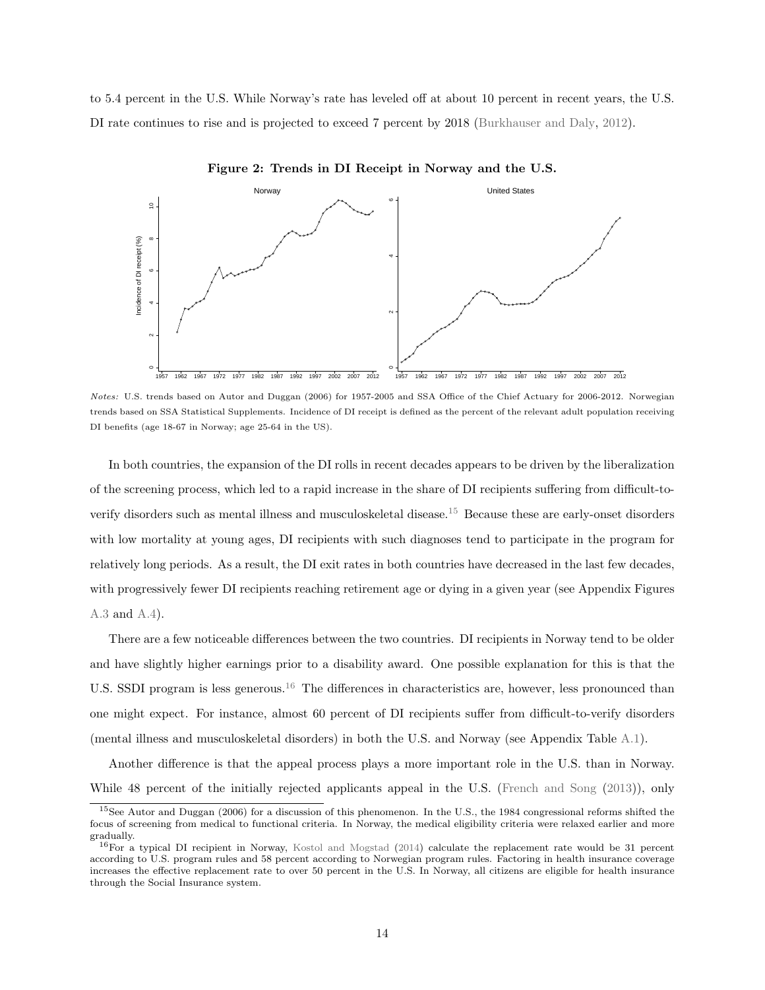to 5.4 percent in the U.S. While Norway's rate has leveled off at about 10 percent in recent years, the U.S. DI rate continues to rise and is projected to exceed 7 percent by 2018 [\(Burkhauser and Daly,](#page-35-0) [2012\)](#page-35-0).



<span id="page-16-0"></span>Figure 2: Trends in DI Receipt in Norway and the U.S.

Notes: U.S. trends based on Autor and Duggan (2006) for 1957-2005 and SSA Office of the Chief Actuary for 2006-2012. Norwegian trends based on SSA Statistical Supplements. Incidence of DI receipt is defined as the percent of the relevant adult population receiving DI benefits (age 18-67 in Norway; age 25-64 in the US).

In both countries, the expansion of the DI rolls in recent decades appears to be driven by the liberalization of the screening process, which led to a rapid increase in the share of DI recipients suffering from difficult-toverify disorders such as mental illness and musculoskeletal disease.[15](#page-16-1) Because these are early-onset disorders with low mortality at young ages, DI recipients with such diagnoses tend to participate in the program for relatively long periods. As a result, the DI exit rates in both countries have decreased in the last few decades, with progressively fewer DI recipients reaching retirement age or dying in a given year (see Appendix Figures [A.3](#page-17-1) and [A.4\)](#page-20-0).

There are a few noticeable differences between the two countries. DI recipients in Norway tend to be older and have slightly higher earnings prior to a disability award. One possible explanation for this is that the U.S. SSDI program is less generous.<sup>[16](#page-16-2)</sup> The differences in characteristics are, however, less pronounced than one might expect. For instance, almost 60 percent of DI recipients suffer from difficult-to-verify disorders (mental illness and musculoskeletal disorders) in both the U.S. and Norway (see Appendix Table [A.1\)](#page-11-0).

Another difference is that the appeal process plays a more important role in the U.S. than in Norway. While 48 percent of the initially rejected applicants appeal in the U.S. [\(French and Song](#page-35-1) [\(2013\)](#page-35-1)), only

<span id="page-16-1"></span><sup>15</sup>See Autor and Duggan (2006) for a discussion of this phenomenon. In the U.S., the 1984 congressional reforms shifted the focus of screening from medical to functional criteria. In Norway, the medical eligibility criteria were relaxed earlier and more gradually.

<span id="page-16-2"></span> $^{16}$ For a typical DI recipient in Norway, [Kostol and Mogstad](#page-36-8) [\(2014\)](#page-36-8) calculate the replacement rate would be 31 percent according to U.S. program rules and 58 percent according to Norwegian program rules. Factoring in health insurance coverage increases the effective replacement rate to over 50 percent in the U.S. In Norway, all citizens are eligible for health insurance through the Social Insurance system.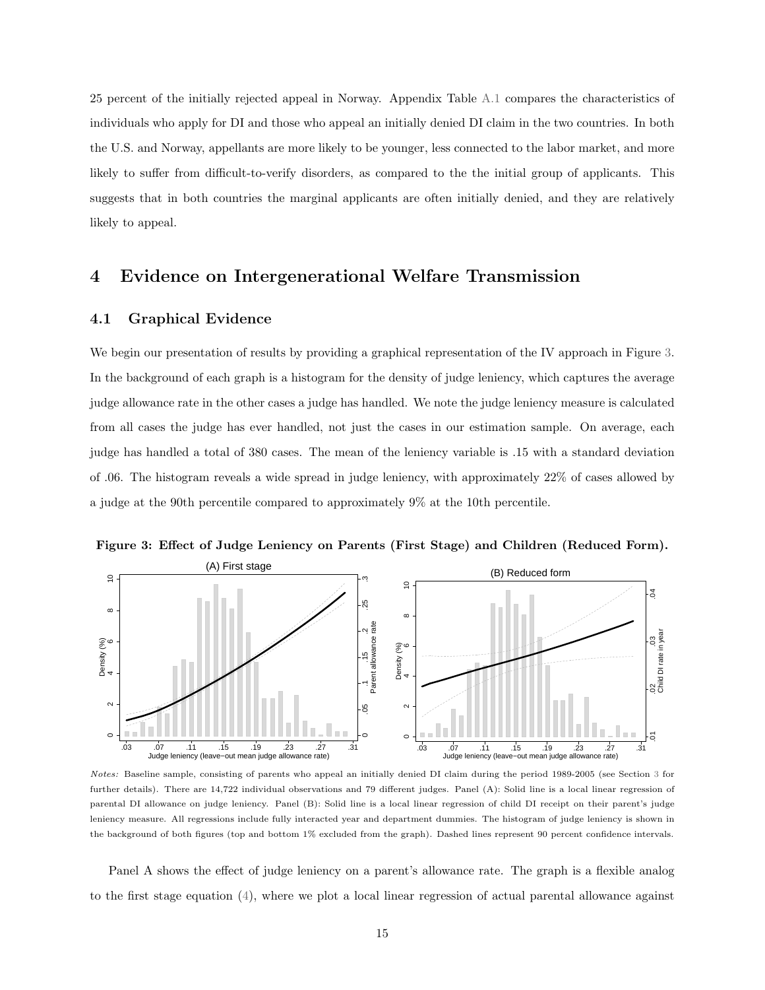25 percent of the initially rejected appeal in Norway. Appendix Table [A.1](#page-11-0) compares the characteristics of individuals who apply for DI and those who appeal an initially denied DI claim in the two countries. In both the U.S. and Norway, appellants are more likely to be younger, less connected to the labor market, and more likely to suffer from difficult-to-verify disorders, as compared to the the initial group of applicants. This suggests that in both countries the marginal applicants are often initially denied, and they are relatively likely to appeal.

# <span id="page-17-0"></span>4 Evidence on Intergenerational Welfare Transmission

#### 4.1 Graphical Evidence

We begin our presentation of results by providing a graphical representation of the IV approach in Figure [3.](#page-17-1) In the background of each graph is a histogram for the density of judge leniency, which captures the average judge allowance rate in the other cases a judge has handled. We note the judge leniency measure is calculated from all cases the judge has ever handled, not just the cases in our estimation sample. On average, each judge has handled a total of 380 cases. The mean of the leniency variable is .15 with a standard deviation of .06. The histogram reveals a wide spread in judge leniency, with approximately 22% of cases allowed by a judge at the 90th percentile compared to approximately 9% at the 10th percentile.



<span id="page-17-1"></span>Figure 3: Effect of Judge Leniency on Parents (First Stage) and Children (Reduced Form).

Notes: Baseline sample, consisting of parents who appeal an initially denied DI claim during the period 1989-2005 (see Section [3](#page-13-0) for further details). There are 14,722 individual observations and 79 different judges. Panel (A): Solid line is a local linear regression of parental DI allowance on judge leniency. Panel (B): Solid line is a local linear regression of child DI receipt on their parent's judge leniency measure. All regressions include fully interacted year and department dummies. The histogram of judge leniency is shown in the background of both figures (top and bottom 1% excluded from the graph). Dashed lines represent 90 percent confidence intervals.

Panel A shows the effect of judge leniency on a parent's allowance rate. The graph is a flexible analog to the first stage equation [\(4\)](#page-12-1), where we plot a local linear regression of actual parental allowance against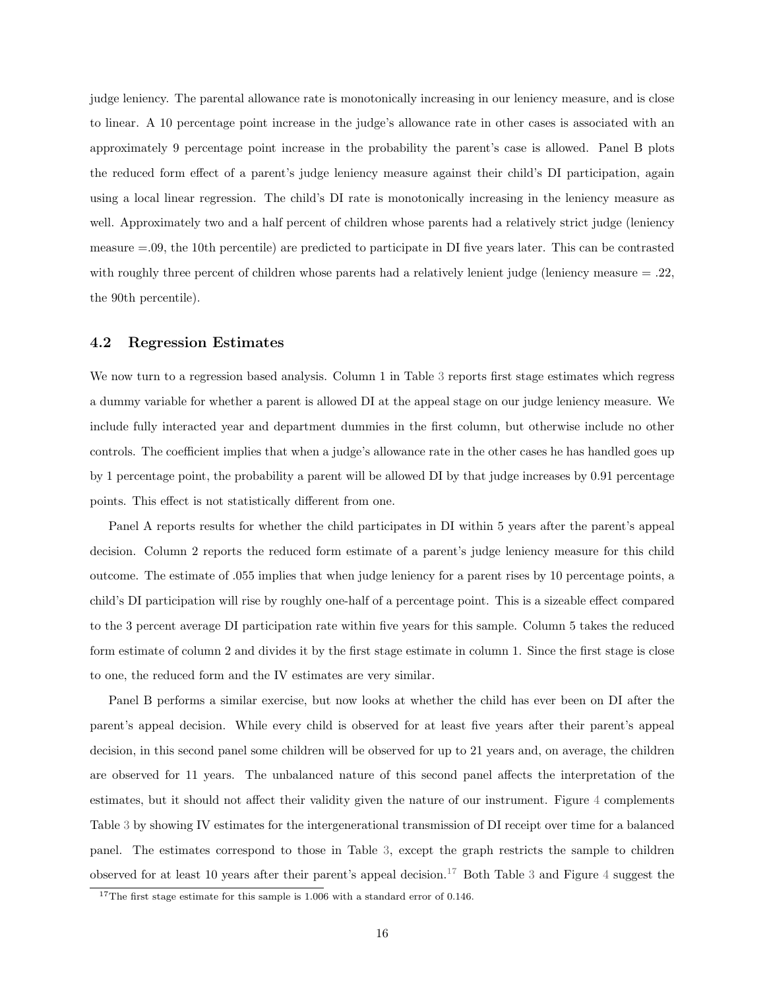judge leniency. The parental allowance rate is monotonically increasing in our leniency measure, and is close to linear. A 10 percentage point increase in the judge's allowance rate in other cases is associated with an approximately 9 percentage point increase in the probability the parent's case is allowed. Panel B plots the reduced form effect of a parent's judge leniency measure against their child's DI participation, again using a local linear regression. The child's DI rate is monotonically increasing in the leniency measure as well. Approximately two and a half percent of children whose parents had a relatively strict judge (leniency measure =.09, the 10th percentile) are predicted to participate in DI five years later. This can be contrasted with roughly three percent of children whose parents had a relatively lenient judge (leniency measure  $= .22$ , the 90th percentile).

#### 4.2 Regression Estimates

We now turn to a regression based analysis. Column 1 in Table [3](#page-19-0) reports first stage estimates which regress a dummy variable for whether a parent is allowed DI at the appeal stage on our judge leniency measure. We include fully interacted year and department dummies in the first column, but otherwise include no other controls. The coefficient implies that when a judge's allowance rate in the other cases he has handled goes up by 1 percentage point, the probability a parent will be allowed DI by that judge increases by 0.91 percentage points. This effect is not statistically different from one.

Panel A reports results for whether the child participates in DI within 5 years after the parent's appeal decision. Column 2 reports the reduced form estimate of a parent's judge leniency measure for this child outcome. The estimate of .055 implies that when judge leniency for a parent rises by 10 percentage points, a child's DI participation will rise by roughly one-half of a percentage point. This is a sizeable effect compared to the 3 percent average DI participation rate within five years for this sample. Column 5 takes the reduced form estimate of column 2 and divides it by the first stage estimate in column 1. Since the first stage is close to one, the reduced form and the IV estimates are very similar.

Panel B performs a similar exercise, but now looks at whether the child has ever been on DI after the parent's appeal decision. While every child is observed for at least five years after their parent's appeal decision, in this second panel some children will be observed for up to 21 years and, on average, the children are observed for 11 years. The unbalanced nature of this second panel affects the interpretation of the estimates, but it should not affect their validity given the nature of our instrument. Figure [4](#page-20-0) complements Table [3](#page-19-0) by showing IV estimates for the intergenerational transmission of DI receipt over time for a balanced panel. The estimates correspond to those in Table [3,](#page-19-0) except the graph restricts the sample to children observed for at least 10 years after their parent's appeal decision.<sup>[17](#page-18-0)</sup> Both Table [3](#page-19-0) and Figure [4](#page-20-0) suggest the

<span id="page-18-0"></span><sup>&</sup>lt;sup>17</sup>The first stage estimate for this sample is 1.006 with a standard error of 0.146.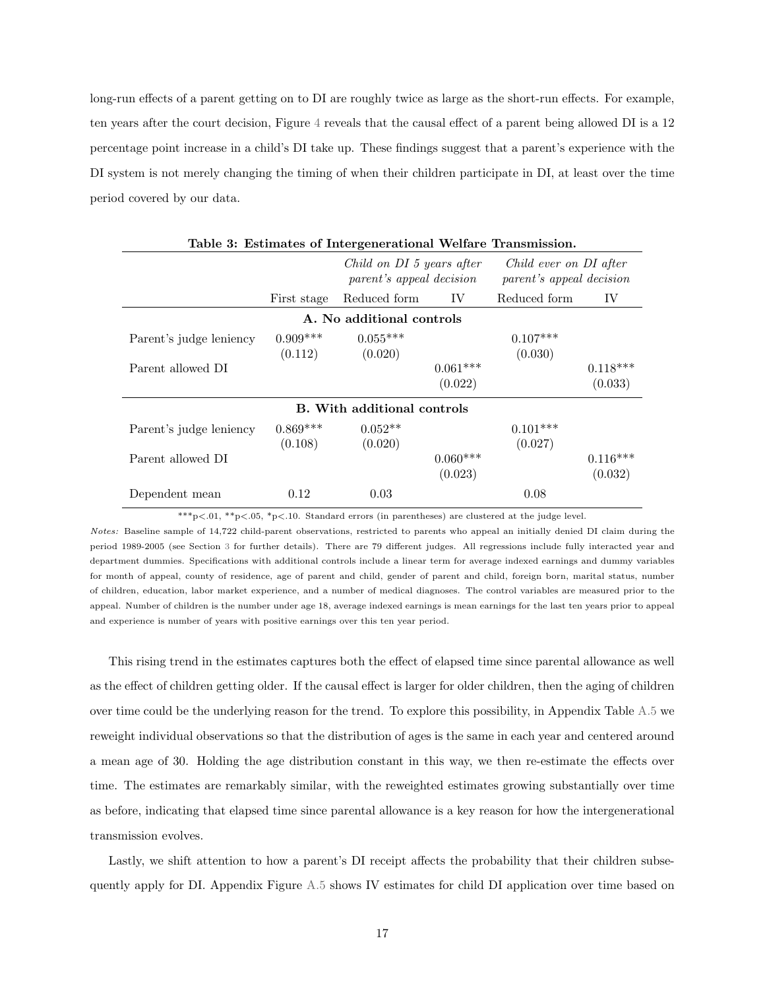long-run effects of a parent getting on to DI are roughly twice as large as the short-run effects. For example, ten years after the court decision, Figure [4](#page-20-0) reveals that the causal effect of a parent being allowed DI is a 12 percentage point increase in a child's DI take up. These findings suggest that a parent's experience with the DI system is not merely changing the timing of when their children participate in DI, at least over the time period covered by our data.

|                         |                       | Table 3: Estimates of Intergenerational Welfare Transmission.                                               |                       |                       |                       |
|-------------------------|-----------------------|-------------------------------------------------------------------------------------------------------------|-----------------------|-----------------------|-----------------------|
|                         |                       | Child on DI 5 years after<br>Child ever on DI after<br>parent's appeal decision<br>parent's appeal decision |                       |                       |                       |
|                         | First stage           | Reduced form                                                                                                | IV                    | Reduced form          | IV                    |
|                         |                       | A. No additional controls                                                                                   |                       |                       |                       |
| Parent's judge leniency | $0.909***$<br>(0.112) | $0.055***$<br>(0.020)                                                                                       |                       | $0.107***$<br>(0.030) |                       |
| Parent allowed DI       |                       |                                                                                                             | $0.061***$<br>(0.022) |                       | $0.118***$<br>(0.033) |
|                         |                       | <b>B.</b> With additional controls                                                                          |                       |                       |                       |
| Parent's judge leniency | $0.869***$<br>(0.108) | $0.052**$<br>(0.020)                                                                                        |                       | $0.101***$<br>(0.027) |                       |
| Parent allowed DI       |                       |                                                                                                             | $0.060***$<br>(0.023) |                       | $0.116***$<br>(0.032) |
| Dependent mean          | 0.12                  | 0.03                                                                                                        |                       | 0.08                  |                       |

<span id="page-19-0"></span>Table 3: Estimates of Intergenerational Welfare Transmission.

\*\*\*p<.01, \*\*p<.05, \*p<.10. Standard errors (in parentheses) are clustered at the judge level.

Notes: Baseline sample of 14,722 child-parent observations, restricted to parents who appeal an initially denied DI claim during the period 1989-2005 (see Section [3](#page-13-0) for further details). There are 79 different judges. All regressions include fully interacted year and department dummies. Specifications with additional controls include a linear term for average indexed earnings and dummy variables for month of appeal, county of residence, age of parent and child, gender of parent and child, foreign born, marital status, number of children, education, labor market experience, and a number of medical diagnoses. The control variables are measured prior to the appeal. Number of children is the number under age 18, average indexed earnings is mean earnings for the last ten years prior to appeal and experience is number of years with positive earnings over this ten year period.

This rising trend in the estimates captures both the effect of elapsed time since parental allowance as well as the effect of children getting older. If the causal effect is larger for older children, then the aging of children over time could be the underlying reason for the trend. To explore this possibility, in Appendix Table [A.5](#page-24-0) we reweight individual observations so that the distribution of ages is the same in each year and centered around a mean age of 30. Holding the age distribution constant in this way, we then re-estimate the effects over time. The estimates are remarkably similar, with the reweighted estimates growing substantially over time as before, indicating that elapsed time since parental allowance is a key reason for how the intergenerational transmission evolves.

Lastly, we shift attention to how a parent's DI receipt affects the probability that their children subsequently apply for DI. Appendix Figure [A.5](#page-45-0) shows IV estimates for child DI application over time based on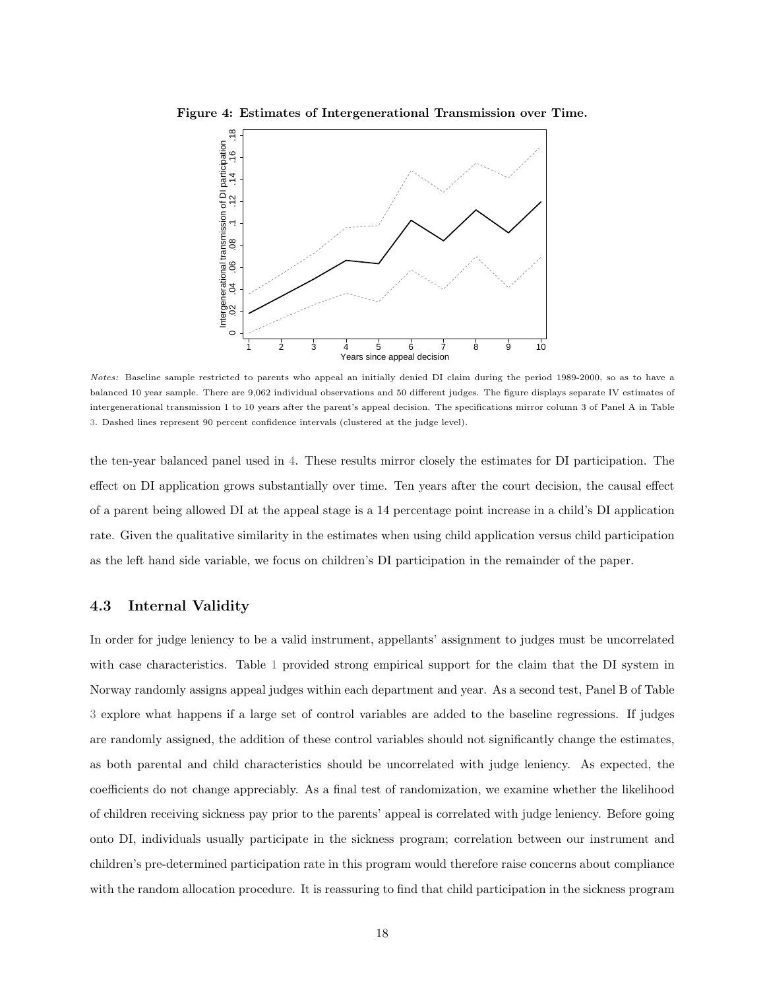

<span id="page-20-0"></span>

Notes: Baseline sample restricted to parents who appeal an initially denied DI claim during the period 1989-2000, so as to have a balanced 10 year sample. There are 9,062 individual observations and 50 different judges. The figure displays separate IV estimates of intergenerational transmission 1 to 10 years after the parent's appeal decision. The specifications mirror column 3 of Panel A in Table [3.](#page-19-0) Dashed lines represent 90 percent confidence intervals (clustered at the judge level).

the ten-year balanced panel used in [4.](#page-20-0) These results mirror closely the estimates for DI participation. The effect on DI application grows substantially over time. Ten years after the court decision, the causal effect of a parent being allowed DI at the appeal stage is a 14 percentage point increase in a child's DI application rate. Given the qualitative similarity in the estimates when using child application versus child participation as the left hand side variable, we focus on children's DI participation in the remainder of the paper.

#### 4.3 Internal Validity

In order for judge leniency to be a valid instrument, appellants' assignment to judges must be uncorrelated with case characteristics. Table [1](#page-11-0) provided strong empirical support for the claim that the DI system in Norway randomly assigns appeal judges within each department and year. As a second test, Panel B of Table [3](#page-19-0) explore what happens if a large set of control variables are added to the baseline regressions. If judges are randomly assigned, the addition of these control variables should not significantly change the estimates, as both parental and child characteristics should be uncorrelated with judge leniency. As expected, the coefficients do not change appreciably. As a final test of randomization, we examine whether the likelihood of children receiving sickness pay prior to the parents' appeal is correlated with judge leniency. Before going onto DI, individuals usually participate in the sickness program; correlation between our instrument and children's pre-determined participation rate in this program would therefore raise concerns about compliance with the random allocation procedure. It is reassuring to find that child participation in the sickness program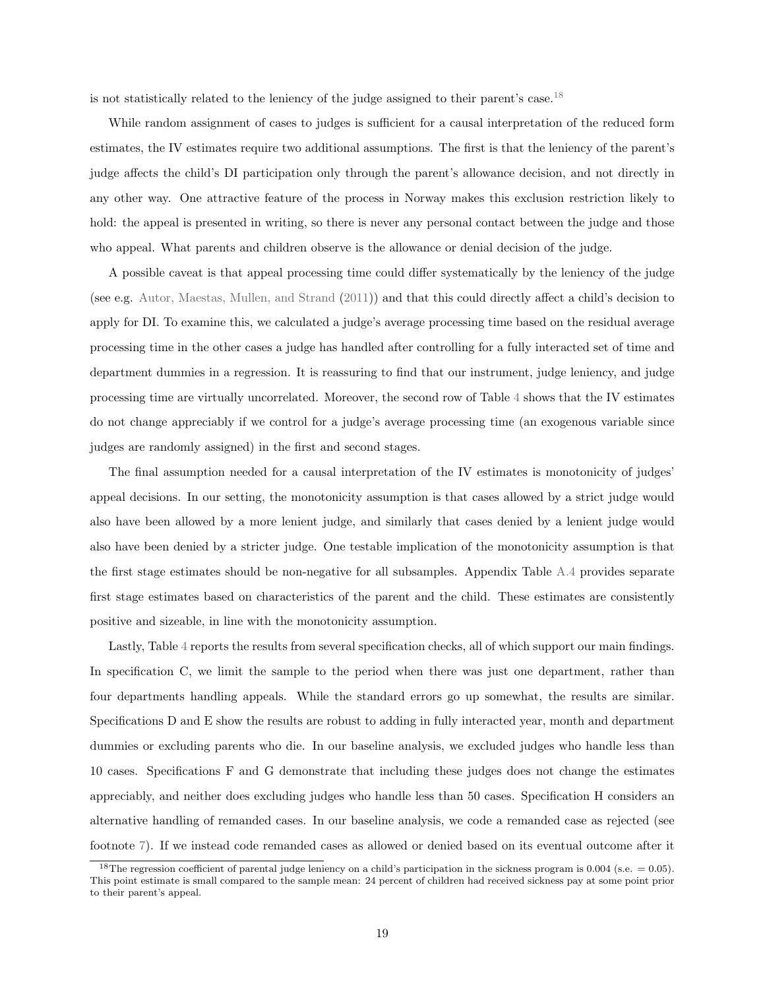is not statistically related to the leniency of the judge assigned to their parent's case.<sup>[18](#page-21-0)</sup>

While random assignment of cases to judges is sufficient for a causal interpretation of the reduced form estimates, the IV estimates require two additional assumptions. The first is that the leniency of the parent's judge affects the child's DI participation only through the parent's allowance decision, and not directly in any other way. One attractive feature of the process in Norway makes this exclusion restriction likely to hold: the appeal is presented in writing, so there is never any personal contact between the judge and those who appeal. What parents and children observe is the allowance or denial decision of the judge.

A possible caveat is that appeal processing time could differ systematically by the leniency of the judge (see e.g. [Autor, Maestas, Mullen, and Strand](#page-34-13) [\(2011\)](#page-34-13)) and that this could directly affect a child's decision to apply for DI. To examine this, we calculated a judge's average processing time based on the residual average processing time in the other cases a judge has handled after controlling for a fully interacted set of time and department dummies in a regression. It is reassuring to find that our instrument, judge leniency, and judge processing time are virtually uncorrelated. Moreover, the second row of Table [4](#page-22-0) shows that the IV estimates do not change appreciably if we control for a judge's average processing time (an exogenous variable since judges are randomly assigned) in the first and second stages.

The final assumption needed for a causal interpretation of the IV estimates is monotonicity of judges' appeal decisions. In our setting, the monotonicity assumption is that cases allowed by a strict judge would also have been allowed by a more lenient judge, and similarly that cases denied by a lenient judge would also have been denied by a stricter judge. One testable implication of the monotonicity assumption is that the first stage estimates should be non-negative for all subsamples. Appendix Table [A.4](#page-22-0) provides separate first stage estimates based on characteristics of the parent and the child. These estimates are consistently positive and sizeable, in line with the monotonicity assumption.

Lastly, Table [4](#page-22-0) reports the results from several specification checks, all of which support our main findings. In specification C, we limit the sample to the period when there was just one department, rather than four departments handling appeals. While the standard errors go up somewhat, the results are similar. Specifications D and E show the results are robust to adding in fully interacted year, month and department dummies or excluding parents who die. In our baseline analysis, we excluded judges who handle less than 10 cases. Specifications F and G demonstrate that including these judges does not change the estimates appreciably, and neither does excluding judges who handle less than 50 cases. Specification H considers an alternative handling of remanded cases. In our baseline analysis, we code a remanded case as rejected (see footnote [7\)](#page-9-1). If we instead code remanded cases as allowed or denied based on its eventual outcome after it

<span id="page-21-0"></span><sup>&</sup>lt;sup>18</sup>The regression coefficient of parental judge leniency on a child's participation in the sickness program is 0.004 (s.e.  $= 0.05$ ). This point estimate is small compared to the sample mean: 24 percent of children had received sickness pay at some point prior to their parent's appeal.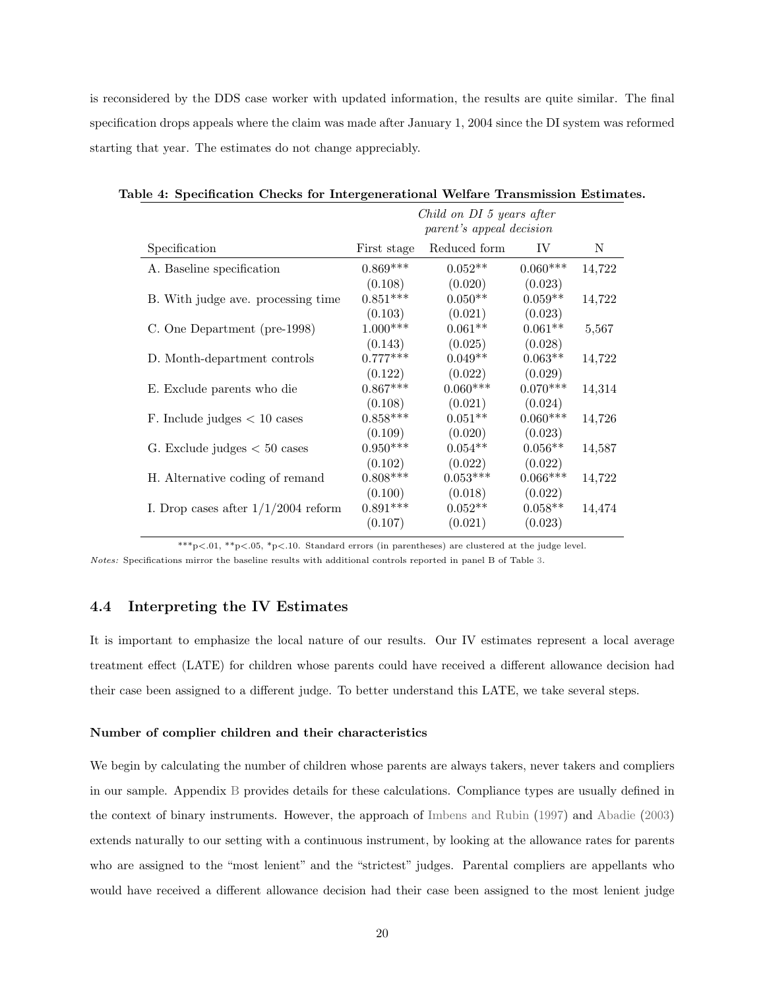is reconsidered by the DDS case worker with updated information, the results are quite similar. The final specification drops appeals where the claim was made after January 1, 2004 since the DI system was reformed starting that year. The estimates do not change appreciably.

<span id="page-22-0"></span>

|                                       | Child on DI 5 years after<br>parent's appeal decision |              |            |        |
|---------------------------------------|-------------------------------------------------------|--------------|------------|--------|
| Specification                         | First stage                                           | Reduced form | IV         | N      |
| A. Baseline specification             | $0.869***$                                            | $0.052**$    | $0.060***$ | 14,722 |
|                                       | (0.108)                                               | (0.020)      | (0.023)    |        |
| B. With judge ave. processing time    | $0.851***$                                            | $0.050**$    | $0.059**$  | 14,722 |
|                                       | (0.103)                                               | (0.021)      | (0.023)    |        |
| C. One Department (pre-1998)          | $1.000***$                                            | $0.061**$    | $0.061**$  | 5,567  |
|                                       | (0.143)                                               | (0.025)      | (0.028)    |        |
| D. Month-department controls          | $0.777***$                                            | $0.049**$    | $0.063**$  | 14,722 |
|                                       | (0.122)                                               | (0.022)      | (0.029)    |        |
| E. Exclude parents who die            | $0.867***$                                            | $0.060***$   | $0.070***$ | 14,314 |
|                                       | (0.108)                                               | (0.021)      | (0.024)    |        |
| F. Include judges $< 10$ cases        | $0.858***$                                            | $0.051**$    | $0.060***$ | 14,726 |
|                                       | (0.109)                                               | (0.020)      | (0.023)    |        |
| G. Exclude judges $< 50$ cases        | $0.950***$                                            | $0.054**$    | $0.056**$  | 14,587 |
|                                       | (0.102)                                               | (0.022)      | (0.022)    |        |
| H. Alternative coding of remand       | $0.808***$                                            | $0.053***$   | $0.066***$ | 14,722 |
|                                       | (0.100)                                               | (0.018)      | (0.022)    |        |
| I. Drop cases after $1/1/2004$ reform | $0.891***$                                            | $0.052**$    | $0.058**$  | 14,474 |
|                                       | (0.107)                                               | (0.021)      | (0.023)    |        |

Table 4: Specification Checks for Intergenerational Welfare Transmission Estimates.

\*\*\*p $<.01$ , \*\*p $<.05$ , \*p $<.10$ . Standard errors (in parentheses) are clustered at the judge level.

Notes: Specifications mirror the baseline results with additional controls reported in panel B of Table [3.](#page-19-0)

#### 4.4 Interpreting the IV Estimates

It is important to emphasize the local nature of our results. Our IV estimates represent a local average treatment effect (LATE) for children whose parents could have received a different allowance decision had their case been assigned to a different judge. To better understand this LATE, we take several steps.

#### Number of complier children and their characteristics

We begin by calculating the number of children whose parents are always takers, never takers and compliers in our sample. Appendix [B](#page-46-0) provides details for these calculations. Compliance types are usually defined in the context of binary instruments. However, the approach of [Imbens and Rubin](#page-35-14) [\(1997\)](#page-35-14) and [Abadie](#page-34-14) [\(2003\)](#page-34-14) extends naturally to our setting with a continuous instrument, by looking at the allowance rates for parents who are assigned to the "most lenient" and the "strictest" judges. Parental compliers are appellants who would have received a different allowance decision had their case been assigned to the most lenient judge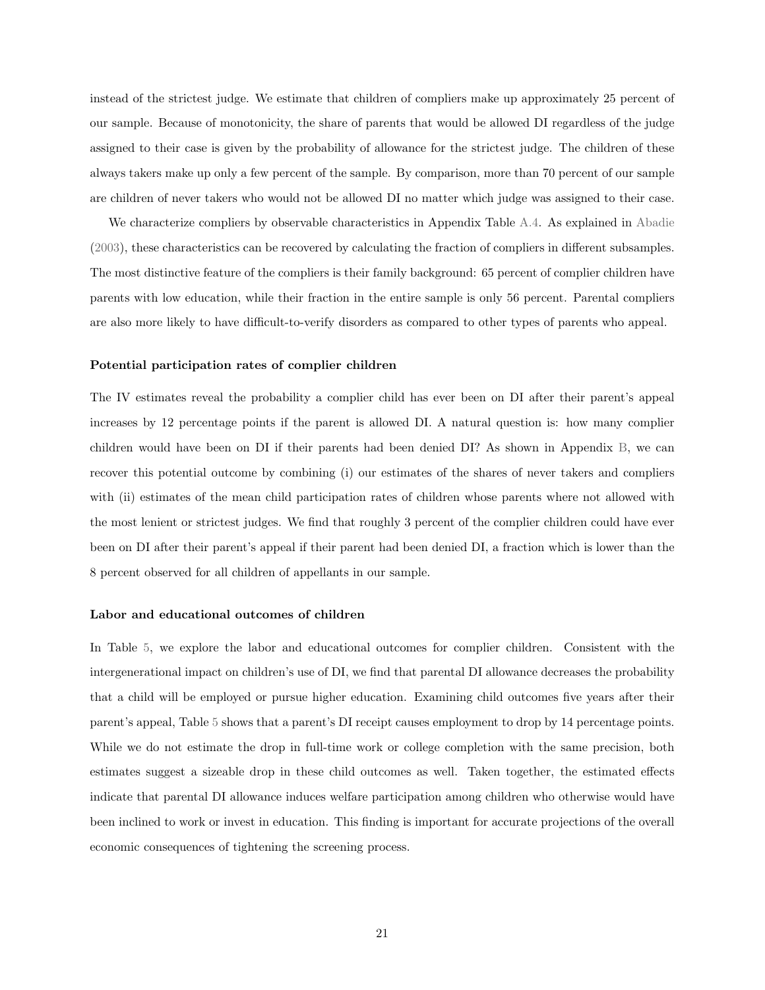instead of the strictest judge. We estimate that children of compliers make up approximately 25 percent of our sample. Because of monotonicity, the share of parents that would be allowed DI regardless of the judge assigned to their case is given by the probability of allowance for the strictest judge. The children of these always takers make up only a few percent of the sample. By comparison, more than 70 percent of our sample are children of never takers who would not be allowed DI no matter which judge was assigned to their case.

We characterize compliers by observable characteristics in Appendix Table [A.4.](#page-22-0) As explained in [Abadie](#page-34-14) [\(2003\)](#page-34-14), these characteristics can be recovered by calculating the fraction of compliers in different subsamples. The most distinctive feature of the compliers is their family background: 65 percent of complier children have parents with low education, while their fraction in the entire sample is only 56 percent. Parental compliers are also more likely to have difficult-to-verify disorders as compared to other types of parents who appeal.

#### Potential participation rates of complier children

The IV estimates reveal the probability a complier child has ever been on DI after their parent's appeal increases by 12 percentage points if the parent is allowed DI. A natural question is: how many complier children would have been on DI if their parents had been denied DI? As shown in Appendix [B,](#page-46-0) we can recover this potential outcome by combining (i) our estimates of the shares of never takers and compliers with (ii) estimates of the mean child participation rates of children whose parents where not allowed with the most lenient or strictest judges. We find that roughly 3 percent of the complier children could have ever been on DI after their parent's appeal if their parent had been denied DI, a fraction which is lower than the 8 percent observed for all children of appellants in our sample.

#### Labor and educational outcomes of children

In Table [5,](#page-24-0) we explore the labor and educational outcomes for complier children. Consistent with the intergenerational impact on children's use of DI, we find that parental DI allowance decreases the probability that a child will be employed or pursue higher education. Examining child outcomes five years after their parent's appeal, Table [5](#page-24-0) shows that a parent's DI receipt causes employment to drop by 14 percentage points. While we do not estimate the drop in full-time work or college completion with the same precision, both estimates suggest a sizeable drop in these child outcomes as well. Taken together, the estimated effects indicate that parental DI allowance induces welfare participation among children who otherwise would have been inclined to work or invest in education. This finding is important for accurate projections of the overall economic consequences of tightening the screening process.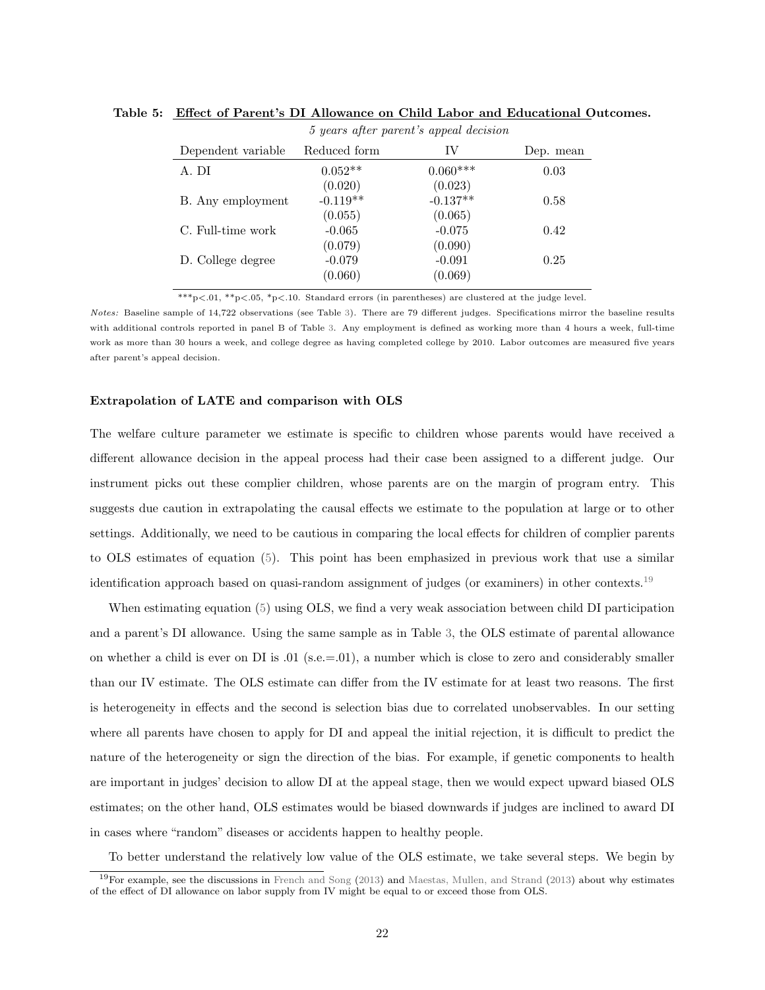<span id="page-24-0"></span>

|                    | 5 years after parent's appeal decision |                     |           |  |  |  |
|--------------------|----------------------------------------|---------------------|-----------|--|--|--|
| Dependent variable | Reduced form                           | IV                  | Dep. mean |  |  |  |
| A. DI              | $0.052**$                              | $0.060***$          | 0.03      |  |  |  |
|                    | (0.020)                                | (0.023)             |           |  |  |  |
| B. Any employment  | $-0.119**$                             | $-0.137**$          | 0.58      |  |  |  |
|                    | (0.055)                                | (0.065)             |           |  |  |  |
| C. Full-time work  | $-0.065$                               | $-0.075$            | 0.42      |  |  |  |
|                    | (0.079)                                | (0.090)             | 0.25      |  |  |  |
| D. College degree  | $-0.079$<br>(0.060)                    | $-0.091$<br>(0.069) |           |  |  |  |
|                    |                                        |                     |           |  |  |  |

Table 5: Effect of Parent's DI Allowance on Child Labor and Educational Outcomes.

\*\*\*p $\lt$ .01, \*\*p $\lt$ .05, \*p $\lt$ .10. Standard errors (in parentheses) are clustered at the judge level.

Notes: Baseline sample of 14,722 observations (see Table [3\)](#page-19-0). There are 79 different judges. Specifications mirror the baseline results with additional controls reported in panel B of Table [3.](#page-19-0) Any employment is defined as working more than 4 hours a week, full-time work as more than 30 hours a week, and college degree as having completed college by 2010. Labor outcomes are measured five years after parent's appeal decision.

#### Extrapolation of LATE and comparison with OLS

The welfare culture parameter we estimate is specific to children whose parents would have received a different allowance decision in the appeal process had their case been assigned to a different judge. Our instrument picks out these complier children, whose parents are on the margin of program entry. This suggests due caution in extrapolating the causal effects we estimate to the population at large or to other settings. Additionally, we need to be cautious in comparing the local effects for children of complier parents to OLS estimates of equation [\(5\)](#page-12-2). This point has been emphasized in previous work that use a similar identification approach based on quasi-random assignment of judges (or examiners) in other contexts.[19](#page-24-1)

When estimating equation [\(5\)](#page-12-2) using OLS, we find a very weak association between child DI participation and a parent's DI allowance. Using the same sample as in Table [3,](#page-19-0) the OLS estimate of parental allowance on whether a child is ever on DI is .01 (s.e.=.01), a number which is close to zero and considerably smaller than our IV estimate. The OLS estimate can differ from the IV estimate for at least two reasons. The first is heterogeneity in effects and the second is selection bias due to correlated unobservables. In our setting where all parents have chosen to apply for DI and appeal the initial rejection, it is difficult to predict the nature of the heterogeneity or sign the direction of the bias. For example, if genetic components to health are important in judges' decision to allow DI at the appeal stage, then we would expect upward biased OLS estimates; on the other hand, OLS estimates would be biased downwards if judges are inclined to award DI in cases where "random" diseases or accidents happen to healthy people.

<span id="page-24-1"></span>To better understand the relatively low value of the OLS estimate, we take several steps. We begin by

<sup>&</sup>lt;sup>19</sup>For example, see the discussions in [French and Song](#page-35-1) [\(2013\)](#page-36-6) and [Maestas, Mullen, and Strand](#page-36-6) (2013) about why estimates of the effect of DI allowance on labor supply from IV might be equal to or exceed those from OLS.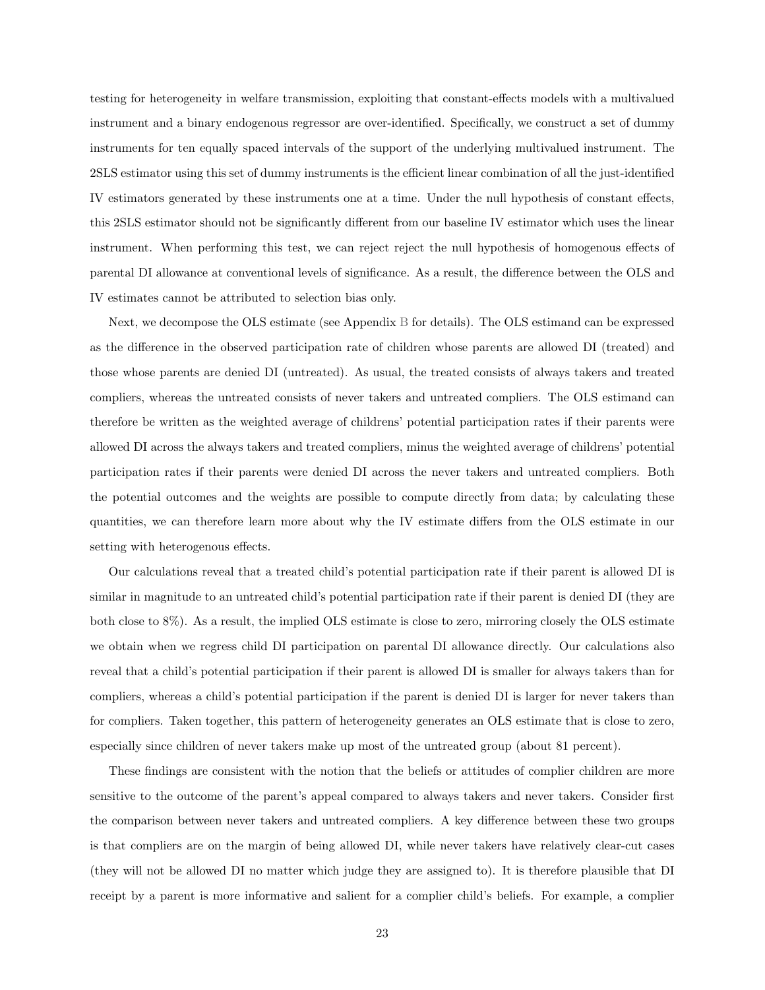testing for heterogeneity in welfare transmission, exploiting that constant-effects models with a multivalued instrument and a binary endogenous regressor are over-identified. Specifically, we construct a set of dummy instruments for ten equally spaced intervals of the support of the underlying multivalued instrument. The 2SLS estimator using this set of dummy instruments is the efficient linear combination of all the just-identified IV estimators generated by these instruments one at a time. Under the null hypothesis of constant effects, this 2SLS estimator should not be significantly different from our baseline IV estimator which uses the linear instrument. When performing this test, we can reject reject the null hypothesis of homogenous effects of parental DI allowance at conventional levels of significance. As a result, the difference between the OLS and IV estimates cannot be attributed to selection bias only.

Next, we decompose the OLS estimate (see Appendix [B](#page-46-0) for details). The OLS estimand can be expressed as the difference in the observed participation rate of children whose parents are allowed DI (treated) and those whose parents are denied DI (untreated). As usual, the treated consists of always takers and treated compliers, whereas the untreated consists of never takers and untreated compliers. The OLS estimand can therefore be written as the weighted average of childrens' potential participation rates if their parents were allowed DI across the always takers and treated compliers, minus the weighted average of childrens' potential participation rates if their parents were denied DI across the never takers and untreated compliers. Both the potential outcomes and the weights are possible to compute directly from data; by calculating these quantities, we can therefore learn more about why the IV estimate differs from the OLS estimate in our setting with heterogenous effects.

Our calculations reveal that a treated child's potential participation rate if their parent is allowed DI is similar in magnitude to an untreated child's potential participation rate if their parent is denied DI (they are both close to 8%). As a result, the implied OLS estimate is close to zero, mirroring closely the OLS estimate we obtain when we regress child DI participation on parental DI allowance directly. Our calculations also reveal that a child's potential participation if their parent is allowed DI is smaller for always takers than for compliers, whereas a child's potential participation if the parent is denied DI is larger for never takers than for compliers. Taken together, this pattern of heterogeneity generates an OLS estimate that is close to zero, especially since children of never takers make up most of the untreated group (about 81 percent).

These findings are consistent with the notion that the beliefs or attitudes of complier children are more sensitive to the outcome of the parent's appeal compared to always takers and never takers. Consider first the comparison between never takers and untreated compliers. A key difference between these two groups is that compliers are on the margin of being allowed DI, while never takers have relatively clear-cut cases (they will not be allowed DI no matter which judge they are assigned to). It is therefore plausible that DI receipt by a parent is more informative and salient for a complier child's beliefs. For example, a complier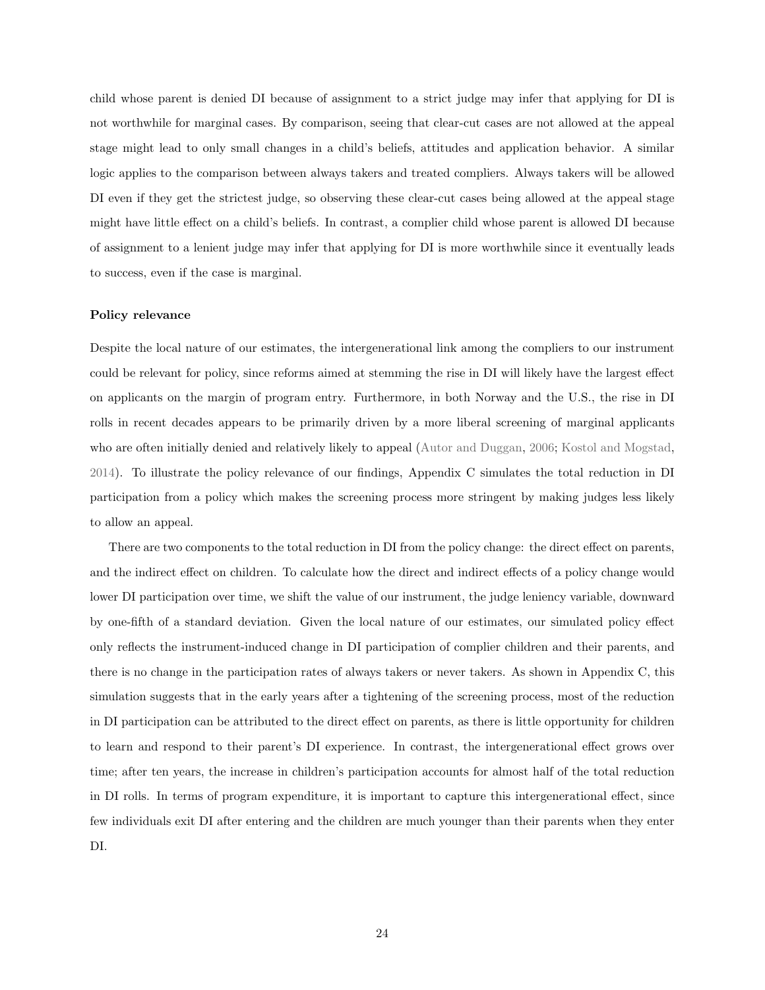child whose parent is denied DI because of assignment to a strict judge may infer that applying for DI is not worthwhile for marginal cases. By comparison, seeing that clear-cut cases are not allowed at the appeal stage might lead to only small changes in a child's beliefs, attitudes and application behavior. A similar logic applies to the comparison between always takers and treated compliers. Always takers will be allowed DI even if they get the strictest judge, so observing these clear-cut cases being allowed at the appeal stage might have little effect on a child's beliefs. In contrast, a complier child whose parent is allowed DI because of assignment to a lenient judge may infer that applying for DI is more worthwhile since it eventually leads to success, even if the case is marginal.

#### Policy relevance

Despite the local nature of our estimates, the intergenerational link among the compliers to our instrument could be relevant for policy, since reforms aimed at stemming the rise in DI will likely have the largest effect on applicants on the margin of program entry. Furthermore, in both Norway and the U.S., the rise in DI rolls in recent decades appears to be primarily driven by a more liberal screening of marginal applicants who are often initially denied and relatively likely to appeal [\(Autor and Duggan,](#page-34-2) [2006;](#page-34-2) [Kostol and Mogstad,](#page-36-8) [2014\)](#page-36-8). To illustrate the policy relevance of our findings, Appendix C simulates the total reduction in DI participation from a policy which makes the screening process more stringent by making judges less likely to allow an appeal.

There are two components to the total reduction in DI from the policy change: the direct effect on parents, and the indirect effect on children. To calculate how the direct and indirect effects of a policy change would lower DI participation over time, we shift the value of our instrument, the judge leniency variable, downward by one-fifth of a standard deviation. Given the local nature of our estimates, our simulated policy effect only reflects the instrument-induced change in DI participation of complier children and their parents, and there is no change in the participation rates of always takers or never takers. As shown in Appendix C, this simulation suggests that in the early years after a tightening of the screening process, most of the reduction in DI participation can be attributed to the direct effect on parents, as there is little opportunity for children to learn and respond to their parent's DI experience. In contrast, the intergenerational effect grows over time; after ten years, the increase in children's participation accounts for almost half of the total reduction in DI rolls. In terms of program expenditure, it is important to capture this intergenerational effect, since few individuals exit DI after entering and the children are much younger than their parents when they enter DI.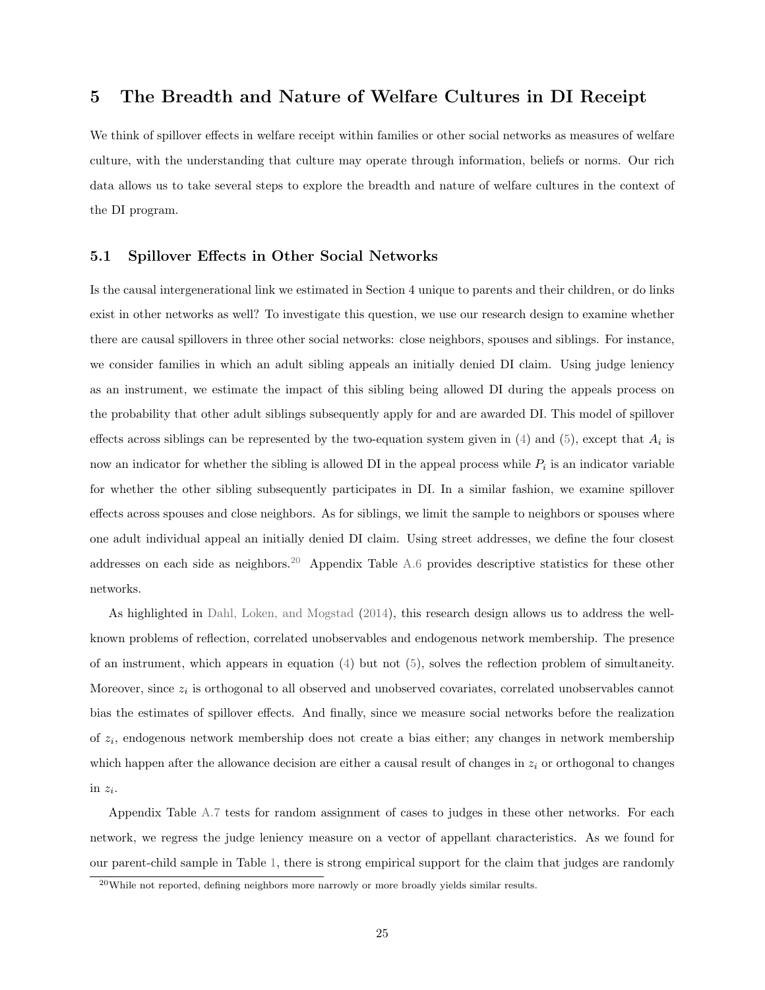# <span id="page-27-0"></span>5 The Breadth and Nature of Welfare Cultures in DI Receipt

We think of spillover effects in welfare receipt within families or other social networks as measures of welfare culture, with the understanding that culture may operate through information, beliefs or norms. Our rich data allows us to take several steps to explore the breadth and nature of welfare cultures in the context of the DI program.

#### 5.1 Spillover Effects in Other Social Networks

Is the causal intergenerational link we estimated in Section 4 unique to parents and their children, or do links exist in other networks as well? To investigate this question, we use our research design to examine whether there are causal spillovers in three other social networks: close neighbors, spouses and siblings. For instance, we consider families in which an adult sibling appeals an initially denied DI claim. Using judge leniency as an instrument, we estimate the impact of this sibling being allowed DI during the appeals process on the probability that other adult siblings subsequently apply for and are awarded DI. This model of spillover effects across siblings can be represented by the two-equation system given in [\(4\)](#page-12-1) and [\(5\)](#page-12-2), except that  $A_i$  is now an indicator for whether the sibling is allowed DI in the appeal process while  $P_i$  is an indicator variable for whether the other sibling subsequently participates in DI. In a similar fashion, we examine spillover effects across spouses and close neighbors. As for siblings, we limit the sample to neighbors or spouses where one adult individual appeal an initially denied DI claim. Using street addresses, we define the four closest addresses on each side as neighbors.[20](#page-27-1) Appendix Table [A.6](#page-28-0) provides descriptive statistics for these other networks.

As highlighted in [Dahl, Loken, and Mogstad](#page-35-15) [\(2014\)](#page-35-15), this research design allows us to address the wellknown problems of reflection, correlated unobservables and endogenous network membership. The presence of an instrument, which appears in equation  $(4)$  but not  $(5)$ , solves the reflection problem of simultaneity. Moreover, since  $z_i$  is orthogonal to all observed and unobserved covariates, correlated unobservables cannot bias the estimates of spillover effects. And finally, since we measure social networks before the realization of  $z_i$ , endogenous network membership does not create a bias either; any changes in network membership which happen after the allowance decision are either a causal result of changes in  $z_i$  or orthogonal to changes  $\text{in } z_i$ .

Appendix Table [A.7](#page-29-0) tests for random assignment of cases to judges in these other networks. For each network, we regress the judge leniency measure on a vector of appellant characteristics. As we found for our parent-child sample in Table [1,](#page-11-0) there is strong empirical support for the claim that judges are randomly

<span id="page-27-1"></span><sup>20</sup>While not reported, defining neighbors more narrowly or more broadly yields similar results.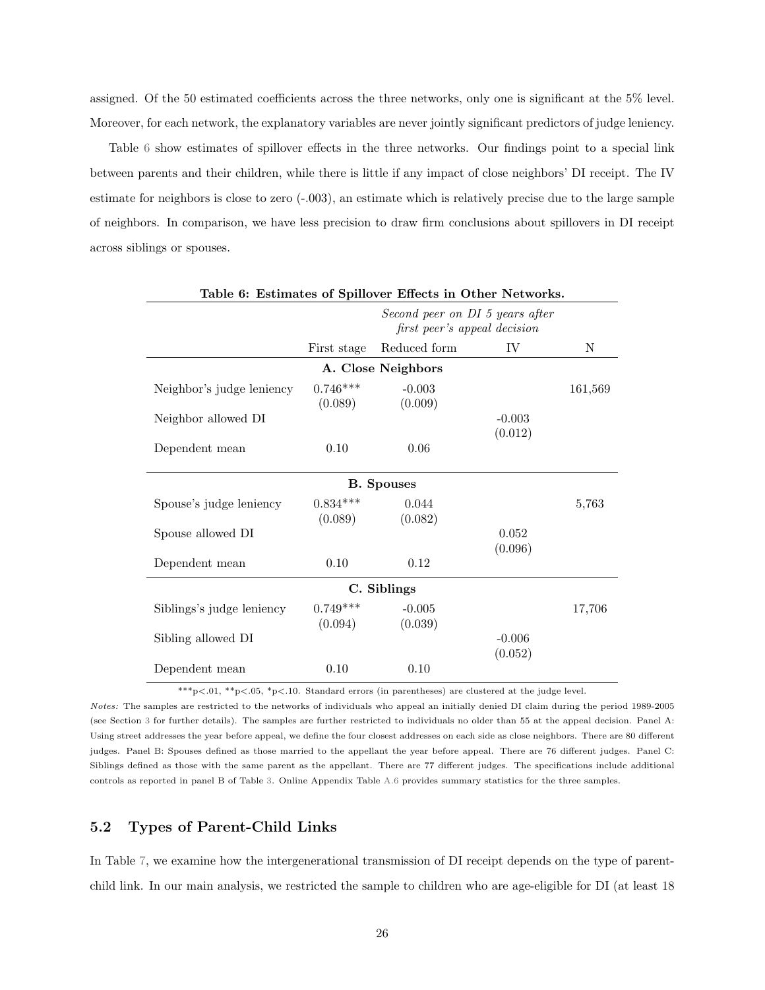assigned. Of the 50 estimated coefficients across the three networks, only one is significant at the 5% level. Moreover, for each network, the explanatory variables are never jointly significant predictors of judge leniency.

Table [6](#page-28-0) show estimates of spillover effects in the three networks. Our findings point to a special link between parents and their children, while there is little if any impact of close neighbors' DI receipt. The IV estimate for neighbors is close to zero (-.003), an estimate which is relatively precise due to the large sample of neighbors. In comparison, we have less precision to draw firm conclusions about spillovers in DI receipt across siblings or spouses.

<span id="page-28-0"></span>

| Table 6: Estimates of Spillover Effects in Other Networks.      |                       |                     |                     |         |  |  |
|-----------------------------------------------------------------|-----------------------|---------------------|---------------------|---------|--|--|
| Second peer on DI 5 years after<br>first peer's appeal decision |                       |                     |                     |         |  |  |
|                                                                 | First stage           | Reduced form        | IV                  | N       |  |  |
|                                                                 |                       | A. Close Neighbors  |                     |         |  |  |
| Neighbor's judge leniency                                       | $0.746***$<br>(0.089) | $-0.003$<br>(0.009) |                     | 161,569 |  |  |
| Neighbor allowed DI                                             |                       |                     | $-0.003$<br>(0.012) |         |  |  |
| Dependent mean                                                  | 0.10                  | 0.06                |                     |         |  |  |
|                                                                 |                       | <b>B.</b> Spouses   |                     |         |  |  |
| Spouse's judge leniency                                         | $0.834***$<br>(0.089) | 0.044<br>(0.082)    |                     | 5,763   |  |  |
| Spouse allowed DI                                               |                       |                     | 0.052<br>(0.096)    |         |  |  |
| Dependent mean                                                  | 0.10                  | 0.12                |                     |         |  |  |
| C. Siblings                                                     |                       |                     |                     |         |  |  |
| Siblings's judge leniency                                       | $0.749***$<br>(0.094) | $-0.005$<br>(0.039) |                     | 17,706  |  |  |
| Sibling allowed DI                                              |                       |                     | $-0.006$<br>(0.052) |         |  |  |
| Dependent mean                                                  | 0.10                  | 0.10                |                     |         |  |  |

\*\*\*p<.01, \*\*p<.05, \*p<.10. Standard errors (in parentheses) are clustered at the judge level.

Notes: The samples are restricted to the networks of individuals who appeal an initially denied DI claim during the period 1989-2005 (see Section [3](#page-13-0) for further details). The samples are further restricted to individuals no older than 55 at the appeal decision. Panel A: Using street addresses the year before appeal, we define the four closest addresses on each side as close neighbors. There are 80 different judges. Panel B: Spouses defined as those married to the appellant the year before appeal. There are 76 different judges. Panel C: Siblings defined as those with the same parent as the appellant. There are 77 different judges. The specifications include additional controls as reported in panel B of Table [3.](#page-19-0) Online Appendix Table [A.6](#page-28-0) provides summary statistics for the three samples.

#### 5.2 Types of Parent-Child Links

In Table [7,](#page-29-0) we examine how the intergenerational transmission of DI receipt depends on the type of parentchild link. In our main analysis, we restricted the sample to children who are age-eligible for DI (at least 18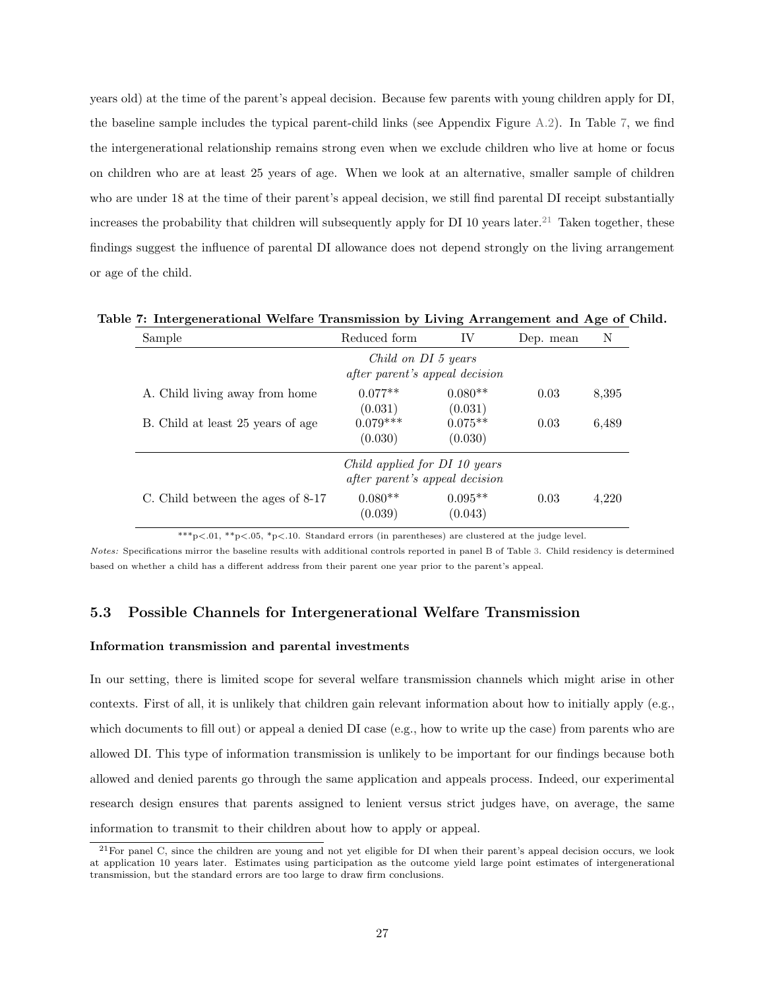years old) at the time of the parent's appeal decision. Because few parents with young children apply for DI, the baseline sample includes the typical parent-child links (see Appendix Figure [A.2\)](#page-16-0). In Table [7,](#page-29-0) we find the intergenerational relationship remains strong even when we exclude children who live at home or focus on children who are at least 25 years of age. When we look at an alternative, smaller sample of children who are under 18 at the time of their parent's appeal decision, we still find parental DI receipt substantially increases the probability that children will subsequently apply for DI 10 years later.<sup>[21](#page-29-1)</sup> Taken together, these findings suggest the influence of parental DI allowance does not depend strongly on the living arrangement or age of the child.

<span id="page-29-0"></span>Sample Reduced form IV Dep. mean N Child on DI 5 years after parent's appeal decision A. Child living away from home  $0.077^{**}$   $0.080^{**}$   $0.03$  8,395  $(0.031)$   $(0.031)$ B. Child at least 25 years of age 0.079\*\*\* 0.075\*\* 0.03 6,489  $(0.030)$   $(0.030)$ Child applied for DI 10 years after parent's appeal decision C. Child between the ages of  $8-17$  0.080\*\* 0.095\*\* 0.03 4.220  $(0.039)$   $(0.043)$ 

Table 7: Intergenerational Welfare Transmission by Living Arrangement and Age of Child.

\*\*\*p<.01, \*\*p<.05, \*p<.10. Standard errors (in parentheses) are clustered at the judge level.

Notes: Specifications mirror the baseline results with additional controls reported in panel B of Table [3.](#page-19-0) Child residency is determined based on whether a child has a different address from their parent one year prior to the parent's appeal.

#### 5.3 Possible Channels for Intergenerational Welfare Transmission

#### Information transmission and parental investments

In our setting, there is limited scope for several welfare transmission channels which might arise in other contexts. First of all, it is unlikely that children gain relevant information about how to initially apply (e.g., which documents to fill out) or appeal a denied DI case (e.g., how to write up the case) from parents who are allowed DI. This type of information transmission is unlikely to be important for our findings because both allowed and denied parents go through the same application and appeals process. Indeed, our experimental research design ensures that parents assigned to lenient versus strict judges have, on average, the same information to transmit to their children about how to apply or appeal.

<span id="page-29-1"></span> $21$  For panel C, since the children are young and not yet eligible for DI when their parent's appeal decision occurs, we look at application 10 years later. Estimates using participation as the outcome yield large point estimates of intergenerational transmission, but the standard errors are too large to draw firm conclusions.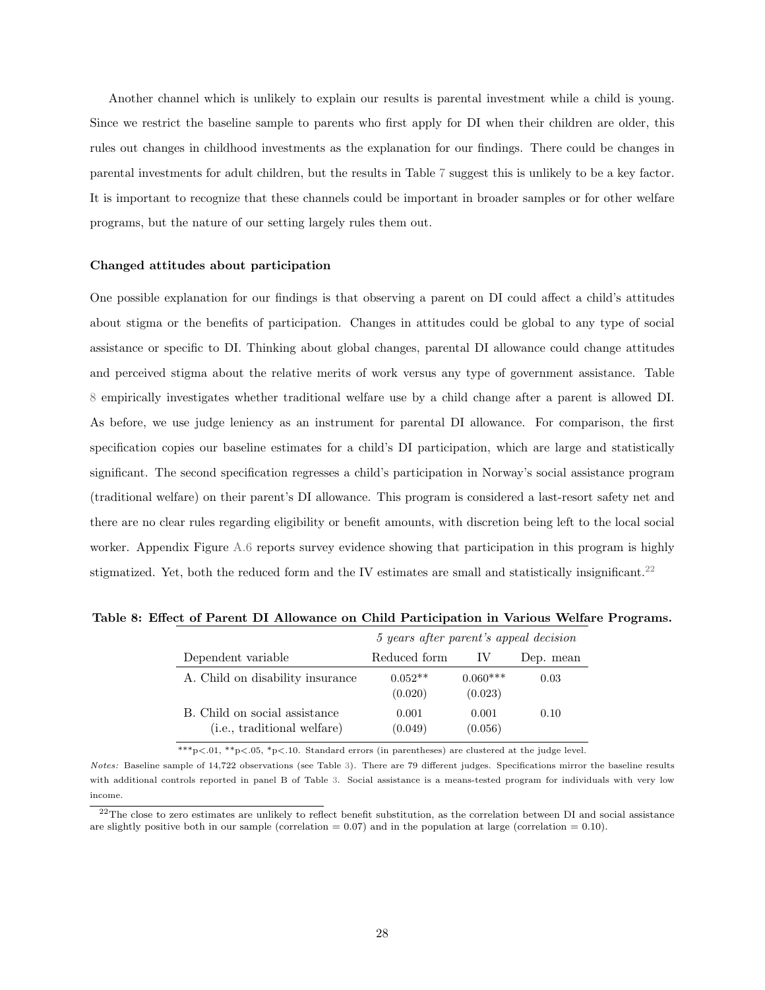Another channel which is unlikely to explain our results is parental investment while a child is young. Since we restrict the baseline sample to parents who first apply for DI when their children are older, this rules out changes in childhood investments as the explanation for our findings. There could be changes in parental investments for adult children, but the results in Table [7](#page-29-0) suggest this is unlikely to be a key factor. It is important to recognize that these channels could be important in broader samples or for other welfare programs, but the nature of our setting largely rules them out.

#### Changed attitudes about participation

One possible explanation for our findings is that observing a parent on DI could affect a child's attitudes about stigma or the benefits of participation. Changes in attitudes could be global to any type of social assistance or specific to DI. Thinking about global changes, parental DI allowance could change attitudes and perceived stigma about the relative merits of work versus any type of government assistance. Table [8](#page-30-0) empirically investigates whether traditional welfare use by a child change after a parent is allowed DI. As before, we use judge leniency as an instrument for parental DI allowance. For comparison, the first specification copies our baseline estimates for a child's DI participation, which are large and statistically significant. The second specification regresses a child's participation in Norway's social assistance program (traditional welfare) on their parent's DI allowance. This program is considered a last-resort safety net and there are no clear rules regarding eligibility or benefit amounts, with discretion being left to the local social worker. Appendix Figure [A.6](#page-45-1) reports survey evidence showing that participation in this program is highly stigmatized. Yet, both the reduced form and the IV estimates are small and statistically insignificant.<sup>[22](#page-30-1)</sup>

<span id="page-30-0"></span>

|                                                              | 5 years after parent's appeal decision |                       |           |  |  |
|--------------------------------------------------------------|----------------------------------------|-----------------------|-----------|--|--|
| Dependent variable                                           | Reduced form                           | $\mathsf{IV}$         | Dep. mean |  |  |
| A. Child on disability insurance                             | $0.052**$<br>(0.020)                   | $0.060***$<br>(0.023) | 0.03      |  |  |
| B. Child on social assistance<br>(i.e., traditional welfare) | 0.001<br>(0.049)                       | 0.001<br>(0.056)      | 0.10      |  |  |

Table 8: Effect of Parent DI Allowance on Child Participation in Various Welfare Programs.

\*\*\*p<.01, \*\*p<.05, \*p<.10. Standard errors (in parentheses) are clustered at the judge level.

Notes: Baseline sample of 14,722 observations (see Table [3\)](#page-19-0). There are 79 different judges. Specifications mirror the baseline results with additional controls reported in panel B of Table [3.](#page-19-0) Social assistance is a means-tested program for individuals with very low income.

<span id="page-30-1"></span> $^{22}$ The close to zero estimates are unlikely to reflect benefit substitution, as the correlation between DI and social assistance are slightly positive both in our sample (correlation  $= 0.07$ ) and in the population at large (correlation  $= 0.10$ ).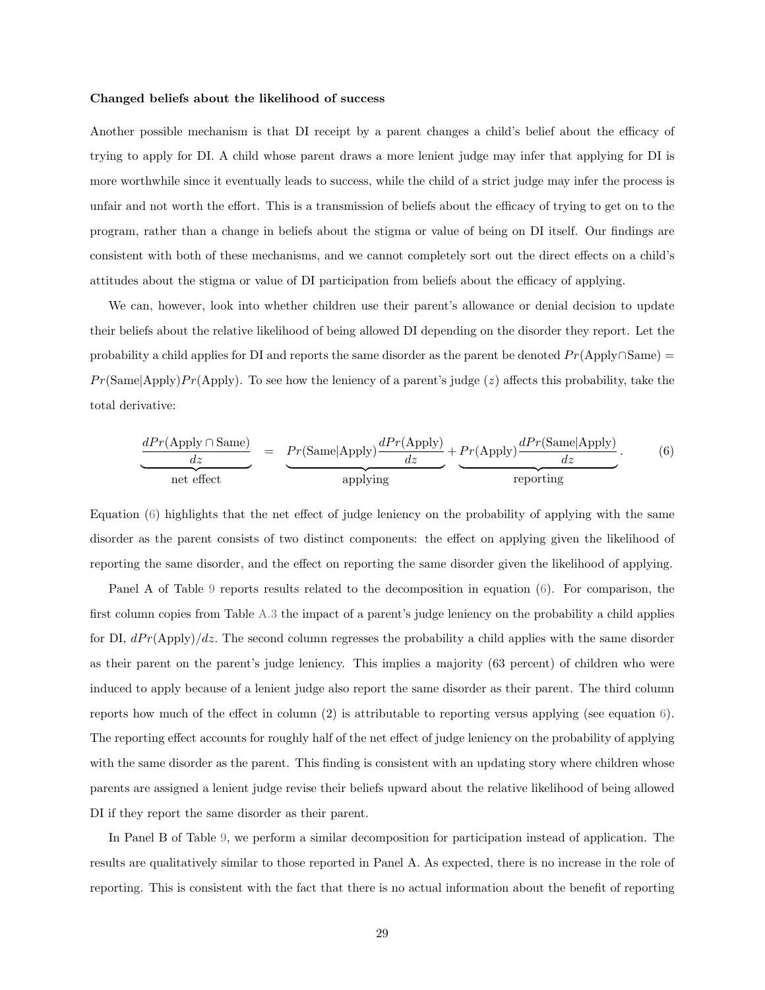#### Changed beliefs about the likelihood of success

Another possible mechanism is that DI receipt by a parent changes a child's belief about the efficacy of trying to apply for DI. A child whose parent draws a more lenient judge may infer that applying for DI is more worthwhile since it eventually leads to success, while the child of a strict judge may infer the process is unfair and not worth the effort. This is a transmission of beliefs about the efficacy of trying to get on to the program, rather than a change in beliefs about the stigma or value of being on DI itself. Our findings are consistent with both of these mechanisms, and we cannot completely sort out the direct effects on a child's attitudes about the stigma or value of DI participation from beliefs about the efficacy of applying.

We can, however, look into whether children use their parent's allowance or denial decision to update their beliefs about the relative likelihood of being allowed DI depending on the disorder they report. Let the probability a child applies for DI and reports the same disorder as the parent be denoted  $Pr(\text{Apply} \cap \text{Same})$  =  $Pr(\text{Sample} | \text{Apply}) Pr(\text{Apply})$ . To see how the leniency of a parent's judge (z) affects this probability, take the total derivative:

<span id="page-31-0"></span>
$$
\underbrace{\frac{dPr(\text{Apply} \cap \text{Same})}{dz}}_{\text{net effect}} = \underbrace{Pr(\text{Same}|\text{Apply})\frac{dPr(\text{Apply})}{dz}}_{\text{applying}} + \underbrace{Pr(\text{Apply})\frac{dPr(\text{Same}|\text{Apply})}{dz}}_{\text{reporting}}.
$$
 (6)

Equation [\(6\)](#page-31-0) highlights that the net effect of judge leniency on the probability of applying with the same disorder as the parent consists of two distinct components: the effect on applying given the likelihood of reporting the same disorder, and the effect on reporting the same disorder given the likelihood of applying.

Panel A of Table [9](#page-32-0) reports results related to the decomposition in equation [\(6\)](#page-31-0). For comparison, the first column copies from Table [A.3](#page-19-0) the impact of a parent's judge leniency on the probability a child applies for DI,  $dPr(\text{Apply})/dz$ . The second column regresses the probability a child applies with the same disorder as their parent on the parent's judge leniency. This implies a majority (63 percent) of children who were induced to apply because of a lenient judge also report the same disorder as their parent. The third column reports how much of the effect in column (2) is attributable to reporting versus applying (see equation [6\)](#page-31-0). The reporting effect accounts for roughly half of the net effect of judge leniency on the probability of applying with the same disorder as the parent. This finding is consistent with an updating story where children whose parents are assigned a lenient judge revise their beliefs upward about the relative likelihood of being allowed DI if they report the same disorder as their parent.

In Panel B of Table [9,](#page-32-0) we perform a similar decomposition for participation instead of application. The results are qualitatively similar to those reported in Panel A. As expected, there is no increase in the role of reporting. This is consistent with the fact that there is no actual information about the benefit of reporting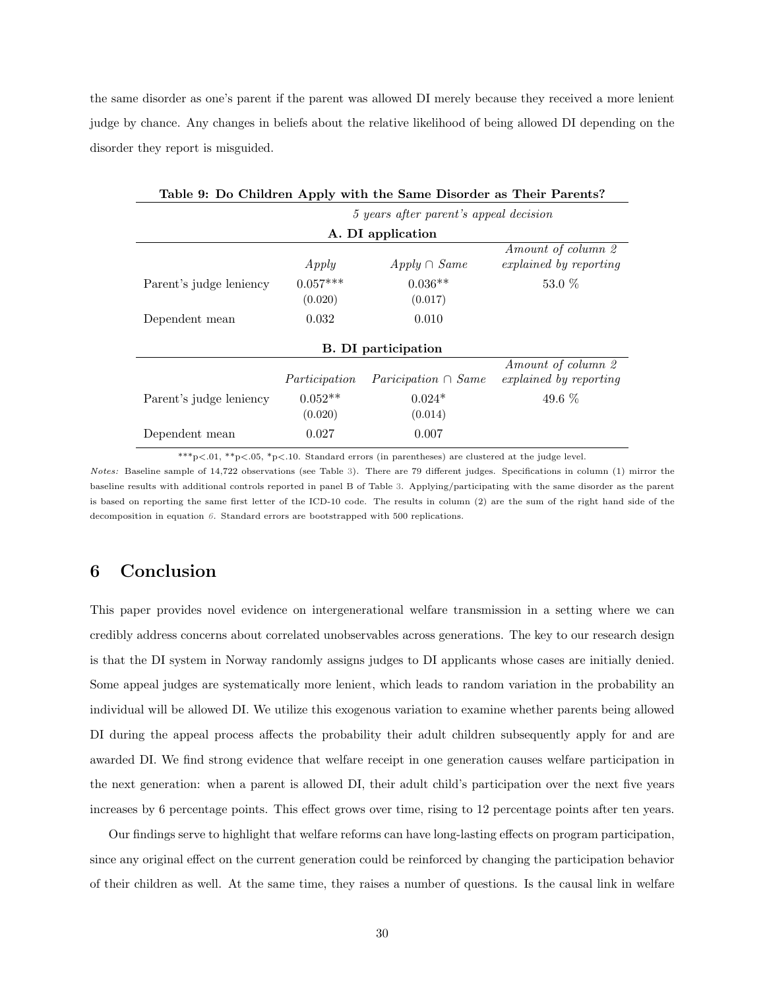the same disorder as one's parent if the parent was allowed DI merely because they received a more lenient judge by chance. Any changes in beliefs about the relative likelihood of being allowed DI depending on the disorder they report is misguided.

<span id="page-32-0"></span>

| Table 9: Do Children Apply with the Same Disorder as Their Parents? |                       |                                        |                                              |  |  |
|---------------------------------------------------------------------|-----------------------|----------------------------------------|----------------------------------------------|--|--|
|                                                                     |                       | 5 years after parent's appeal decision |                                              |  |  |
|                                                                     |                       | A. DI application                      |                                              |  |  |
|                                                                     | Apply                 | $Apply \cap Same$                      | Amount of column 2<br>explained by reporting |  |  |
| Parent's judge leniency                                             | $0.057***$<br>(0.020) | $0.036**$<br>(0.017)                   | 53.0 $%$                                     |  |  |
| Dependent mean                                                      | 0.032                 | 0.010                                  |                                              |  |  |
|                                                                     |                       | <b>B.</b> DI participation             |                                              |  |  |
|                                                                     | Participation         | <i>Paricipation</i> $\cap$ <i>Same</i> | Amount of column 2<br>explained by reporting |  |  |
| Parent's judge leniency                                             | $0.052**$<br>(0.020)  | $0.024*$<br>(0.014)                    | 49.6 $%$                                     |  |  |
| Dependent mean                                                      | 0.027                 | 0.007                                  |                                              |  |  |

\*\*\*p<.01, \*\*p<.05, \*p<.10. Standard errors (in parentheses) are clustered at the judge level.

Notes: Baseline sample of 14,722 observations (see Table [3\)](#page-19-0). There are 79 different judges. Specifications in column (1) mirror the baseline results with additional controls reported in panel B of Table [3.](#page-19-0) Applying/participating with the same disorder as the parent is based on reporting the same first letter of the ICD-10 code. The results in column (2) are the sum of the right hand side of the decomposition in equation [6.](#page-31-0) Standard errors are bootstrapped with 500 replications.

# 6 Conclusion

This paper provides novel evidence on intergenerational welfare transmission in a setting where we can credibly address concerns about correlated unobservables across generations. The key to our research design is that the DI system in Norway randomly assigns judges to DI applicants whose cases are initially denied. Some appeal judges are systematically more lenient, which leads to random variation in the probability an individual will be allowed DI. We utilize this exogenous variation to examine whether parents being allowed DI during the appeal process affects the probability their adult children subsequently apply for and are awarded DI. We find strong evidence that welfare receipt in one generation causes welfare participation in the next generation: when a parent is allowed DI, their adult child's participation over the next five years increases by 6 percentage points. This effect grows over time, rising to 12 percentage points after ten years.

Our findings serve to highlight that welfare reforms can have long-lasting effects on program participation, since any original effect on the current generation could be reinforced by changing the participation behavior of their children as well. At the same time, they raises a number of questions. Is the causal link in welfare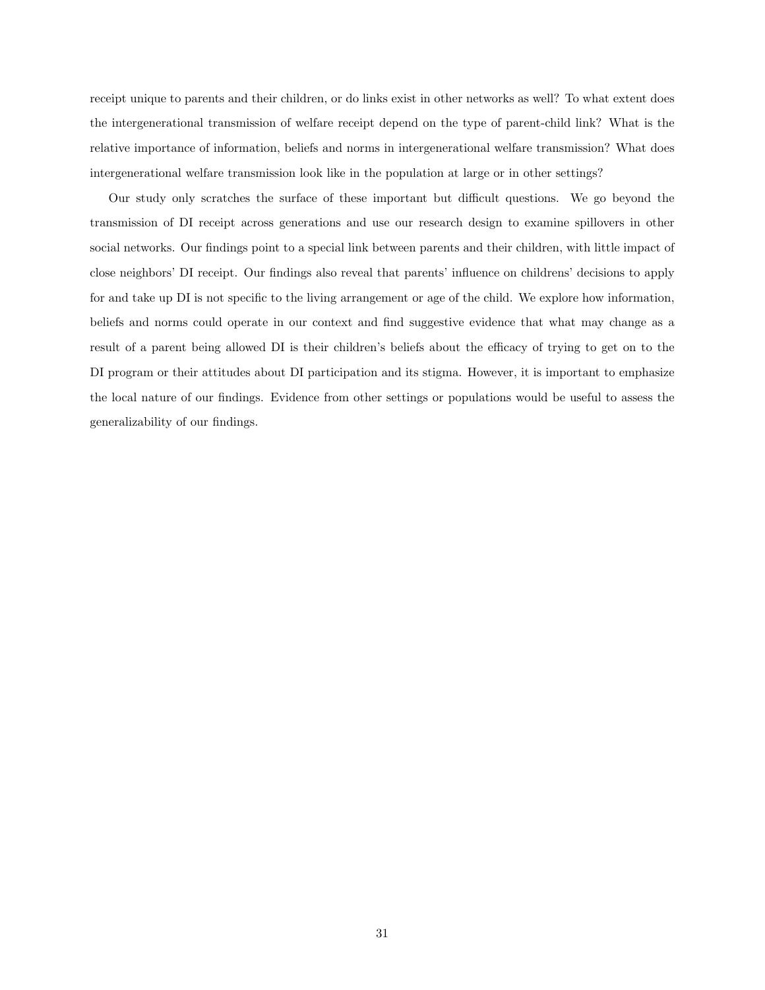receipt unique to parents and their children, or do links exist in other networks as well? To what extent does the intergenerational transmission of welfare receipt depend on the type of parent-child link? What is the relative importance of information, beliefs and norms in intergenerational welfare transmission? What does intergenerational welfare transmission look like in the population at large or in other settings?

Our study only scratches the surface of these important but difficult questions. We go beyond the transmission of DI receipt across generations and use our research design to examine spillovers in other social networks. Our findings point to a special link between parents and their children, with little impact of close neighbors' DI receipt. Our findings also reveal that parents' influence on childrens' decisions to apply for and take up DI is not specific to the living arrangement or age of the child. We explore how information, beliefs and norms could operate in our context and find suggestive evidence that what may change as a result of a parent being allowed DI is their children's beliefs about the efficacy of trying to get on to the DI program or their attitudes about DI participation and its stigma. However, it is important to emphasize the local nature of our findings. Evidence from other settings or populations would be useful to assess the generalizability of our findings.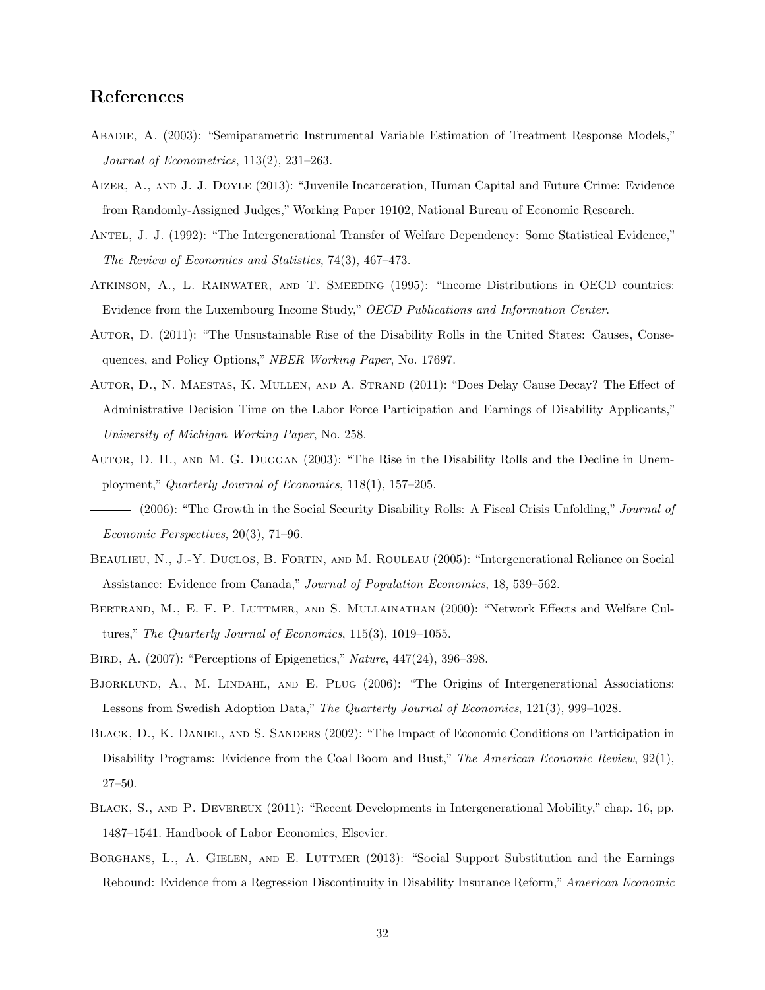# References

- <span id="page-34-14"></span>Abadie, A. (2003): "Semiparametric Instrumental Variable Estimation of Treatment Response Models," Journal of Econometrics, 113(2), 231–263.
- <span id="page-34-3"></span>Aizer, A., and J. J. Doyle (2013): "Juvenile Incarceration, Human Capital and Future Crime: Evidence from Randomly-Assigned Judges," Working Paper 19102, National Bureau of Economic Research.
- <span id="page-34-10"></span>Antel, J. J. (1992): "The Intergenerational Transfer of Welfare Dependency: Some Statistical Evidence," The Review of Economics and Statistics, 74(3), 467–473.
- <span id="page-34-12"></span>Atkinson, A., L. Rainwater, and T. Smeeding (1995): "Income Distributions in OECD countries: Evidence from the Luxembourg Income Study," OECD Publications and Information Center.
- <span id="page-34-5"></span>Autor, D. (2011): "The Unsustainable Rise of the Disability Rolls in the United States: Causes, Consequences, and Policy Options," NBER Working Paper, No. 17697.
- <span id="page-34-13"></span>Autor, D., N. Maestas, K. Mullen, and A. Strand (2011): "Does Delay Cause Decay? The Effect of Administrative Decision Time on the Labor Force Participation and Earnings of Disability Applicants," University of Michigan Working Paper, No. 258.
- <span id="page-34-6"></span>Autor, D. H., and M. G. Duggan (2003): "The Rise in the Disability Rolls and the Decline in Unemployment," Quarterly Journal of Economics, 118(1), 157–205.
- <span id="page-34-2"></span>(2006): "The Growth in the Social Security Disability Rolls: A Fiscal Crisis Unfolding," Journal of Economic Perspectives, 20(3), 71–96.
- <span id="page-34-11"></span>Beaulieu, N., J.-Y. Duclos, B. Fortin, and M. Rouleau (2005): "Intergenerational Reliance on Social Assistance: Evidence from Canada," Journal of Population Economics, 18, 539–562.
- <span id="page-34-4"></span>BERTRAND, M., E. F. P. LUTTMER, AND S. MULLAINATHAN (2000): "Network Effects and Welfare Cultures," The Quarterly Journal of Economics, 115(3), 1019–1055.
- <span id="page-34-9"></span><span id="page-34-1"></span>Bird, A. (2007): "Perceptions of Epigenetics," Nature, 447(24), 396–398.
- BJORKLUND, A., M. LINDAHL, AND E. PLUG (2006): "The Origins of Intergenerational Associations: Lessons from Swedish Adoption Data," The Quarterly Journal of Economics, 121(3), 999–1028.
- <span id="page-34-8"></span>Black, D., K. Daniel, and S. Sanders (2002): "The Impact of Economic Conditions on Participation in Disability Programs: Evidence from the Coal Boom and Bust," The American Economic Review, 92(1), 27–50.
- <span id="page-34-0"></span>Black, S., and P. Devereux (2011): "Recent Developments in Intergenerational Mobility," chap. 16, pp. 1487–1541. Handbook of Labor Economics, Elsevier.
- <span id="page-34-7"></span>BORGHANS, L., A. GIELEN, AND E. LUTTMER (2013): "Social Support Substitution and the Earnings Rebound: Evidence from a Regression Discontinuity in Disability Insurance Reform," American Economic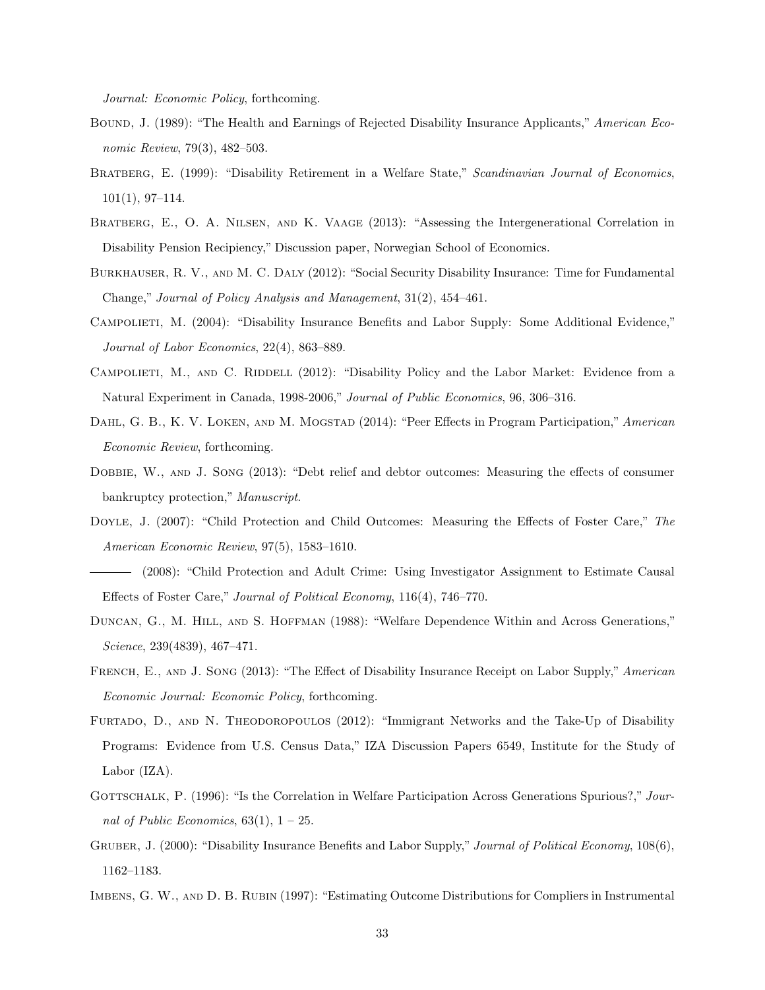Journal: Economic Policy, forthcoming.

- <span id="page-35-5"></span>BOUND, J. (1989): "The Health and Earnings of Rejected Disability Insurance Applicants," American Economic Review, 79(3), 482–503.
- <span id="page-35-8"></span>BRATBERG, E. (1999): "Disability Retirement in a Welfare State," Scandinavian Journal of Economics, 101(1), 97–114.
- <span id="page-35-10"></span>Bratberg, E., O. A. Nilsen, and K. Vaage (2013): "Assessing the Intergenerational Correlation in Disability Pension Recipiency," Discussion paper, Norwegian School of Economics.
- <span id="page-35-0"></span>Burkhauser, R. V., and M. C. Daly (2012): "Social Security Disability Insurance: Time for Fundamental Change," Journal of Policy Analysis and Management, 31(2), 454–461.
- <span id="page-35-9"></span>Campolieti, M. (2004): "Disability Insurance Benefits and Labor Supply: Some Additional Evidence," Journal of Labor Economics, 22(4), 863–889.
- <span id="page-35-6"></span>CAMPOLIETI, M., AND C. RIDDELL (2012): "Disability Policy and the Labor Market: Evidence from a Natural Experiment in Canada, 1998-2006," Journal of Public Economics, 96, 306–316.
- <span id="page-35-15"></span>DAHL, G. B., K. V. LOKEN, AND M. MOGSTAD (2014): "Peer Effects in Program Participation," American Economic Review, forthcoming.
- <span id="page-35-4"></span>DOBBIE, W., AND J. SONG (2013): "Debt relief and debtor outcomes: Measuring the effects of consumer bankruptcy protection," Manuscript.
- <span id="page-35-2"></span>DOYLE, J. (2007): "Child Protection and Child Outcomes: Measuring the Effects of Foster Care," The American Economic Review, 97(5), 1583–1610.
- <span id="page-35-3"></span>(2008): "Child Protection and Adult Crime: Using Investigator Assignment to Estimate Causal Effects of Foster Care," Journal of Political Economy, 116(4), 746–770.
- <span id="page-35-12"></span>Duncan, G., M. Hill, and S. Hoffman (1988): "Welfare Dependence Within and Across Generations," Science, 239(4839), 467–471.
- <span id="page-35-1"></span>FRENCH, E., AND J. SONG (2013): "The Effect of Disability Insurance Receipt on Labor Supply," American Economic Journal: Economic Policy, forthcoming.
- <span id="page-35-11"></span>FURTADO, D., AND N. THEODOROPOULOS (2012): "Immigrant Networks and the Take-Up of Disability Programs: Evidence from U.S. Census Data," IZA Discussion Papers 6549, Institute for the Study of Labor (IZA).
- <span id="page-35-13"></span>GOTTSCHALK, P. (1996): "Is the Correlation in Welfare Participation Across Generations Spurious?," Journal of Public Economics,  $63(1)$ ,  $1-25$ .
- <span id="page-35-7"></span>GRUBER, J. (2000): "Disability Insurance Benefits and Labor Supply," Journal of Political Economy, 108(6), 1162–1183.
- <span id="page-35-14"></span>Imbens, G. W., and D. B. Rubin (1997): "Estimating Outcome Distributions for Compliers in Instrumental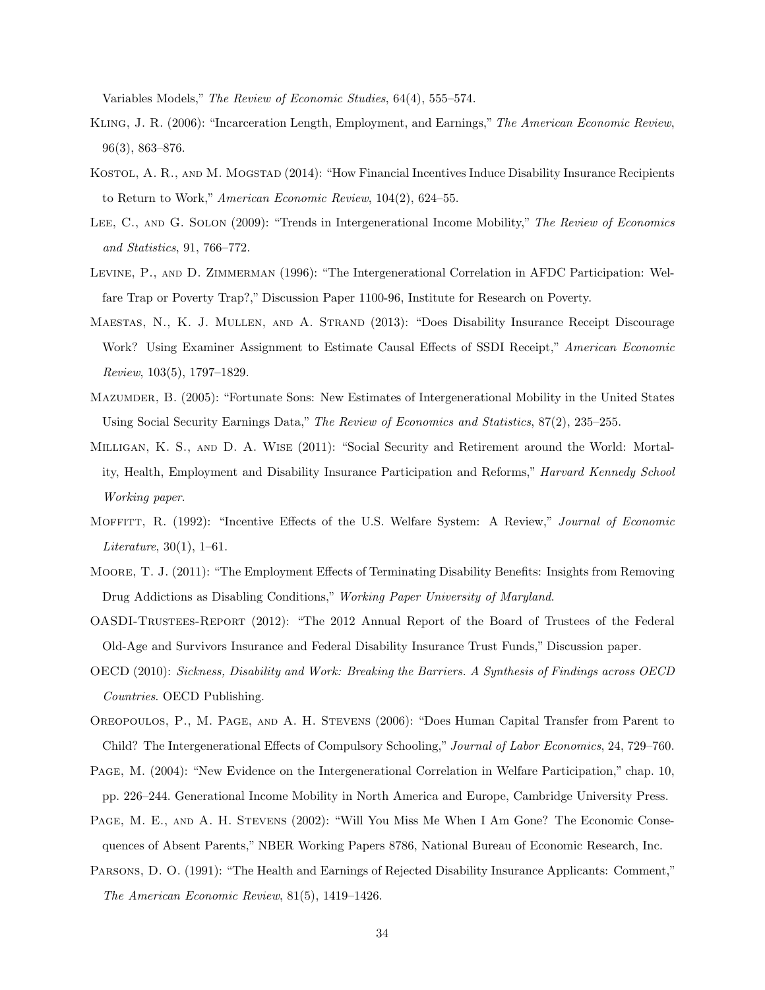Variables Models," The Review of Economic Studies, 64(4), 555–574.

- <span id="page-36-7"></span>Kling, J. R. (2006): "Incarceration Length, Employment, and Earnings," The American Economic Review, 96(3), 863–876.
- <span id="page-36-8"></span>Kostol, A. R., and M. Mogstad (2014): "How Financial Incentives Induce Disability Insurance Recipients to Return to Work," American Economic Review, 104(2), 624–55.
- <span id="page-36-0"></span>LEE, C., AND G. SOLON (2009): "Trends in Intergenerational Income Mobility," The Review of Economics and Statistics, 91, 766–772.
- <span id="page-36-3"></span>LEVINE, P., AND D. ZIMMERMAN (1996): "The Intergenerational Correlation in AFDC Participation: Welfare Trap or Poverty Trap?," Discussion Paper 1100-96, Institute for Research on Poverty.
- <span id="page-36-6"></span>Maestas, N., K. J. Mullen, and A. Strand (2013): "Does Disability Insurance Receipt Discourage Work? Using Examiner Assignment to Estimate Causal Effects of SSDI Receipt," American Economic Review, 103(5), 1797–1829.
- <span id="page-36-1"></span>Mazumder, B. (2005): "Fortunate Sons: New Estimates of Intergenerational Mobility in the United States Using Social Security Earnings Data," The Review of Economics and Statistics, 87(2), 235–255.
- <span id="page-36-14"></span>Milligan, K. S., and D. A. Wise (2011): "Social Security and Retirement around the World: Mortality, Health, Employment and Disability Insurance Participation and Reforms," Harvard Kennedy School Working paper.
- <span id="page-36-11"></span>MOFFITT, R. (1992): "Incentive Effects of the U.S. Welfare System: A Review," Journal of Economic Literature, 30(1), 1–61.
- <span id="page-36-10"></span>Moore, T. J. (2011): "The Employment Effects of Terminating Disability Benefits: Insights from Removing Drug Addictions as Disabling Conditions," Working Paper University of Maryland.
- <span id="page-36-4"></span>OASDI-Trustees-Report (2012): "The 2012 Annual Report of the Board of Trustees of the Federal Old-Age and Survivors Insurance and Federal Disability Insurance Trust Funds," Discussion paper.
- <span id="page-36-5"></span>OECD (2010): Sickness, Disability and Work: Breaking the Barriers. A Synthesis of Findings across OECD Countries. OECD Publishing.
- <span id="page-36-2"></span>Oreopoulos, P., M. Page, and A. H. Stevens (2006): "Does Human Capital Transfer from Parent to Child? The Intergenerational Effects of Compulsory Schooling," Journal of Labor Economics, 24, 729–760.
- <span id="page-36-13"></span>Page, M. (2004): "New Evidence on the Intergenerational Correlation in Welfare Participation," chap. 10, pp. 226–244. Generational Income Mobility in North America and Europe, Cambridge University Press.
- <span id="page-36-12"></span>PAGE, M. E., AND A. H. STEVENS (2002): "Will You Miss Me When I Am Gone? The Economic Consequences of Absent Parents," NBER Working Papers 8786, National Bureau of Economic Research, Inc.
- <span id="page-36-9"></span>Parsons, D. O. (1991): "The Health and Earnings of Rejected Disability Insurance Applicants: Comment," The American Economic Review, 81(5), 1419–1426.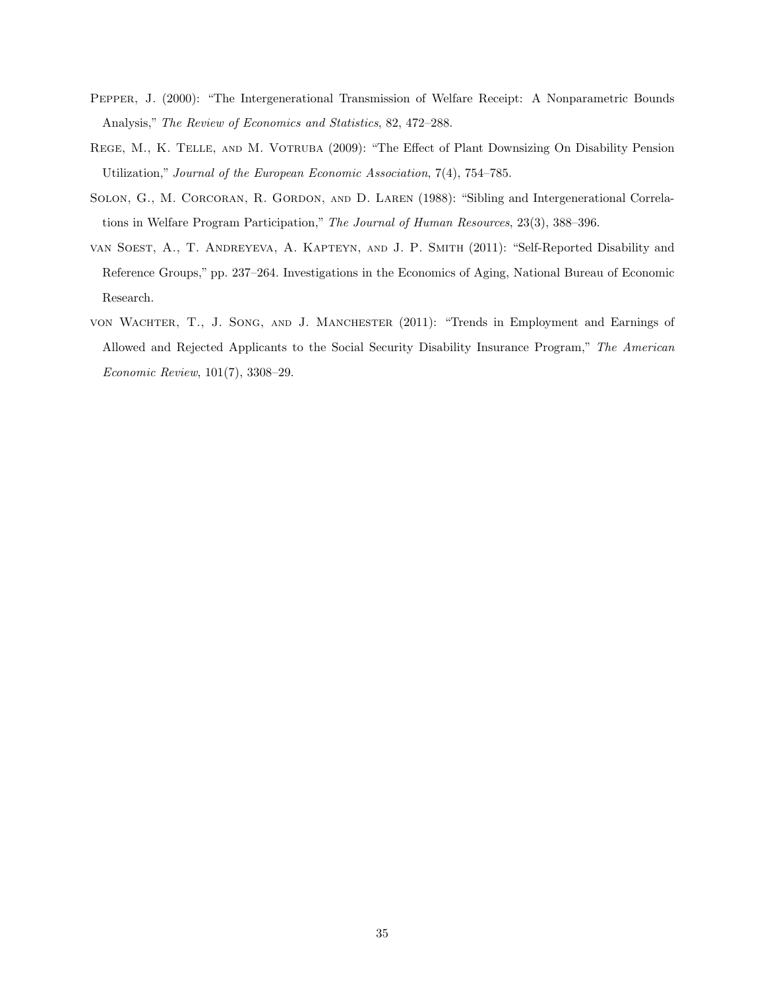- <span id="page-37-0"></span>Pepper, J. (2000): "The Intergenerational Transmission of Welfare Receipt: A Nonparametric Bounds Analysis," The Review of Economics and Statistics, 82, 472–288.
- <span id="page-37-2"></span>Rege, M., K. Telle, and M. Votruba (2009): "The Effect of Plant Downsizing On Disability Pension Utilization," Journal of the European Economic Association, 7(4), 754–785.
- <span id="page-37-4"></span>Solon, G., M. Corcoran, R. Gordon, and D. Laren (1988): "Sibling and Intergenerational Correlations in Welfare Program Participation," The Journal of Human Resources, 23(3), 388–396.
- <span id="page-37-3"></span>van Soest, A., T. Andreyeva, A. Kapteyn, and J. P. Smith (2011): "Self-Reported Disability and Reference Groups," pp. 237–264. Investigations in the Economics of Aging, National Bureau of Economic Research.
- <span id="page-37-1"></span>von Wachter, T., J. Song, and J. Manchester (2011): "Trends in Employment and Earnings of Allowed and Rejected Applicants to the Social Security Disability Insurance Program," The American Economic Review, 101(7), 3308–29.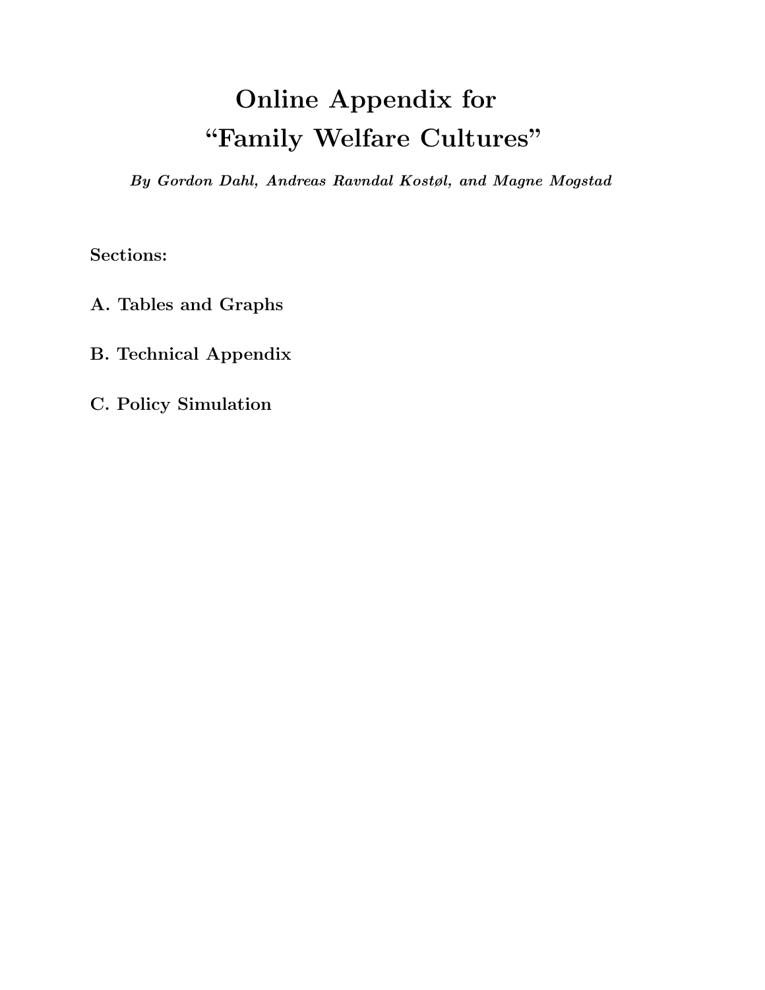# Online Appendix for "Family Welfare Cultures"

By Gordon Dahl, Andreas Ravndal Kostøl, and Magne Mogstad

Sections:

- A. Tables and Graphs
- B. Technical Appendix
- C. Policy Simulation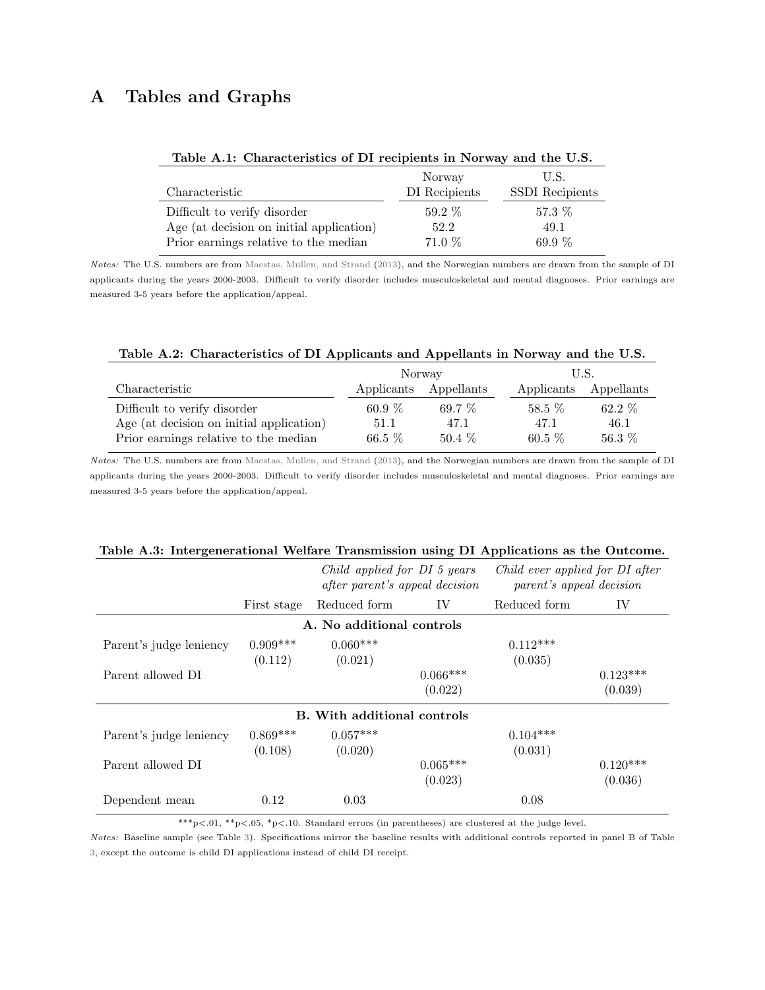# A Tables and Graphs

| Characteristic                           | Norway<br>DI Recipients | U.S.<br>SSDI Recipients |
|------------------------------------------|-------------------------|-------------------------|
| Difficult to verify disorder             | $59.2\%$                | 57.3 %                  |
| Age (at decision on initial application) | 52.2                    | 49.1                    |
| Prior earnings relative to the median    | $71.0\%$                | $69.9\%$                |

#### Table A.1: Characteristics of DI recipients in Norway and the U.S.

Notes: The U.S. numbers are from [Maestas, Mullen, and Strand](#page-36-6) [\(2013\)](#page-36-6), and the Norwegian numbers are drawn from the sample of DI applicants during the years 2000-2003. Difficult to verify disorder includes musculoskeletal and mental diagnoses. Prior earnings are measured 3-5 years before the application/appeal.

|                                          | Norway     |            | U.S.       |            |
|------------------------------------------|------------|------------|------------|------------|
| Characteristic                           | Applicants | Appellants | Applicants | Appellants |
| Difficult to verify disorder             | 60.9 $%$   | $69.7\%$   | 58.5 %     | $62.2\%$   |
| Age (at decision on initial application) | 51.1       | 47.1       | 47.1       | 46.1       |
| Prior earnings relative to the median    | 66.5 $%$   | $50.4\%$   | $60.5\%$   | 56.3 $%$   |

Notes: The U.S. numbers are from [Maestas, Mullen, and Strand](#page-36-6) [\(2013\)](#page-36-6), and the Norwegian numbers are drawn from the sample of DI applicants during the years 2000-2003. Difficult to verify disorder includes musculoskeletal and mental diagnoses. Prior earnings are measured 3-5 years before the application/appeal.

| ັ                       |             |                                                                |            | . .                                                         |            |
|-------------------------|-------------|----------------------------------------------------------------|------------|-------------------------------------------------------------|------------|
|                         |             | Child applied for DI 5 years<br>after parent's appeal decision |            | Child ever applied for DI after<br>parent's appeal decision |            |
|                         | First stage | Reduced form                                                   | IV         | Reduced form                                                | IV         |
|                         |             | A. No additional controls                                      |            |                                                             |            |
| Parent's judge leniency | $0.909***$  | $0.060***$                                                     |            | $0.112***$                                                  |            |
|                         | (0.112)     | (0.021)                                                        |            | (0.035)                                                     |            |
| Parent allowed DI       |             |                                                                | $0.066***$ |                                                             | $0.123***$ |
|                         |             |                                                                | (0.022)    |                                                             | (0.039)    |
|                         |             | <b>B.</b> With additional controls                             |            |                                                             |            |
| Parent's judge leniency | $0.869***$  | $0.057***$                                                     |            | $0.104***$                                                  |            |
|                         | (0.108)     | (0.020)                                                        |            | (0.031)                                                     |            |
| Parent allowed DI       |             |                                                                | $0.065***$ |                                                             | $0.120***$ |
|                         |             |                                                                | (0.023)    |                                                             | (0.036)    |
| Dependent mean          | 0.12        | 0.03                                                           |            | 0.08                                                        |            |

#### Table A.3: Intergenerational Welfare Transmission using DI Applications as the Outcome.

\*\*\*p<.01, \*\*p<.05, \*p<.10. Standard errors (in parentheses) are clustered at the judge level.

Notes: Baseline sample (see Table [3\)](#page-19-0). Specifications mirror the baseline results with additional controls reported in panel B of Table [3,](#page-19-0) except the outcome is child DI applications instead of child DI receipt.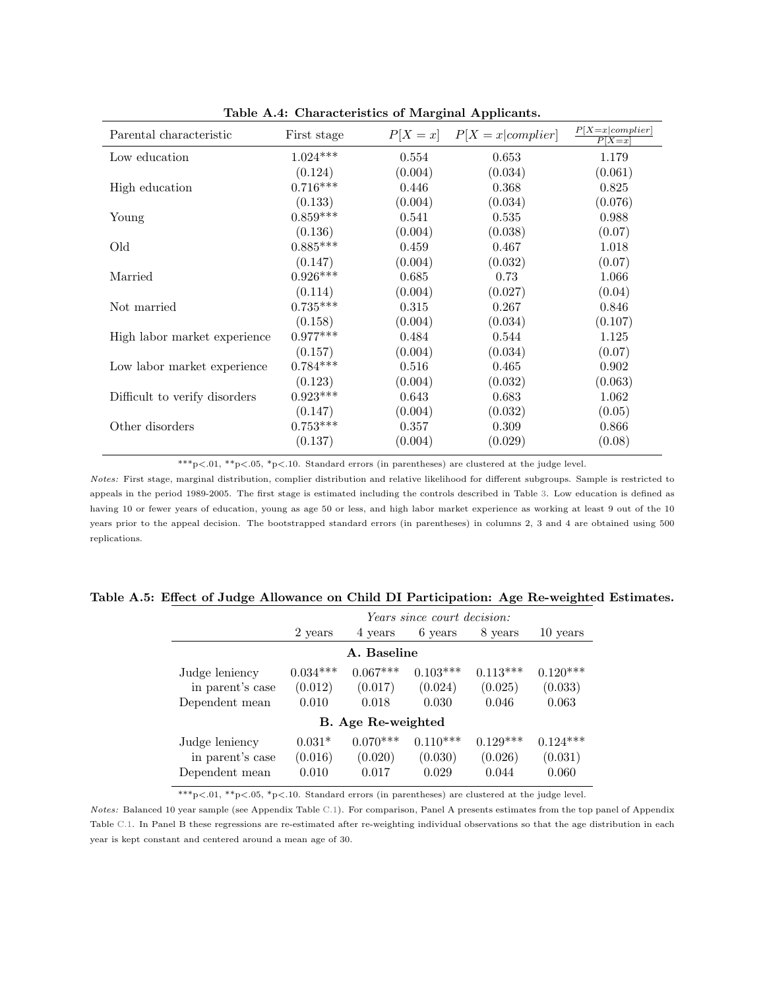| Parental characteristic       | First stage |         | $P[X = x]$ $P[X = x complier]$ | $P[X=x complier]$<br>$P[X=x]$ |
|-------------------------------|-------------|---------|--------------------------------|-------------------------------|
| Low education                 | $1.024***$  | 0.554   | 0.653                          | 1.179                         |
|                               | (0.124)     | (0.004) | (0.034)                        | (0.061)                       |
| High education                | $0.716***$  | 0.446   | 0.368                          | 0.825                         |
|                               | (0.133)     | (0.004) | (0.034)                        | (0.076)                       |
| Young                         | $0.859***$  | 0.541   | 0.535                          | 0.988                         |
|                               | (0.136)     | (0.004) | (0.038)                        | (0.07)                        |
| Old                           | $0.885***$  | 0.459   | 0.467                          | 1.018                         |
|                               | (0.147)     | (0.004) | (0.032)                        | (0.07)                        |
| Married                       | $0.926***$  | 0.685   | 0.73                           | 1.066                         |
|                               | (0.114)     | (0.004) | (0.027)                        | (0.04)                        |
| Not married                   | $0.735***$  | 0.315   | 0.267                          | 0.846                         |
|                               | (0.158)     | (0.004) | (0.034)                        | (0.107)                       |
| High labor market experience  | $0.977***$  | 0.484   | 0.544                          | 1.125                         |
|                               | (0.157)     | (0.004) | (0.034)                        | (0.07)                        |
| Low labor market experience   | $0.784***$  | 0.516   | 0.465                          | 0.902                         |
|                               | (0.123)     | (0.004) | (0.032)                        | (0.063)                       |
| Difficult to verify disorders | $0.923***$  | 0.643   | 0.683                          | 1.062                         |
|                               | (0.147)     | (0.004) | (0.032)                        | (0.05)                        |
| Other disorders               | $0.753***$  | 0.357   | 0.309                          | 0.866                         |
|                               | (0.137)     | (0.004) | (0.029)                        | (0.08)                        |

Table A.4: Characteristics of Marginal Applicants.

\*\*\*p<.01, \*\*p<.05, \*p<.10. Standard errors (in parentheses) are clustered at the judge level.

Notes: First stage, marginal distribution, complier distribution and relative likelihood for different subgroups. Sample is restricted to appeals in the period 1989-2005. The first stage is estimated including the controls described in Table [3.](#page-19-0) Low education is defined as having 10 or fewer years of education, young as age 50 or less, and high labor market experience as working at least 9 out of the 10 years prior to the appeal decision. The bootstrapped standard errors (in parentheses) in columns 2, 3 and 4 are obtained using 500 replications.

|                                                      | Years since court decision:    |                                |                                |                                |                                |  |
|------------------------------------------------------|--------------------------------|--------------------------------|--------------------------------|--------------------------------|--------------------------------|--|
|                                                      | 2 years                        | 4 years                        | 6 years                        | 8 years                        | 10 years                       |  |
|                                                      |                                | A. Baseline                    |                                |                                |                                |  |
| Judge leniency<br>in parent's case<br>Dependent mean | $0.034***$<br>(0.012)<br>0.010 | $0.067***$<br>(0.017)<br>0.018 | $0.103***$<br>(0.024)<br>0.030 | $0.113***$<br>(0.025)<br>0.046 | $0.120***$<br>(0.033)<br>0.063 |  |
|                                                      |                                | <b>B.</b> Age Re-weighted      |                                |                                |                                |  |
| Judge leniency<br>in parent's case<br>Dependent mean | $0.031*$<br>(0.016)<br>0.010   | $0.070***$<br>(0.020)<br>0.017 | $0.110***$<br>(0.030)<br>0.029 | $0.129***$<br>(0.026)<br>0.044 | $0.124***$<br>(0.031)<br>0.060 |  |

Table A.5: Effect of Judge Allowance on Child DI Participation: Age Re-weighted Estimates.

\*\*\*p<.01, \*\*p<.05, \*p<.10. Standard errors (in parentheses) are clustered at the judge level.

Notes: Balanced 10 year sample (see Appendix Table [C.1\)](#page-11-0). For comparison, Panel A presents estimates from the top panel of Appendix Table [C.1.](#page-11-0) In Panel B these regressions are re-estimated after re-weighting individual observations so that the age distribution in each year is kept constant and centered around a mean age of 30.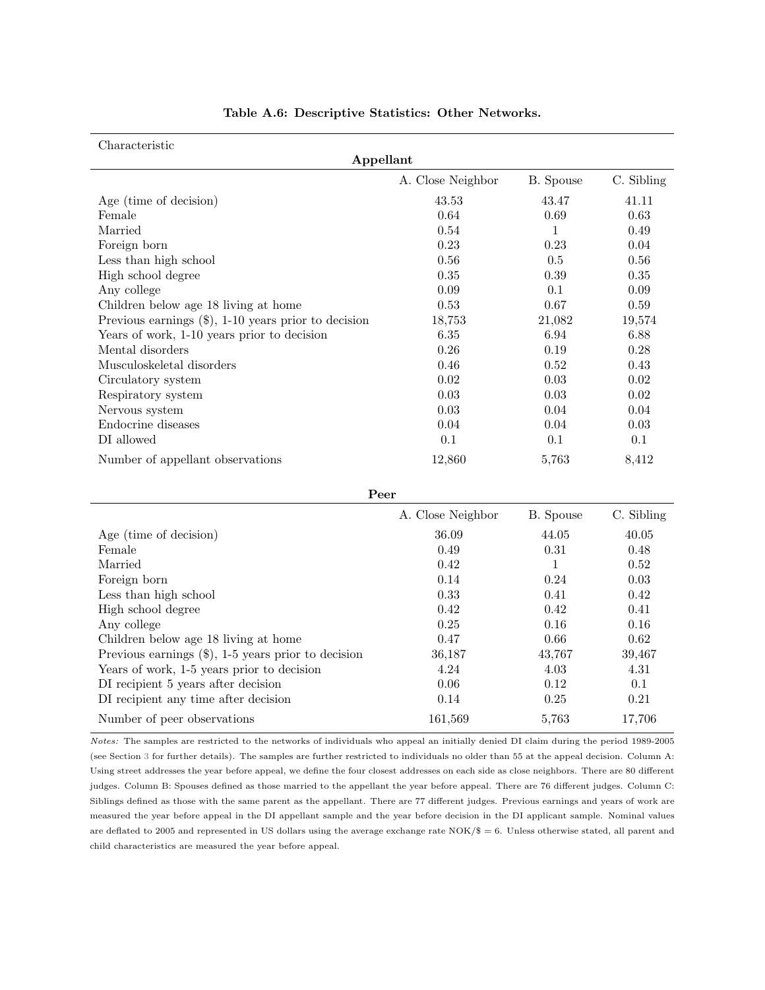| Characteristic                                                 |                   |              |            |
|----------------------------------------------------------------|-------------------|--------------|------------|
| Appellant                                                      |                   |              |            |
|                                                                | A. Close Neighbor | B. Spouse    | C. Sibling |
| Age (time of decision)                                         | 43.53             | 43.47        | 41.11      |
| Female                                                         | 0.64              | 0.69         | 0.63       |
| Married                                                        | 0.54              | $\mathbf{1}$ | 0.49       |
| Foreign born                                                   | 0.23              | 0.23         | 0.04       |
| Less than high school                                          | 0.56              | 0.5          | $0.56\,$   |
| High school degree                                             | 0.35              | 0.39         | 0.35       |
| Any college                                                    | 0.09              | 0.1          | 0.09       |
| Children below age 18 living at home                           | 0.53              | 0.67         | $0.59\,$   |
| Previous earnings $(\text{\$})$ , 1-10 years prior to decision | 18,753            | 21,082       | 19,574     |
| Years of work, 1-10 years prior to decision                    | 6.35              | 6.94         | 6.88       |
| Mental disorders                                               | 0.26              | 0.19         | 0.28       |
| Musculoskeletal disorders                                      | 0.46              | 0.52         | 0.43       |
| Circulatory system                                             | 0.02              | 0.03         | 0.02       |
| Respiratory system                                             | 0.03              | 0.03         | 0.02       |
| Nervous system                                                 | 0.03              | 0.04         | 0.04       |
| Endocrine diseases                                             | 0.04              | 0.04         | 0.03       |
| DI allowed                                                     | 0.1               | 0.1          | 0.1        |
| Number of appellant observations                               | 12,860            | 5,763        | 8,412      |
| Peer                                                           |                   |              |            |
|                                                                | A. Close Neighbor | B. Spouse    | C. Sibling |
| Age (time of decision)                                         | 36.09             | 44.05        | 40.05      |
| Female                                                         | 0.49              | 0.31         | 0.48       |
| Married                                                        | 0.42              | $\mathbf 1$  | 0.52       |
| Foreign born                                                   | 0.14              | 0.24         | $0.03\,$   |
| Less than high school                                          | 0.33              | 0.41         | 0.42       |
| High school degree                                             | 0.42              | 0.42         | 0.41       |
| Any college                                                    | 0.25              | 0.16         | 0.16       |
| Children below age 18 living at home                           | 0.47              | 0.66         | 0.62       |
| Previous earnings $(\text{\$})$ , 1-5 years prior to decision  | 36,187            | 43,767       | 39,467     |
| Years of work, 1-5 years prior to decision                     | 4.24              | 4.03         | 4.31       |
| DI recipient 5 years after decision                            | 0.06              | 0.12         | 0.1        |
| DI recipient any time after decision                           | 0.14              | 0.25         | 0.21       |
| Number of peer observations                                    | 161,569           | 5,763        | 17,706     |

#### Table A.6: Descriptive Statistics: Other Networks.

Notes: The samples are restricted to the networks of individuals who appeal an initially denied DI claim during the period 1989-2005 (see Section [3](#page-13-0) for further details). The samples are further restricted to individuals no older than 55 at the appeal decision. Column A: Using street addresses the year before appeal, we define the four closest addresses on each side as close neighbors. There are 80 different judges. Column B: Spouses defined as those married to the appellant the year before appeal. There are 76 different judges. Column C: Siblings defined as those with the same parent as the appellant. There are 77 different judges. Previous earnings and years of work are measured the year before appeal in the DI appellant sample and the year before decision in the DI applicant sample. Nominal values are deflated to 2005 and represented in US dollars using the average exchange rate NOK/\$ = 6. Unless otherwise stated, all parent and child characteristics are measured the year before appeal.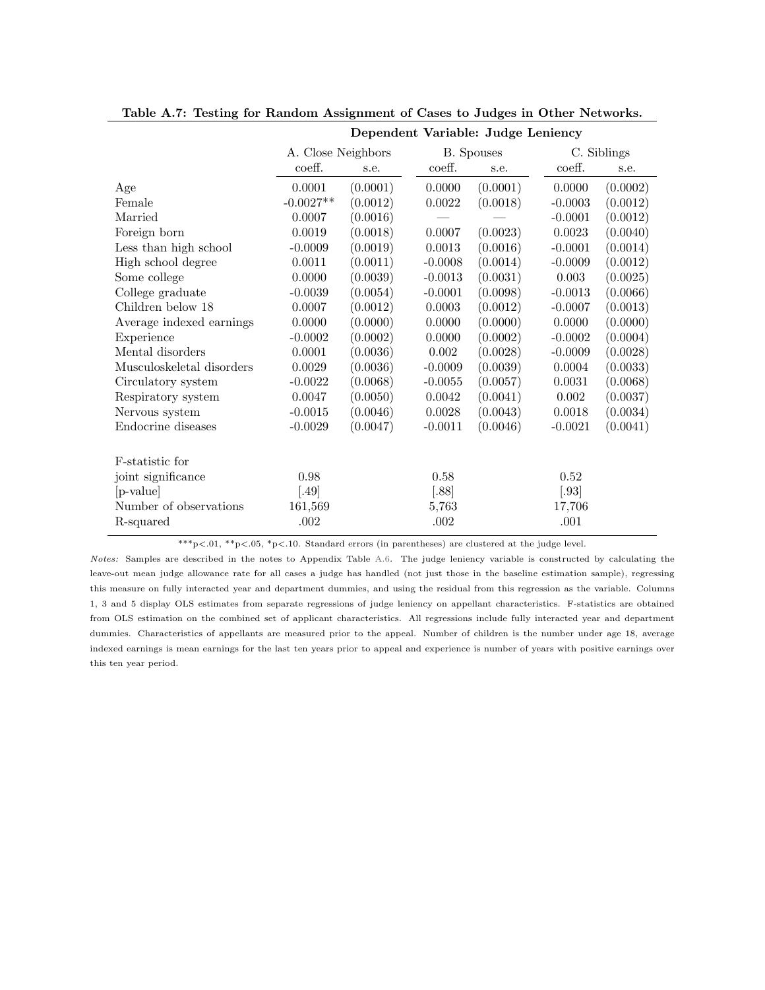| C. Siblings |  |
|-------------|--|
| s.e.        |  |
| (0.0002)    |  |
| (0.0012)    |  |
| (0.0012)    |  |
| (0.0040)    |  |
| (0.0014)    |  |
| (0.0012)    |  |
| (0.0025)    |  |
| (0.0066)    |  |
| (0.0013)    |  |
| (0.0000)    |  |
| (0.0004)    |  |
| (0.0028)    |  |
| (0.0033)    |  |
| (0.0068)    |  |
| (0.0037)    |  |
| (0.0034)    |  |
| (0.0041)    |  |
|             |  |
|             |  |
|             |  |
|             |  |
|             |  |
|             |  |

|  |  |  | Table A.7: Testing for Random Assignment of Cases to Judges in Other Networks. |
|--|--|--|--------------------------------------------------------------------------------|
|  |  |  |                                                                                |

\*\*\*p<.01, \*\*p<.05, \*p<.10. Standard errors (in parentheses) are clustered at the judge level.

Notes: Samples are described in the notes to Appendix Table [A.6.](#page-28-0) The judge leniency variable is constructed by calculating the leave-out mean judge allowance rate for all cases a judge has handled (not just those in the baseline estimation sample), regressing this measure on fully interacted year and department dummies, and using the residual from this regression as the variable. Columns 1, 3 and 5 display OLS estimates from separate regressions of judge leniency on appellant characteristics. F-statistics are obtained from OLS estimation on the combined set of applicant characteristics. All regressions include fully interacted year and department dummies. Characteristics of appellants are measured prior to the appeal. Number of children is the number under age 18, average indexed earnings is mean earnings for the last ten years prior to appeal and experience is number of years with positive earnings over this ten year period.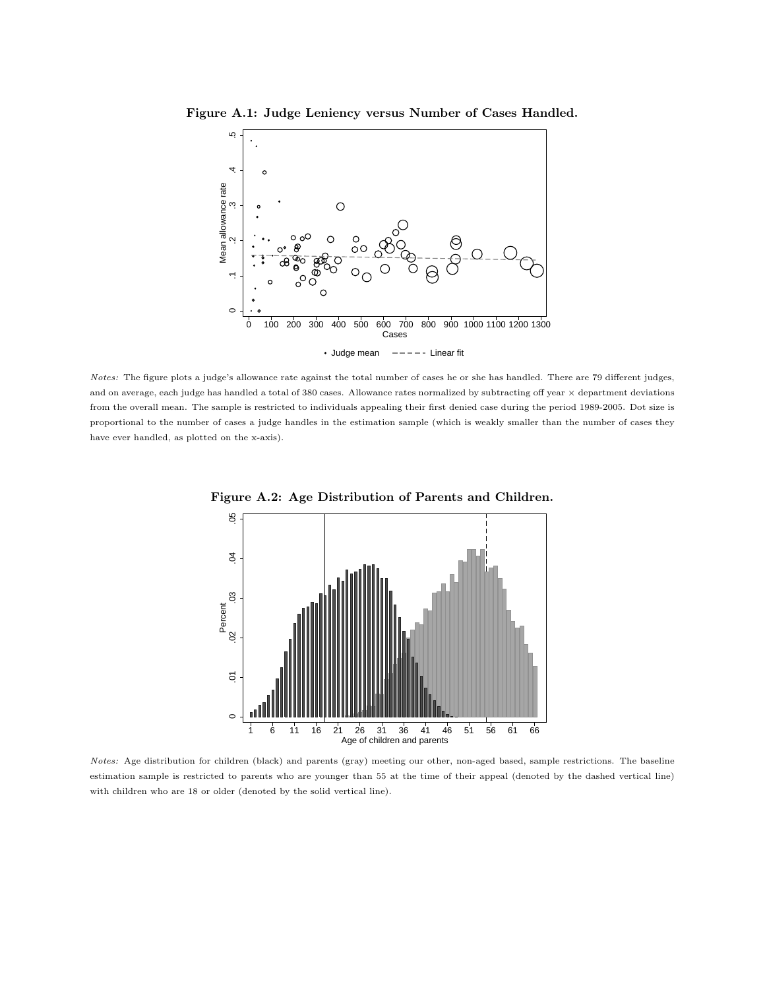



Notes: The figure plots a judge's allowance rate against the total number of cases he or she has handled. There are 79 different judges, and on average, each judge has handled a total of 380 cases. Allowance rates normalized by subtracting off year  $\times$  department deviations from the overall mean. The sample is restricted to individuals appealing their first denied case during the period 1989-2005. Dot size is proportional to the number of cases a judge handles in the estimation sample (which is weakly smaller than the number of cases they have ever handled, as plotted on the x-axis).



Figure A.2: Age Distribution of Parents and Children.

Notes: Age distribution for children (black) and parents (gray) meeting our other, non-aged based, sample restrictions. The baseline estimation sample is restricted to parents who are younger than 55 at the time of their appeal (denoted by the dashed vertical line) with children who are 18 or older (denoted by the solid vertical line).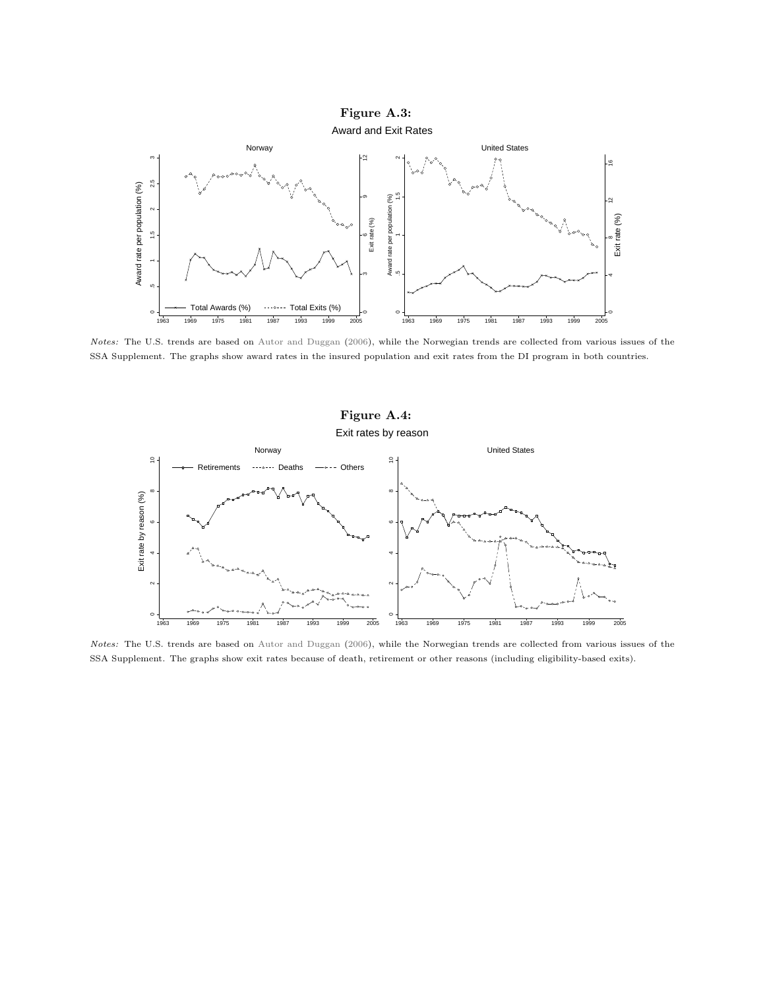

Notes: The U.S. trends are based on [Autor and Duggan](#page-34-2) [\(2006\)](#page-34-2), while the Norwegian trends are collected from various issues of the SSA Supplement. The graphs show award rates in the insured population and exit rates from the DI program in both countries.



Notes: The U.S. trends are based on [Autor and Duggan](#page-34-2) [\(2006\)](#page-34-2), while the Norwegian trends are collected from various issues of the SSA Supplement. The graphs show exit rates because of death, retirement or other reasons (including eligibility-based exits).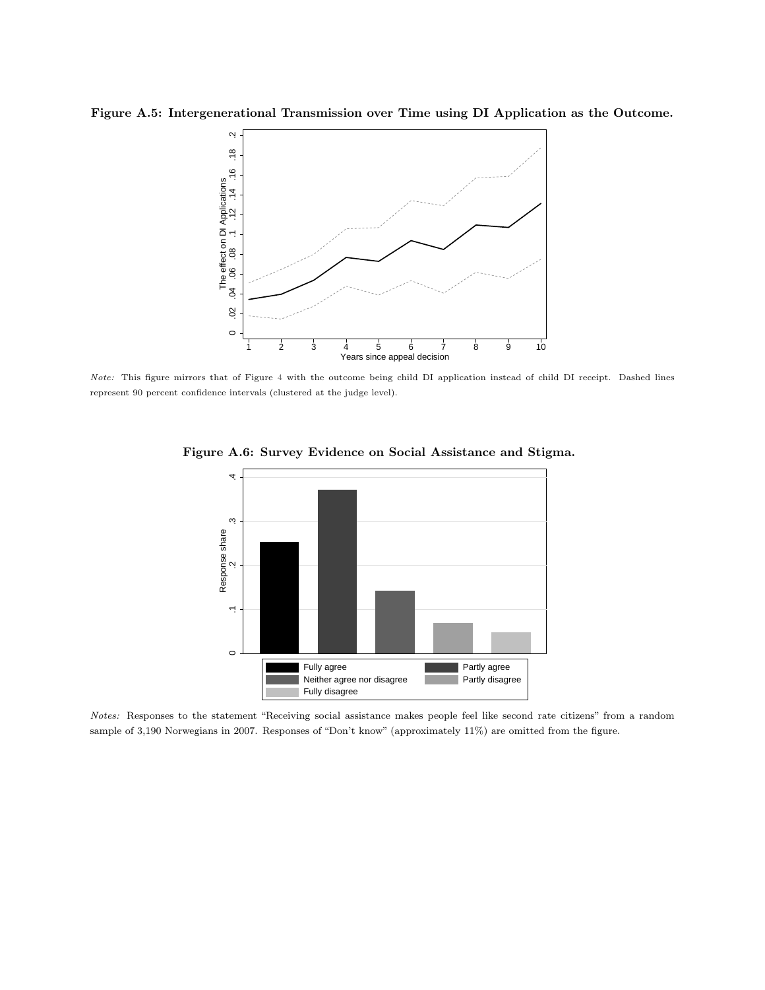Figure A.5: Intergenerational Transmission over Time using DI Application as the Outcome.

<span id="page-45-0"></span>

Note: This figure mirrors that of Figure [4](#page-20-0) with the outcome being child DI application instead of child DI receipt. Dashed lines represent 90 percent confidence intervals (clustered at the judge level).

<span id="page-45-1"></span>

Figure A.6: Survey Evidence on Social Assistance and Stigma.

Notes: Responses to the statement "Receiving social assistance makes people feel like second rate citizens" from a random sample of 3,190 Norwegians in 2007. Responses of "Don't know" (approximately 11%) are omitted from the figure.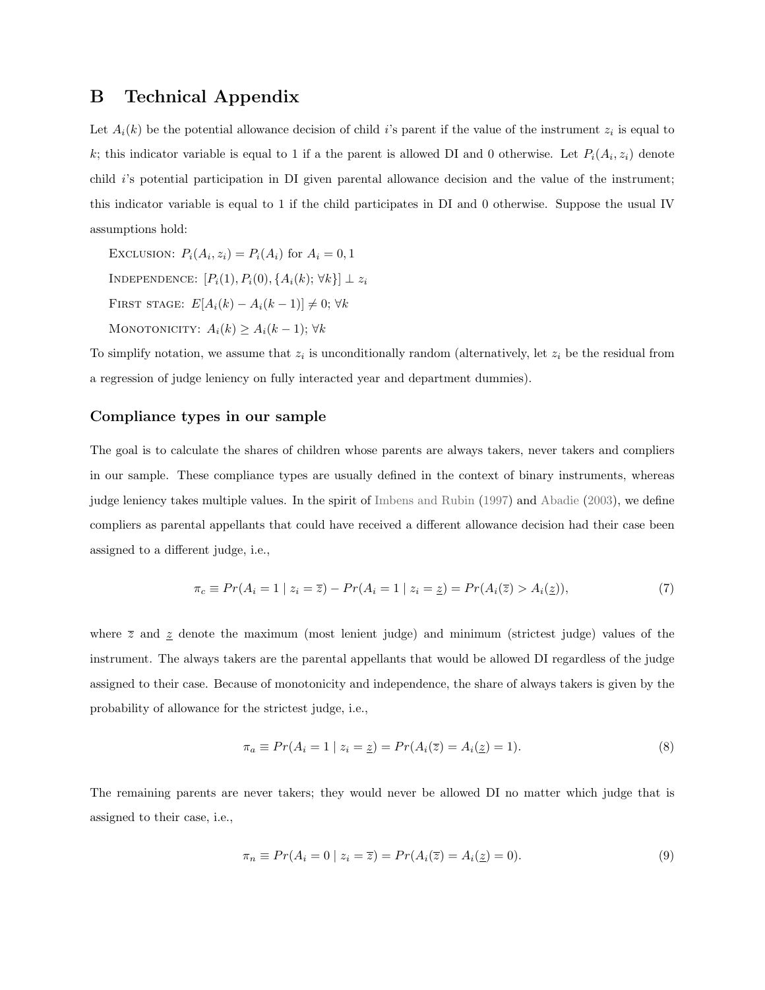### <span id="page-46-0"></span>B Technical Appendix

Let  $A_i(k)$  be the potential allowance decision of child i's parent if the value of the instrument  $z_i$  is equal to k; this indicator variable is equal to 1 if a the parent is allowed DI and 0 otherwise. Let  $P_i(A_i, z_i)$  denote child i's potential participation in DI given parental allowance decision and the value of the instrument; this indicator variable is equal to 1 if the child participates in DI and 0 otherwise. Suppose the usual IV assumptions hold:

EXCLUSION:  $P_i(A_i, z_i) = P_i(A_i)$  for  $A_i = 0, 1$ 

INDEPENDENCE:  $[P_i(1), P_i(0), \{A_i(k); \forall k\}] \perp z_i$ 

FIRST STAGE:  $E[A_i(k) - A_i(k-1)] \neq 0; \forall k$ 

MONOTONICITY:  $A_i(k) \geq A_i(k-1)$ ;  $\forall k$ 

To simplify notation, we assume that  $z_i$  is unconditionally random (alternatively, let  $z_i$  be the residual from a regression of judge leniency on fully interacted year and department dummies).

#### Compliance types in our sample

The goal is to calculate the shares of children whose parents are always takers, never takers and compliers in our sample. These compliance types are usually defined in the context of binary instruments, whereas judge leniency takes multiple values. In the spirit of [Imbens and Rubin](#page-35-14) [\(1997\)](#page-35-14) and [Abadie](#page-34-14) [\(2003\)](#page-34-14), we define compliers as parental appellants that could have received a different allowance decision had their case been assigned to a different judge, i.e.,

$$
\pi_c \equiv Pr(A_i = 1 \mid z_i = \overline{z}) - Pr(A_i = 1 \mid z_i = \underline{z}) = Pr(A_i(\overline{z}) > A_i(\underline{z})),\tag{7}
$$

where  $\overline{z}$  and  $\underline{z}$  denote the maximum (most lenient judge) and minimum (strictest judge) values of the instrument. The always takers are the parental appellants that would be allowed DI regardless of the judge assigned to their case. Because of monotonicity and independence, the share of always takers is given by the probability of allowance for the strictest judge, i.e.,

$$
\pi_a \equiv Pr(A_i = 1 \mid z_i = \underline{z}) = Pr(A_i(\overline{z}) = A_i(\underline{z}) = 1). \tag{8}
$$

The remaining parents are never takers; they would never be allowed DI no matter which judge that is assigned to their case, i.e.,

$$
\pi_n \equiv Pr(A_i = 0 \mid z_i = \overline{z}) = Pr(A_i(\overline{z}) = A_i(\underline{z}) = 0). \tag{9}
$$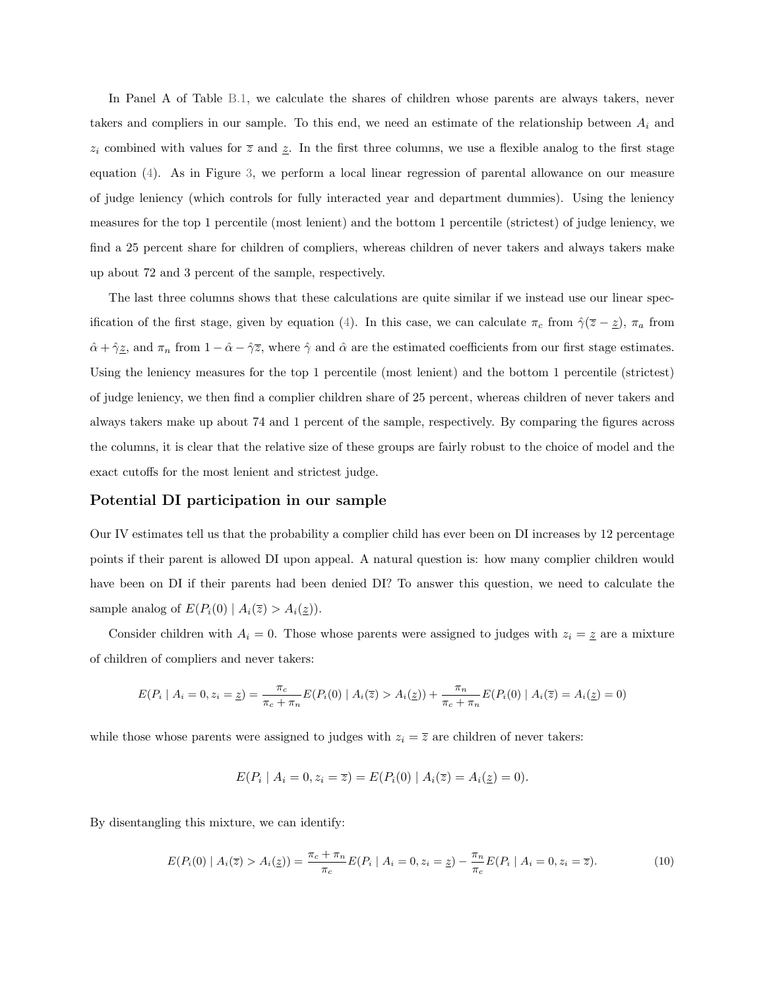In Panel A of Table [B.1,](#page-11-0) we calculate the shares of children whose parents are always takers, never takers and compliers in our sample. To this end, we need an estimate of the relationship between  $A_i$  and  $z_i$  combined with values for  $\overline{z}$  and  $\underline{z}$ . In the first three columns, we use a flexible analog to the first stage equation [\(4\)](#page-12-1). As in Figure [3,](#page-17-1) we perform a local linear regression of parental allowance on our measure of judge leniency (which controls for fully interacted year and department dummies). Using the leniency measures for the top 1 percentile (most lenient) and the bottom 1 percentile (strictest) of judge leniency, we find a 25 percent share for children of compliers, whereas children of never takers and always takers make up about 72 and 3 percent of the sample, respectively.

The last three columns shows that these calculations are quite similar if we instead use our linear spec-ification of the first stage, given by equation [\(4\)](#page-12-1). In this case, we can calculate  $\pi_c$  from  $\hat{\gamma}(\overline{z}-\underline{z})$ ,  $\pi_a$  from  $\hat{\alpha} + \hat{\gamma}z$ , and  $\pi_n$  from  $1 - \hat{\alpha} - \hat{\gamma}\overline{z}$ , where  $\hat{\gamma}$  and  $\hat{\alpha}$  are the estimated coefficients from our first stage estimates. Using the leniency measures for the top 1 percentile (most lenient) and the bottom 1 percentile (strictest) of judge leniency, we then find a complier children share of 25 percent, whereas children of never takers and always takers make up about 74 and 1 percent of the sample, respectively. By comparing the figures across the columns, it is clear that the relative size of these groups are fairly robust to the choice of model and the exact cutoffs for the most lenient and strictest judge.

#### Potential DI participation in our sample

Our IV estimates tell us that the probability a complier child has ever been on DI increases by 12 percentage points if their parent is allowed DI upon appeal. A natural question is: how many complier children would have been on DI if their parents had been denied DI? To answer this question, we need to calculate the sample analog of  $E(P_i(0) | A_i(\overline{z}) > A_i(\underline{z}))$ .

Consider children with  $A_i = 0$ . Those whose parents were assigned to judges with  $z_i = \underline{z}$  are a mixture of children of compliers and never takers:

$$
E(P_i | A_i = 0, z_i = \underline{z}) = \frac{\pi_c}{\pi_c + \pi_n} E(P_i(0) | A_i(\overline{z}) > A_i(\underline{z})) + \frac{\pi_n}{\pi_c + \pi_n} E(P_i(0) | A_i(\overline{z}) = A_i(\underline{z}) = 0)
$$

while those whose parents were assigned to judges with  $z_i = \overline{z}$  are children of never takers:

$$
E(P_i | A_i = 0, z_i = \overline{z}) = E(P_i(0) | A_i(\overline{z}) = A_i(\underline{z}) = 0).
$$

By disentangling this mixture, we can identify:

<span id="page-47-0"></span>
$$
E(P_i(0) | A_i(\overline{z}) > A_i(\underline{z})) = \frac{\pi_c + \pi_n}{\pi_c} E(P_i | A_i = 0, z_i = \underline{z}) - \frac{\pi_n}{\pi_c} E(P_i | A_i = 0, z_i = \overline{z}).
$$
\n(10)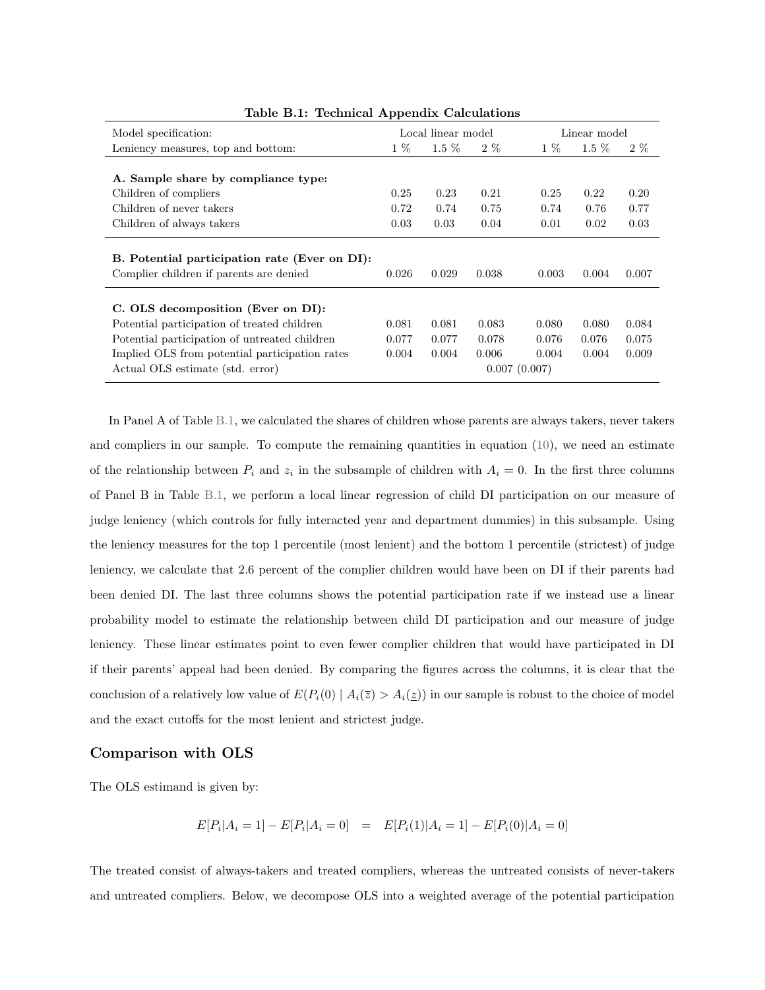|                                                | . .                |         |              |       |              |       |  |
|------------------------------------------------|--------------------|---------|--------------|-------|--------------|-------|--|
| Model specification:                           | Local linear model |         |              |       | Linear model |       |  |
| Leniency measures, top and bottom:             | $1\%$              | $1.5\%$ | $2\%$        | $1\%$ | $1.5\%$      | $2\%$ |  |
|                                                |                    |         |              |       |              |       |  |
| A. Sample share by compliance type:            |                    |         |              |       |              |       |  |
| Children of compliers                          | 0.25               | 0.23    | 0.21         | 0.25  | 0.22         | 0.20  |  |
| Children of never takers                       | 0.72               | 0.74    | 0.75         | 0.74  | 0.76         | 0.77  |  |
| Children of always takers                      | 0.03               | 0.03    | 0.04         | 0.01  | 0.02         | 0.03  |  |
|                                                |                    |         |              |       |              |       |  |
| B. Potential participation rate (Ever on DI):  |                    |         |              |       |              |       |  |
| Complier children if parents are denied        | 0.026              | 0.029   | 0.038        | 0.003 | 0.004        | 0.007 |  |
|                                                |                    |         |              |       |              |       |  |
| C. OLS decomposition (Ever on DI):             |                    |         |              |       |              |       |  |
| Potential participation of treated children    | 0.081              | 0.081   | 0.083        | 0.080 | 0.080        | 0.084 |  |
| Potential participation of untreated children  | 0.077              | 0.077   | 0.078        | 0.076 | 0.076        | 0.075 |  |
| Implied OLS from potential participation rates | 0.004              | 0.004   | 0.006        | 0.004 | 0.004        | 0.009 |  |
| Actual OLS estimate (std. error)               |                    |         | 0.007(0.007) |       |              |       |  |

Table B.1: Technical Appendix Calculations

In Panel A of Table [B.1,](#page-11-0) we calculated the shares of children whose parents are always takers, never takers and compliers in our sample. To compute the remaining quantities in equation [\(10\)](#page-47-0), we need an estimate of the relationship between  $P_i$  and  $z_i$  in the subsample of children with  $A_i = 0$ . In the first three columns of Panel B in Table [B.1,](#page-11-0) we perform a local linear regression of child DI participation on our measure of judge leniency (which controls for fully interacted year and department dummies) in this subsample. Using the leniency measures for the top 1 percentile (most lenient) and the bottom 1 percentile (strictest) of judge leniency, we calculate that 2.6 percent of the complier children would have been on DI if their parents had been denied DI. The last three columns shows the potential participation rate if we instead use a linear probability model to estimate the relationship between child DI participation and our measure of judge leniency. These linear estimates point to even fewer complier children that would have participated in DI if their parents' appeal had been denied. By comparing the figures across the columns, it is clear that the conclusion of a relatively low value of  $E(P_i(0) | A_i(\overline{z}) > A_i(\underline{z}))$  in our sample is robust to the choice of model and the exact cutoffs for the most lenient and strictest judge.

#### Comparison with OLS

The OLS estimand is given by:

$$
E[P_i|A_i = 1] - E[P_i|A_i = 0] = E[P_i(1)|A_i = 1] - E[P_i(0)|A_i = 0]
$$

The treated consist of always-takers and treated compliers, whereas the untreated consists of never-takers and untreated compliers. Below, we decompose OLS into a weighted average of the potential participation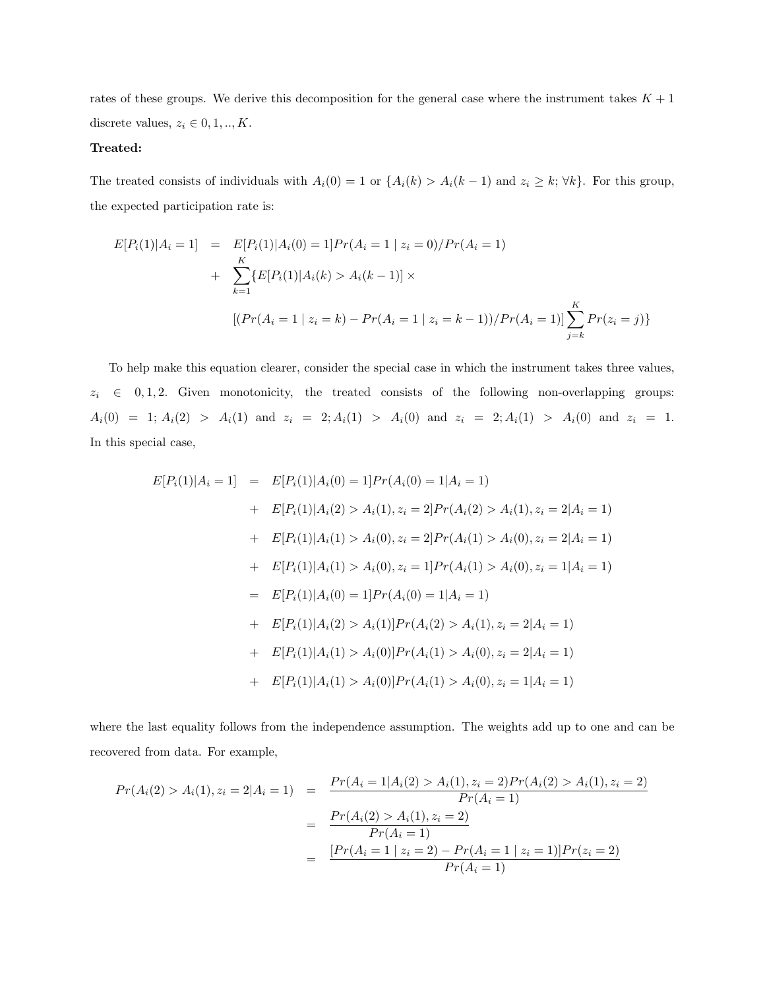rates of these groups. We derive this decomposition for the general case where the instrument takes  $K + 1$ discrete values,  $z_i \in {0, 1, ..., K}$ .

#### Treated:

The treated consists of individuals with  $A_i(0) = 1$  or  $\{A_i(k) > A_i(k-1) \text{ and } z_i \geq k; \forall k\}.$  For this group, the expected participation rate is:

$$
E[P_i(1)|A_i = 1] = E[P_i(1)|A_i(0) = 1]Pr(A_i = 1 | z_i = 0) / Pr(A_i = 1)
$$
  
+ 
$$
\sum_{k=1}^{K} \{E[P_i(1)|A_i(k) > A_i(k-1)] \times
$$
  

$$
[(Pr(A_i = 1 | z_i = k) - Pr(A_i = 1 | z_i = k-1)) / Pr(A_i = 1)] \sum_{j=k}^{K} Pr(z_i = j)
$$

To help make this equation clearer, consider the special case in which the instrument takes three values,  $z_i \in (0, 1, 2.$  Given monotonicity, the treated consists of the following non-overlapping groups:  $A_i(0) = 1; A_i(2) > A_i(1)$  and  $z_i = 2; A_i(1) > A_i(0)$  and  $z_i = 2; A_i(1) > A_i(0)$  and  $z_i = 1$ . In this special case,

$$
E[P_i(1)|A_i = 1] = E[P_i(1)|A_i(0) = 1]Pr(A_i(0) = 1|A_i = 1)
$$
  
+ 
$$
E[P_i(1)|A_i(2) > A_i(1), z_i = 2]Pr(A_i(2) > A_i(1), z_i = 2|A_i = 1)
$$
  
+ 
$$
E[P_i(1)|A_i(1) > A_i(0), z_i = 2]Pr(A_i(1) > A_i(0), z_i = 2|A_i = 1)
$$
  
+ 
$$
E[P_i(1)|A_i(1) > A_i(0), z_i = 1]Pr(A_i(1) > A_i(0), z_i = 1|A_i = 1)
$$
  
= 
$$
E[P_i(1)|A_i(0) = 1]Pr(A_i(0) = 1|A_i = 1)
$$
  
+ 
$$
E[P_i(1)|A_i(2) > A_i(1)]Pr(A_i(2) > A_i(1), z_i = 2|A_i = 1)
$$
  
+ 
$$
E[P_i(1)|A_i(1) > A_i(0)]Pr(A_i(1) > A_i(0), z_i = 2|A_i = 1)
$$
  
+ 
$$
E[P_i(1)|A_i(1) > A_i(0)]Pr(A_i(1) > A_i(0), z_i = 1|A_i = 1)
$$

where the last equality follows from the independence assumption. The weights add up to one and can be recovered from data. For example,

$$
Pr(A_i(2) > A_i(1), z_i = 2 | A_i = 1) = \frac{Pr(A_i = 1 | A_i(2) > A_i(1), z_i = 2) Pr(A_i(2) > A_i(1), z_i = 2)}{Pr(A_i = 1)}
$$
  
= 
$$
\frac{Pr(A_i(2) > A_i(1), z_i = 2)}{Pr(A_i = 1)}
$$
  
= 
$$
\frac{[Pr(A_i = 1 | z_i = 2) - Pr(A_i = 1 | z_i = 1)] Pr(z_i = 2)}{Pr(A_i = 1)}
$$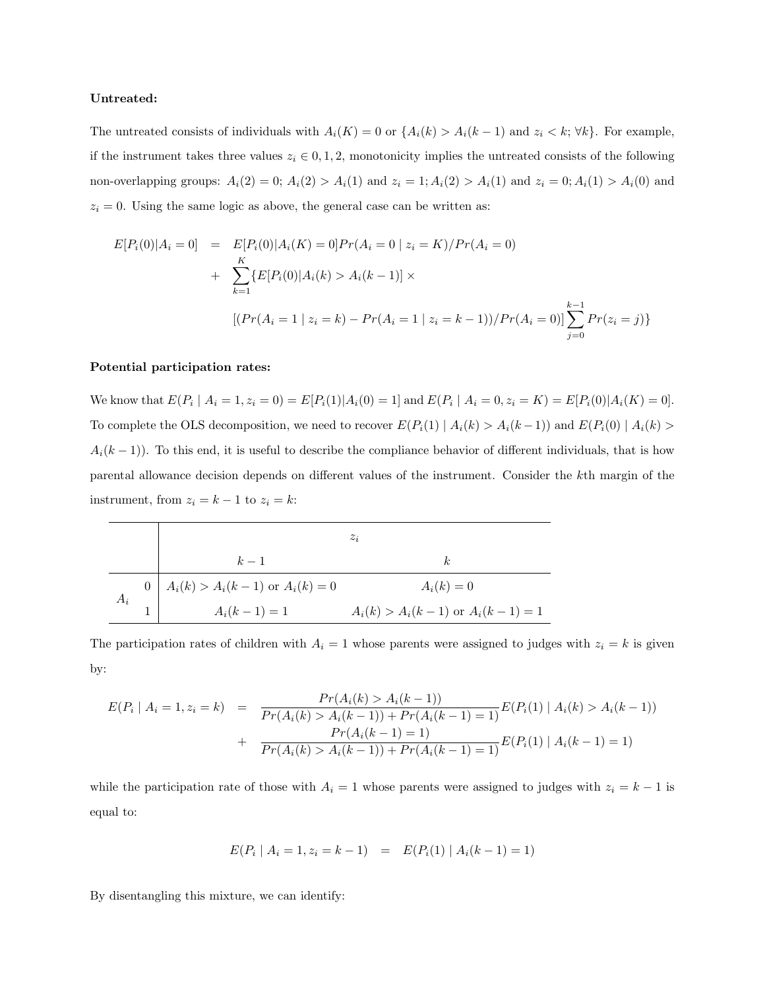#### Untreated:

The untreated consists of individuals with  $A_i(K) = 0$  or  $\{A_i(k) > A_i(k-1)$  and  $z_i < k$ ;  $\forall k\}$ . For example, if the instrument takes three values  $z_i \in [0, 1, 2]$ , monotonicity implies the untreated consists of the following non-overlapping groups:  $A_i(2) = 0$ ;  $A_i(2) > A_i(1)$  and  $z_i = 1$ ;  $A_i(2) > A_i(1)$  and  $z_i = 0$ ;  $A_i(1) > A_i(0)$  and  $z_i = 0$ . Using the same logic as above, the general case can be written as:

$$
E[P_i(0)|A_i = 0] = E[P_i(0)|A_i(K) = 0]Pr(A_i = 0 | z_i = K)/Pr(A_i = 0)
$$
  
+ 
$$
\sum_{k=1}^{K} \{E[P_i(0)|A_i(k) > A_i(k-1)] \times
$$
  

$$
[(Pr(A_i = 1 | z_i = k) - Pr(A_i = 1 | z_i = k-1))/Pr(A_i = 0)] \sum_{j=0}^{k-1} Pr(z_i = j)
$$

#### Potential participation rates:

We know that  $E(P_i | A_i = 1, z_i = 0) = E[P_i(1)|A_i(0) = 1]$  and  $E(P_i | A_i = 0, z_i = K) = E[P_i(0)|A_i(K) = 0]$ . To complete the OLS decomposition, we need to recover  $E(P_i(1) | A_i(k) > A_i(k-1))$  and  $E(P_i(0) | A_i(k) > A_i(k-1))$  $A_i(k-1)$ ). To this end, it is useful to describe the compliance behavior of different individuals, that is how parental allowance decision depends on different values of the instrument. Consider the kth margin of the instrument, from  $z_i = k - 1$  to  $z_i = k$ :

|       |                                                       | $z_i$                                 |
|-------|-------------------------------------------------------|---------------------------------------|
|       | $k-1$                                                 |                                       |
|       | $A_i(k) > A_i(k-1)$ or $A_i(k) = 0$<br>$A_i(k-1) = 1$ | $A_i(k) = 0$                          |
| $A_i$ |                                                       | $A_i(k) > A_i(k-1)$ or $A_i(k-1) = 1$ |

The participation rates of children with  $A_i = 1$  whose parents were assigned to judges with  $z_i = k$  is given by:

$$
E(P_i | A_i = 1, z_i = k) = \frac{Pr(A_i(k) > A_i(k-1))}{Pr(A_i(k) > A_i(k-1)) + Pr(A_i(k-1) = 1)} E(P_i(1) | A_i(k) > A_i(k-1)) + \frac{Pr(A_i(k-1) = 1)}{Pr(A_i(k) > A_i(k-1)) + Pr(A_i(k-1) = 1)} E(P_i(1) | A_i(k-1) = 1)
$$

while the participation rate of those with  $A_i = 1$  whose parents were assigned to judges with  $z_i = k - 1$  is equal to:

$$
E(P_i | A_i = 1, z_i = k - 1) = E(P_i(1) | A_i(k - 1) = 1)
$$

By disentangling this mixture, we can identify: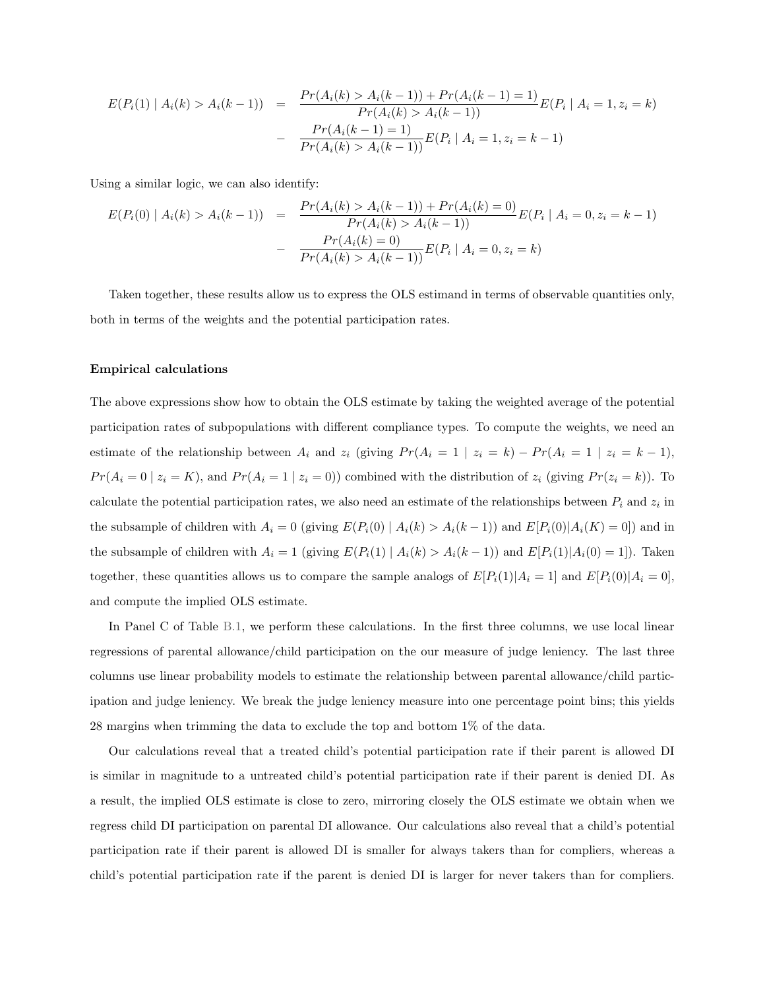$$
E(P_i(1) | A_i(k) > A_i(k-1)) = \frac{Pr(A_i(k) > A_i(k-1)) + Pr(A_i(k-1) = 1)}{Pr(A_i(k) > A_i(k-1))} E(P_i | A_i = 1, z_i = k)
$$
  
- 
$$
\frac{Pr(A_i(k-1) = 1)}{Pr(A_i(k) > A_i(k-1))} E(P_i | A_i = 1, z_i = k-1)
$$

Using a similar logic, we can also identify:

$$
E(P_i(0) | A_i(k) > A_i(k-1)) = \frac{Pr(A_i(k) > A_i(k-1)) + Pr(A_i(k) = 0)}{Pr(A_i(k) > A_i(k-1))} E(P_i | A_i = 0, z_i = k-1)
$$

$$
- \frac{Pr(A_i(k) = 0)}{Pr(A_i(k) > A_i(k-1))} E(P_i | A_i = 0, z_i = k)
$$

Taken together, these results allow us to express the OLS estimand in terms of observable quantities only, both in terms of the weights and the potential participation rates.

#### Empirical calculations

The above expressions show how to obtain the OLS estimate by taking the weighted average of the potential participation rates of subpopulations with different compliance types. To compute the weights, we need an estimate of the relationship between  $A_i$  and  $z_i$  (giving  $Pr(A_i = 1 | z_i = k) - Pr(A_i = 1 | z_i = k - 1)$ ,  $Pr(A_i = 0 \mid z_i = K)$ , and  $Pr(A_i = 1 \mid z_i = 0)$  combined with the distribution of  $z_i$  (giving  $Pr(z_i = k)$ ). To calculate the potential participation rates, we also need an estimate of the relationships between  $P_i$  and  $z_i$  in the subsample of children with  $A_i = 0$  (giving  $E(P_i(0) | A_i(k) > A_i(k-1))$  and  $E[P_i(0) | A_i(K) = 0]$ ) and in the subsample of children with  $A_i = 1$  (giving  $E(P_i(1) | A_i(k) > A_i(k-1))$  and  $E[P_i(1) | A_i(0) = 1]$ ). Taken together, these quantities allows us to compare the sample analogs of  $E[P_i(1)|A_i = 1]$  and  $E[P_i(0)|A_i = 0]$ . and compute the implied OLS estimate.

In Panel C of Table [B.1,](#page-11-0) we perform these calculations. In the first three columns, we use local linear regressions of parental allowance/child participation on the our measure of judge leniency. The last three columns use linear probability models to estimate the relationship between parental allowance/child participation and judge leniency. We break the judge leniency measure into one percentage point bins; this yields 28 margins when trimming the data to exclude the top and bottom 1% of the data.

Our calculations reveal that a treated child's potential participation rate if their parent is allowed DI is similar in magnitude to a untreated child's potential participation rate if their parent is denied DI. As a result, the implied OLS estimate is close to zero, mirroring closely the OLS estimate we obtain when we regress child DI participation on parental DI allowance. Our calculations also reveal that a child's potential participation rate if their parent is allowed DI is smaller for always takers than for compliers, whereas a child's potential participation rate if the parent is denied DI is larger for never takers than for compliers.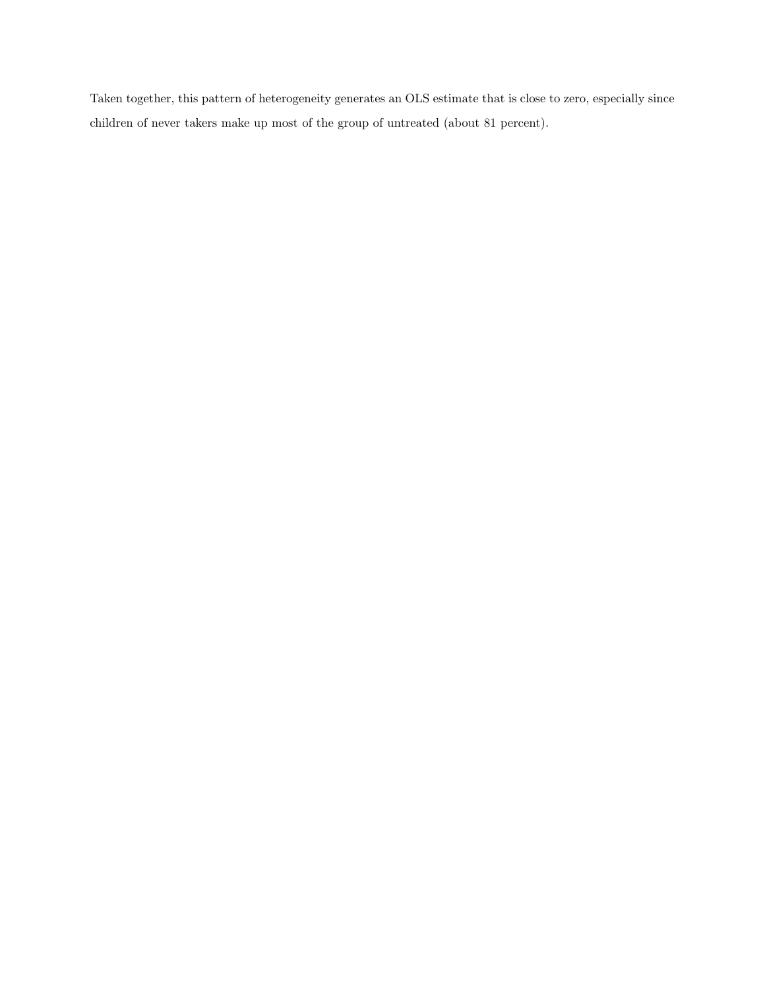Taken together, this pattern of heterogeneity generates an OLS estimate that is close to zero, especially since children of never takers make up most of the group of untreated (about 81 percent).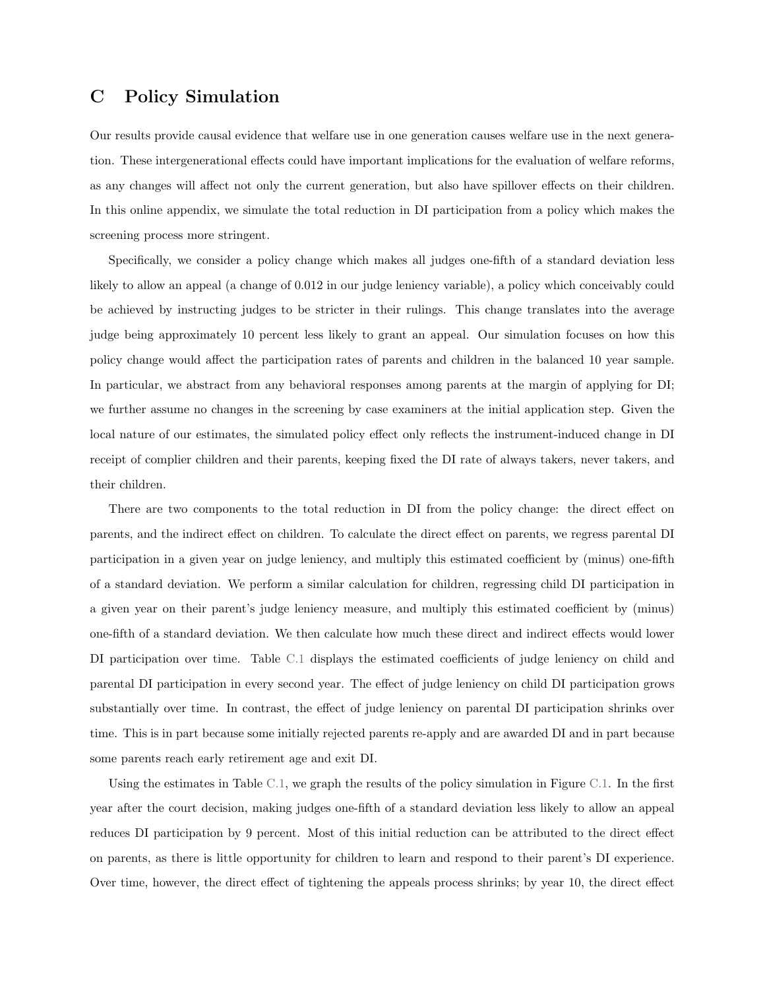# C Policy Simulation

Our results provide causal evidence that welfare use in one generation causes welfare use in the next generation. These intergenerational effects could have important implications for the evaluation of welfare reforms, as any changes will affect not only the current generation, but also have spillover effects on their children. In this online appendix, we simulate the total reduction in DI participation from a policy which makes the screening process more stringent.

Specifically, we consider a policy change which makes all judges one-fifth of a standard deviation less likely to allow an appeal (a change of 0.012 in our judge leniency variable), a policy which conceivably could be achieved by instructing judges to be stricter in their rulings. This change translates into the average judge being approximately 10 percent less likely to grant an appeal. Our simulation focuses on how this policy change would affect the participation rates of parents and children in the balanced 10 year sample. In particular, we abstract from any behavioral responses among parents at the margin of applying for DI; we further assume no changes in the screening by case examiners at the initial application step. Given the local nature of our estimates, the simulated policy effect only reflects the instrument-induced change in DI receipt of complier children and their parents, keeping fixed the DI rate of always takers, never takers, and their children.

There are two components to the total reduction in DI from the policy change: the direct effect on parents, and the indirect effect on children. To calculate the direct effect on parents, we regress parental DI participation in a given year on judge leniency, and multiply this estimated coefficient by (minus) one-fifth of a standard deviation. We perform a similar calculation for children, regressing child DI participation in a given year on their parent's judge leniency measure, and multiply this estimated coefficient by (minus) one-fifth of a standard deviation. We then calculate how much these direct and indirect effects would lower DI participation over time. Table [C.1](#page-11-0) displays the estimated coefficients of judge leniency on child and parental DI participation in every second year. The effect of judge leniency on child DI participation grows substantially over time. In contrast, the effect of judge leniency on parental DI participation shrinks over time. This is in part because some initially rejected parents re-apply and are awarded DI and in part because some parents reach early retirement age and exit DI.

Using the estimates in Table [C.1,](#page-11-0) we graph the results of the policy simulation in Figure [C.1.](#page-9-0) In the first year after the court decision, making judges one-fifth of a standard deviation less likely to allow an appeal reduces DI participation by 9 percent. Most of this initial reduction can be attributed to the direct effect on parents, as there is little opportunity for children to learn and respond to their parent's DI experience. Over time, however, the direct effect of tightening the appeals process shrinks; by year 10, the direct effect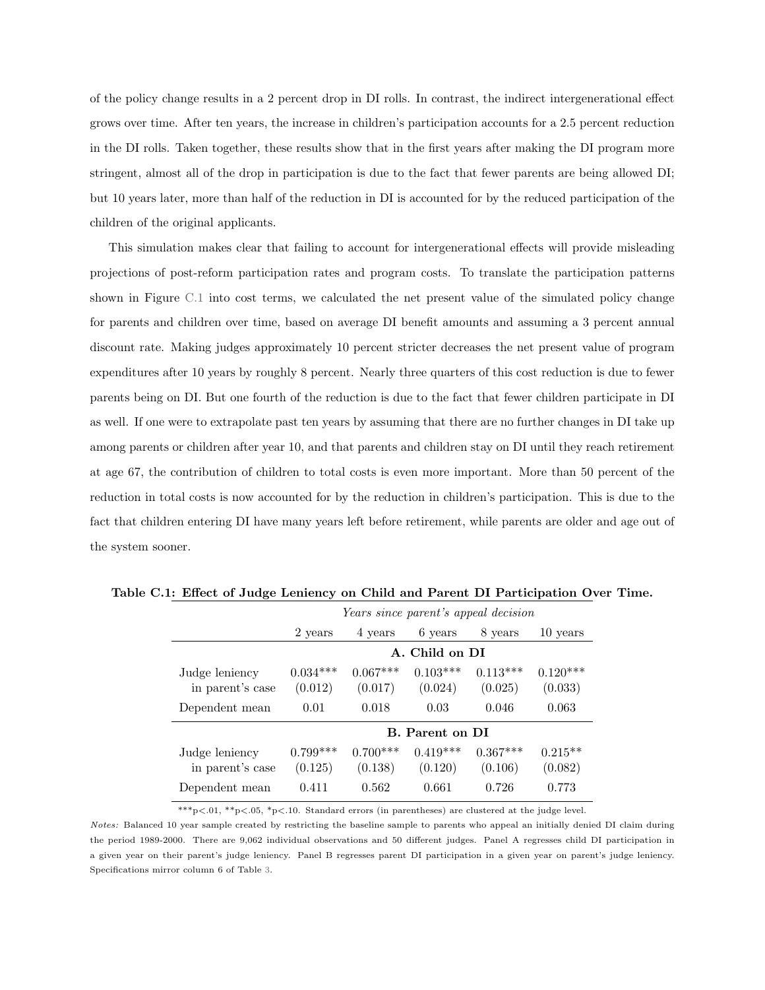of the policy change results in a 2 percent drop in DI rolls. In contrast, the indirect intergenerational effect grows over time. After ten years, the increase in children's participation accounts for a 2.5 percent reduction in the DI rolls. Taken together, these results show that in the first years after making the DI program more stringent, almost all of the drop in participation is due to the fact that fewer parents are being allowed DI; but 10 years later, more than half of the reduction in DI is accounted for by the reduced participation of the children of the original applicants.

This simulation makes clear that failing to account for intergenerational effects will provide misleading projections of post-reform participation rates and program costs. To translate the participation patterns shown in Figure [C.1](#page-9-0) into cost terms, we calculated the net present value of the simulated policy change for parents and children over time, based on average DI benefit amounts and assuming a 3 percent annual discount rate. Making judges approximately 10 percent stricter decreases the net present value of program expenditures after 10 years by roughly 8 percent. Nearly three quarters of this cost reduction is due to fewer parents being on DI. But one fourth of the reduction is due to the fact that fewer children participate in DI as well. If one were to extrapolate past ten years by assuming that there are no further changes in DI take up among parents or children after year 10, and that parents and children stay on DI until they reach retirement at age 67, the contribution of children to total costs is even more important. More than 50 percent of the reduction in total costs is now accounted for by the reduction in children's participation. This is due to the fact that children entering DI have many years left before retirement, while parents are older and age out of the system sooner.

|                                                      | Years since parent's appeal decision |                                |                               |                                |                                |  |
|------------------------------------------------------|--------------------------------------|--------------------------------|-------------------------------|--------------------------------|--------------------------------|--|
|                                                      | 2 years                              | 4 years                        | 6 years                       | 8 years                        | 10 years                       |  |
|                                                      |                                      | A. Child on DI                 |                               |                                |                                |  |
| Judge leniency<br>in parent's case<br>Dependent mean | $0.034***$<br>(0.012)<br>0.01        | $0.067***$<br>(0.017)<br>0.018 | $0.103***$<br>(0.024)<br>0.03 | $0.113***$<br>(0.025)<br>0.046 | $0.120***$<br>(0.033)<br>0.063 |  |
|                                                      | B. Parent on DI                      |                                |                               |                                |                                |  |
| Judge leniency<br>in parent's case                   | $0.799***$<br>(0.125)                | $0.700***$<br>(0.138)          | $0.419***$<br>(0.120)         | $0.367***$<br>(0.106)          | $0.215**$<br>(0.082)           |  |
| Dependent mean                                       | 0.411                                | 0.562                          | 0.661                         | 0.726                          | 0.773                          |  |

Table C.1: Effect of Judge Leniency on Child and Parent DI Participation Over Time.

\*\*\*p<.01, \*\*p<.05, \*p<.10. Standard errors (in parentheses) are clustered at the judge level.

Notes: Balanced 10 year sample created by restricting the baseline sample to parents who appeal an initially denied DI claim during the period 1989-2000. There are 9,062 individual observations and 50 different judges. Panel A regresses child DI participation in a given year on their parent's judge leniency. Panel B regresses parent DI participation in a given year on parent's judge leniency. Specifications mirror column 6 of Table [3.](#page-19-0)